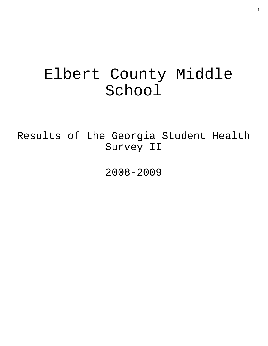# Elbert County Middle School

Results of the Georgia Student Health Survey II

2008-2009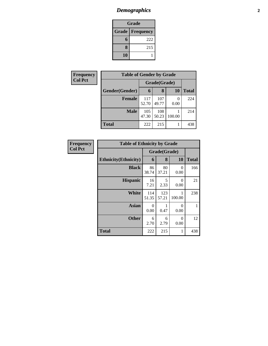# *Demographics* **2**

| Grade                    |     |  |  |  |
|--------------------------|-----|--|--|--|
| <b>Grade   Frequency</b> |     |  |  |  |
| 6                        | 222 |  |  |  |
| 8                        | 215 |  |  |  |
| 10                       |     |  |  |  |

| Frequency      | <b>Table of Gender by Grade</b> |              |              |           |              |
|----------------|---------------------------------|--------------|--------------|-----------|--------------|
| <b>Col Pct</b> |                                 | Grade(Grade) |              |           |              |
|                | Gender(Gender)                  | 6            | 8            | <b>10</b> | <b>Total</b> |
|                | <b>Female</b>                   | 117<br>52.70 | 107<br>49.77 | 0<br>0.00 | 224          |
|                | <b>Male</b>                     | 105<br>47.30 | 108<br>50.23 | 100.00    | 214          |
|                | <b>Total</b>                    | 222          | 215          |           | 438          |

| Frequency      |                              | <b>Table of Ethnicity by Grade</b> |              |                  |              |  |  |
|----------------|------------------------------|------------------------------------|--------------|------------------|--------------|--|--|
| <b>Col Pct</b> |                              |                                    | Grade(Grade) |                  |              |  |  |
|                | <b>Ethnicity</b> (Ethnicity) | 6                                  | 8            | 10               | <b>Total</b> |  |  |
|                | <b>Black</b>                 | 86<br>38.74                        | 80<br>37.21  | 0<br>0.00        | 166          |  |  |
|                | <b>Hispanic</b>              | 16<br>7.21                         | 5<br>2.33    | $\Omega$<br>0.00 | 21           |  |  |
|                | <b>White</b>                 | 114<br>51.35                       | 123<br>57.21 | 100.00           | 238          |  |  |
|                | Asian                        | 0<br>0.00                          | 0.47         | $\Omega$<br>0.00 | 1            |  |  |
|                | <b>Other</b>                 | 6<br>2.70                          | 6<br>2.79    | $\Omega$<br>0.00 | 12           |  |  |
|                | <b>Total</b>                 | 222                                | 215          | 1                | 438          |  |  |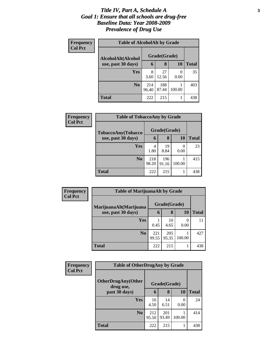#### *Title IV, Part A, Schedule A* **3** *Goal 1: Ensure that all schools are drug-free Baseline Data: Year 2008-2009 Prevalence of Drug Use*

| Frequency      | <b>Table of AlcoholAlt by Grade</b> |              |              |                       |              |  |  |
|----------------|-------------------------------------|--------------|--------------|-----------------------|--------------|--|--|
| <b>Col Pct</b> | AlcoholAlt(Alcohol                  |              | Grade(Grade) |                       |              |  |  |
|                | use, past 30 days)                  | 6            | 8            | <b>10</b>             | <b>Total</b> |  |  |
|                | Yes                                 | 8<br>3.60    | 27<br>12.56  | $\mathcal{O}$<br>0.00 | 35           |  |  |
|                | N <sub>0</sub>                      | 214<br>96.40 | 188<br>87.44 | 100.00                | 403          |  |  |
|                | <b>Total</b>                        | 222          | 215          |                       | 438          |  |  |

| Frequency<br><b>Col Pct</b> | <b>Table of TobaccoAny by Grade</b> |              |              |           |              |
|-----------------------------|-------------------------------------|--------------|--------------|-----------|--------------|
|                             | TobaccoAny(Tobacco                  |              | Grade(Grade) |           |              |
|                             | use, past 30 days)                  | 6            | 8            | 10        | <b>Total</b> |
|                             | <b>Yes</b>                          | 4<br>1.80    | 19<br>8.84   | 0<br>0.00 | 23           |
|                             | N <sub>0</sub>                      | 218<br>98.20 | 196<br>91.16 | 100.00    | 415          |
|                             | <b>Total</b>                        | 222          | 215          |           | 438          |

| <b>Frequency</b><br><b>Col Pct</b> | <b>Table of MarijuanaAlt by Grade</b> |              |              |           |              |
|------------------------------------|---------------------------------------|--------------|--------------|-----------|--------------|
|                                    | MarijuanaAlt(Marijuana                | Grade(Grade) |              |           |              |
|                                    | use, past 30 days)                    | 6            | 8            | <b>10</b> | <b>Total</b> |
|                                    | Yes                                   | 0.45         | 10<br>4.65   | 0.00      | 11           |
|                                    | N <sub>o</sub>                        | 221<br>99.55 | 205<br>95.35 | 100.00    | 427          |
|                                    | <b>Total</b>                          | 222          | 215          |           | 438          |

| Frequency<br><b>Col Pct</b> | <b>Table of OtherDrugAny by Grade</b>  |              |              |           |              |
|-----------------------------|----------------------------------------|--------------|--------------|-----------|--------------|
|                             | <b>OtherDrugAny(Other</b><br>drug use, |              | Grade(Grade) |           |              |
|                             | past 30 days)                          | 6            | 8            | 10        | <b>Total</b> |
|                             | Yes                                    | 10<br>4.50   | 14<br>6.51   | 0<br>0.00 | 24           |
|                             | N <sub>0</sub>                         | 212<br>95.50 | 201<br>93.49 | 100.00    | 414          |
|                             | <b>Total</b>                           | 222          | 215          | 1         | 438          |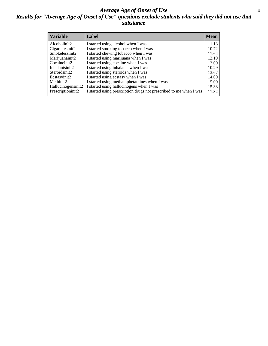#### *Average Age of Onset of Use* **4** *Results for "Average Age of Onset of Use" questions exclude students who said they did not use that substance*

| <b>Variable</b>    | Label                                                              | <b>Mean</b> |
|--------------------|--------------------------------------------------------------------|-------------|
| Alcoholinit2       | I started using alcohol when I was                                 | 11.13       |
| Cigarettesinit2    | I started smoking tobacco when I was                               | 10.72       |
| Smokelessinit2     | I started chewing tobacco when I was                               | 11.64       |
| Marijuanainit2     | I started using marijuana when I was                               | 12.19       |
| Cocaineinit2       | I started using cocaine when I was                                 | 13.00       |
| Inhalantsinit2     | I started using inhalants when I was                               | 10.29       |
| Steroidsinit2      | I started using steroids when I was                                | 13.67       |
| Ecstasyinit2       | I started using ecstasy when I was                                 | 14.00       |
| Methinit2          | I started using methamphetamines when I was                        | 15.00       |
| Hallucinogensinit2 | I started using hallucinogens when I was                           | 15.33       |
| Prescriptioninit2  | I started using prescription drugs not prescribed to me when I was | 11.32       |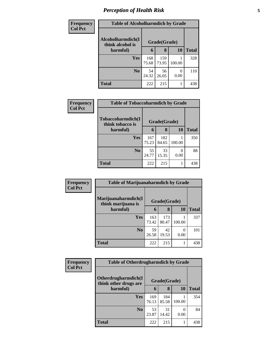# *Perception of Health Risk* **5**

| <b>Frequency</b> | <b>Table of Alcoholharmdich by Grade</b> |              |              |                      |              |
|------------------|------------------------------------------|--------------|--------------|----------------------|--------------|
| <b>Col Pct</b>   | Alcoholharmdich(I<br>think alcohol is    | Grade(Grade) |              |                      |              |
|                  | harmful)                                 | 6            | 8            | 10                   | <b>Total</b> |
|                  | <b>Yes</b>                               | 168<br>75.68 | 159<br>73.95 | 100.00               | 328          |
|                  | N <sub>0</sub>                           | 54<br>24.32  | 56<br>26.05  | $\mathbf{0}$<br>0.00 | 110          |
|                  | <b>Total</b>                             | 222          | 215          |                      | 438          |

| <b>Frequency</b> | <b>Table of Tobaccoharmdich by Grade</b> |              |              |        |              |
|------------------|------------------------------------------|--------------|--------------|--------|--------------|
| <b>Col Pct</b>   | Tobaccoharmdich(I<br>think tobacco is    | Grade(Grade) |              |        |              |
|                  | harmful)                                 | 6            | 8            | 10     | <b>Total</b> |
|                  | <b>Yes</b>                               | 167<br>75.23 | 182<br>84.65 | 100.00 | 350          |
|                  | N <sub>0</sub>                           | 55<br>24.77  | 33<br>15.35  | 0.00   | 88           |
|                  | <b>Total</b>                             | 222          | 215          |        | 438          |

| Frequency      | <b>Table of Marijuanaharmdich by Grade</b> |              |              |                  |              |
|----------------|--------------------------------------------|--------------|--------------|------------------|--------------|
| <b>Col Pct</b> | Marijuanaharmdich(I<br>think marijuana is  | Grade(Grade) |              |                  |              |
|                | harmful)                                   | 6            | 8            | 10               | <b>Total</b> |
|                | <b>Yes</b>                                 | 163<br>73.42 | 173<br>80.47 | 100.00           | 337          |
|                | N <sub>0</sub>                             | 59<br>26.58  | 42<br>19.53  | $\Omega$<br>0.00 | 101          |
|                | <b>Total</b>                               | 222          | 215          |                  | 438          |

| <b>Frequency</b> | <b>Table of Otherdrugharmdich by Grade</b>   |              |              |                  |              |
|------------------|----------------------------------------------|--------------|--------------|------------------|--------------|
| <b>Col Pct</b>   | Otherdrugharmdich(I<br>think other drugs are |              | Grade(Grade) |                  |              |
|                  | harmful)                                     | 6            | 8            | 10               | <b>Total</b> |
|                  | Yes                                          | 169<br>76.13 | 184<br>85.58 | 100.00           | 354          |
|                  | N <sub>0</sub>                               | 53<br>23.87  | 31<br>14.42  | $\theta$<br>0.00 | 84           |
|                  | <b>Total</b>                                 | 222          | 215          |                  | 438          |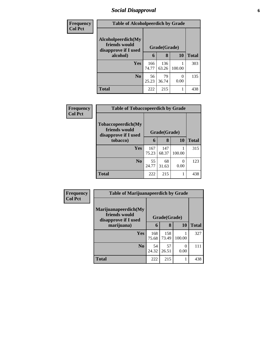### *Social Disapproval* **6**

| Frequency      | <b>Table of Alcoholpeerdich by Grade</b>                    |              |              |           |              |  |  |
|----------------|-------------------------------------------------------------|--------------|--------------|-----------|--------------|--|--|
| <b>Col Pct</b> | Alcoholpeerdich(My<br>friends would<br>disapprove if I used | Grade(Grade) |              |           |              |  |  |
|                | alcohol)                                                    | 6            | 8            | 10        | <b>Total</b> |  |  |
|                | Yes                                                         | 166<br>74.77 | 136<br>63.26 | 100.00    | 303          |  |  |
|                | N <sub>0</sub>                                              | 56<br>25.23  | 79<br>36.74  | 0<br>0.00 | 135          |  |  |
|                | <b>Total</b>                                                | 222          | 215          |           | 438          |  |  |

| Frequency      | <b>Table of Tobaccopeerdich by Grade</b>                           |              |              |                  |              |  |  |
|----------------|--------------------------------------------------------------------|--------------|--------------|------------------|--------------|--|--|
| <b>Col Pct</b> | <b>Tobaccopeerdich(My</b><br>friends would<br>disapprove if I used | Grade(Grade) |              |                  |              |  |  |
|                | tobacco)                                                           | 6            | 8            | 10               | <b>Total</b> |  |  |
|                | Yes                                                                | 167<br>75.23 | 147<br>68.37 | 100.00           | 315          |  |  |
|                | N <sub>0</sub>                                                     | 55<br>24.77  | 68<br>31.63  | $\Omega$<br>0.00 | 123          |  |  |
|                | <b>Total</b>                                                       | 222          | 215          |                  | 438          |  |  |

| Frequency      | <b>Table of Marijuanapeerdich by Grade</b>                    |              |              |           |              |  |
|----------------|---------------------------------------------------------------|--------------|--------------|-----------|--------------|--|
| <b>Col Pct</b> | Marijuanapeerdich(My<br>friends would<br>disapprove if I used | Grade(Grade) |              |           |              |  |
|                | marijuana)                                                    | 6            | 8            | 10        | <b>Total</b> |  |
|                | <b>Yes</b>                                                    | 168<br>75.68 | 158<br>73.49 | 100.00    | 327          |  |
|                | N <sub>0</sub>                                                | 54<br>24.32  | 57<br>26.51  | 0<br>0.00 | 111          |  |
|                | <b>Total</b>                                                  | 222          | 215          |           | 438          |  |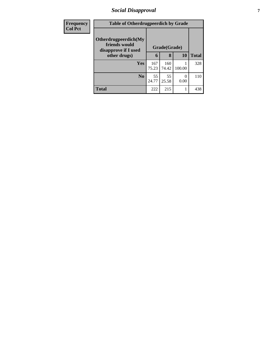### *Social Disapproval* **7**

| <b>Frequency</b> | <b>Table of Otherdrugpeerdich by Grade</b>                    |              |              |           |              |
|------------------|---------------------------------------------------------------|--------------|--------------|-----------|--------------|
| <b>Col Pct</b>   | Otherdrugpeerdich(My<br>friends would<br>disapprove if I used | Grade(Grade) |              |           |              |
|                  | other drugs)                                                  | 6            | 8            | 10        | <b>Total</b> |
|                  | <b>Yes</b>                                                    | 167<br>75.23 | 160<br>74.42 | 100.00    | 328          |
|                  | N <sub>0</sub>                                                | 55<br>24.77  | 55<br>25.58  | 0<br>0.00 | 110          |
|                  | <b>Total</b>                                                  | 222          | 215          |           | 438          |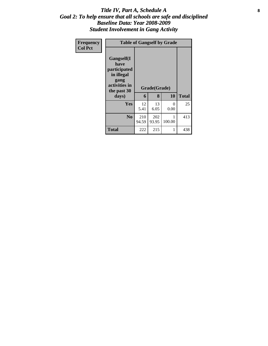#### Title IV, Part A, Schedule A **8** *Goal 2: To help ensure that all schools are safe and disciplined Baseline Data: Year 2008-2009 Student Involvement in Gang Activity*

| Frequency<br><b>Col Pct</b> | <b>Table of Gangself by Grade</b>                                                                         |              |                   |           |              |
|-----------------------------|-----------------------------------------------------------------------------------------------------------|--------------|-------------------|-----------|--------------|
|                             | <b>Gangself</b> (I<br>have<br>participated<br>in illegal<br>gang<br>activities in<br>the past 30<br>days) | 6            | Grade(Grade)<br>8 | 10        | <b>Total</b> |
|                             | <b>Yes</b>                                                                                                | 12<br>5.41   | 13<br>6.05        | 0<br>0.00 | 25           |
|                             | N <sub>0</sub>                                                                                            | 210<br>94.59 | 202<br>93.95      | 100.00    | 413          |
|                             | <b>Total</b>                                                                                              | 222          | 215               | 1         | 438          |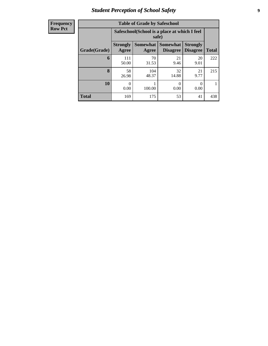### *Student Perception of School Safety* **9**

| <b>Frequency</b> |
|------------------|
| <b>Row Pct</b>   |

| <b>Table of Grade by Safeschool</b> |                          |                                                        |                                    |                                    |              |  |  |  |  |
|-------------------------------------|--------------------------|--------------------------------------------------------|------------------------------------|------------------------------------|--------------|--|--|--|--|
|                                     |                          | Safeschool (School is a place at which I feel<br>safe) |                                    |                                    |              |  |  |  |  |
| Grade(Grade)                        | <b>Strongly</b><br>Agree | Somewhat<br>Agree                                      | <b>Somewhat</b><br><b>Disagree</b> | <b>Strongly</b><br><b>Disagree</b> | <b>Total</b> |  |  |  |  |
| 6                                   | 111<br>50.00             | 70<br>31.53                                            | 21<br>9.46                         | 20<br>9.01                         | 222          |  |  |  |  |
| 8                                   | 58<br>26.98              | 104<br>48.37                                           | 32<br>14.88                        | 21<br>9.77                         | 215          |  |  |  |  |
| 10                                  | 0<br>0.00                | 100.00                                                 | 0<br>0.00                          | 0<br>0.00                          |              |  |  |  |  |
| <b>Total</b>                        | 169                      | 175                                                    | 53                                 | 41                                 | 438          |  |  |  |  |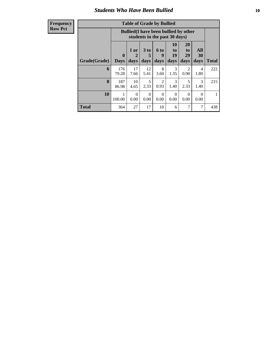#### *Students Who Have Been Bullied* **10**

**Frequency Row Pct**

| <b>Table of Grade by Bullied</b> |                  |                                                                               |                              |                        |                               |                        |                          |              |  |
|----------------------------------|------------------|-------------------------------------------------------------------------------|------------------------------|------------------------|-------------------------------|------------------------|--------------------------|--------------|--|
|                                  |                  | <b>Bullied</b> (I have been bullied by other<br>students in the past 30 days) |                              |                        |                               |                        |                          |              |  |
| Grade(Grade)                     | 0<br><b>Days</b> | 1 or<br>2<br>days                                                             | 3 <sub>to</sub><br>5<br>days | 6 to<br>9<br>days      | <b>10</b><br>to<br>19<br>days | 20<br>to<br>29<br>days | All<br><b>30</b><br>days | <b>Total</b> |  |
| 6                                | 176<br>79.28     | 17<br>7.66                                                                    | 12<br>5.41                   | 8<br>3.60              | 3<br>1.35                     | 2<br>0.90              | 4<br>1.80                | 222          |  |
| 8                                | 187<br>86.98     | 10<br>4.65                                                                    | 5<br>2.33                    | $\overline{2}$<br>0.93 | $\mathcal{F}$<br>1.40         | 5<br>2.33              | $\mathcal{R}$<br>1.40    | 215          |  |
| 10                               | 1<br>100.00      | $\Omega$<br>0.00                                                              | $\Omega$<br>0.00             | $\Omega$<br>0.00       | $\Omega$<br>0.00              | $\Omega$<br>0.00       | $\Omega$<br>0.00         |              |  |
| <b>Total</b>                     | 364              | 27                                                                            | 17                           | 10                     | 6                             | 7                      | 7                        | 438          |  |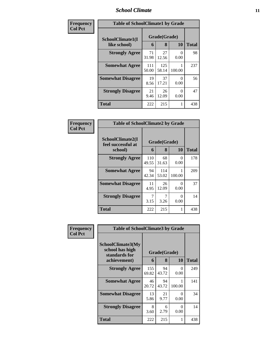#### *School Climate* **11**

| Frequency      | <b>Table of SchoolClimate1 by Grade</b> |              |                   |           |       |  |  |
|----------------|-----------------------------------------|--------------|-------------------|-----------|-------|--|--|
| <b>Col Pct</b> | SchoolClimate1(I<br>like school)        | 6            | Grade(Grade)<br>8 | 10        | Total |  |  |
|                | <b>Strongly Agree</b>                   | 71<br>31.98  | 27<br>12.56       | 0<br>0.00 | 98    |  |  |
|                | <b>Somewhat Agree</b>                   | 111<br>50.00 | 125<br>58.14      | 100.00    | 237   |  |  |
|                | <b>Somewhat Disagree</b>                | 19<br>8.56   | 37<br>17.21       | 0<br>0.00 | 56    |  |  |
|                | <b>Strongly Disagree</b>                | 21<br>9.46   | 26<br>12.09       | 0<br>0.00 | 47    |  |  |
|                | <b>Total</b>                            | 222          | 215               |           | 438   |  |  |

| Frequency      | <b>Table of SchoolClimate2 by Grade</b>           |              |                   |           |              |
|----------------|---------------------------------------------------|--------------|-------------------|-----------|--------------|
| <b>Col Pct</b> | SchoolClimate2(I<br>feel successful at<br>school) | 6            | Grade(Grade)<br>8 | 10        | <b>Total</b> |
|                | <b>Strongly Agree</b>                             | 110<br>49.55 | 68<br>31.63       | 0<br>0.00 | 178          |
|                | <b>Somewhat Agree</b>                             | 94<br>42.34  | 114<br>53.02      | 100.00    | 209          |
|                | <b>Somewhat Disagree</b>                          | 11<br>4.95   | 26<br>12.09       | 0<br>0.00 | 37           |
|                | <b>Strongly Disagree</b>                          | 3.15         | 3.26              | 0<br>0.00 | 14           |
|                | <b>Total</b>                                      | 222          | 215               | 1         | 438          |

| Frequency      | <b>Table of SchoolClimate3 by Grade</b>                               |              |                   |                  |              |  |  |
|----------------|-----------------------------------------------------------------------|--------------|-------------------|------------------|--------------|--|--|
| <b>Col Pct</b> | SchoolClimate3(My<br>school has high<br>standards for<br>achievement) | 6            | Grade(Grade)<br>8 | <b>10</b>        | <b>Total</b> |  |  |
|                | <b>Strongly Agree</b>                                                 | 155<br>69.82 | 94<br>43.72       | 0<br>0.00        | 249          |  |  |
|                | <b>Somewhat Agree</b>                                                 | 46<br>20.72  | 94<br>43.72       | 100.00           | 141          |  |  |
|                | <b>Somewhat Disagree</b>                                              | 13<br>5.86   | 21<br>9.77        | 0<br>0.00        | 34           |  |  |
|                | <b>Strongly Disagree</b>                                              | 8<br>3.60    | 6<br>2.79         | $\Omega$<br>0.00 | 14           |  |  |
|                | <b>Total</b>                                                          | 222          | 215               | 1                | 438          |  |  |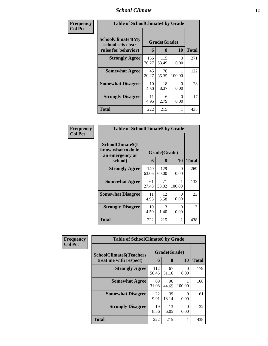# *School Climate* **12**

| Frequency      |                                                               | <b>Table of SchoolClimate4 by Grade</b> |                   |           |              |  |  |  |
|----------------|---------------------------------------------------------------|-----------------------------------------|-------------------|-----------|--------------|--|--|--|
| <b>Col Pct</b> | SchoolClimate4(My<br>school sets clear<br>rules for behavior) | 6                                       | Grade(Grade)<br>8 | <b>10</b> | <b>Total</b> |  |  |  |
|                | <b>Strongly Agree</b>                                         | 156<br>70.27                            | 115<br>53.49      | 0<br>0.00 | 271          |  |  |  |
|                | <b>Somewhat Agree</b>                                         | 45<br>20.27                             | 76<br>35.35       | 100.00    | 122          |  |  |  |
|                | <b>Somewhat Disagree</b>                                      | 10<br>4.50                              | 18<br>8.37        | 0<br>0.00 | 28           |  |  |  |
|                | <b>Strongly Disagree</b>                                      | 11<br>4.95                              | 6<br>2.79         | 0<br>0.00 | 17           |  |  |  |
|                | Total                                                         | 222                                     | 215               |           | 438          |  |  |  |

| Frequency<br>Col Pct |
|----------------------|
|                      |

| <b>Table of SchoolClimate5 by Grade</b>                   |              |              |           |       |  |  |
|-----------------------------------------------------------|--------------|--------------|-----------|-------|--|--|
| SchoolClimate5(I<br>know what to do in<br>an emergency at | Grade(Grade) |              |           |       |  |  |
| school)                                                   | 6            | 8            | 10        | Total |  |  |
| <b>Strongly Agree</b>                                     | 140<br>63.06 | 129<br>60.00 | 0<br>0.00 | 269   |  |  |
| <b>Somewhat Agree</b>                                     | 61<br>27.48  | 71<br>33.02  | 100.00    | 133   |  |  |
| <b>Somewhat Disagree</b>                                  | 11<br>4.95   | 12<br>5.58   | 0<br>0.00 | 23    |  |  |
| <b>Strongly Disagree</b>                                  | 10<br>4.50   | 3<br>1.40    | 0<br>0.00 | 13    |  |  |
| Total                                                     | 222          | 215          | 1         | 438   |  |  |

| Frequency      | <b>Table of SchoolClimate6 by Grade</b> |              |             |           |              |
|----------------|-----------------------------------------|--------------|-------------|-----------|--------------|
| <b>Col Pct</b> | <b>SchoolClimate6(Teachers</b>          | Grade(Grade) |             |           |              |
|                | treat me with respect)                  | 6            | 8           | <b>10</b> | <b>Total</b> |
|                | <b>Strongly Agree</b>                   | 112<br>50.45 | 67<br>31.16 | ∩<br>0.00 | 179          |
|                | <b>Somewhat Agree</b>                   | 69<br>31.08  | 96<br>44.65 | 100.00    | 166          |
|                | <b>Somewhat Disagree</b>                | 22<br>9.91   | 39<br>18.14 | ∩<br>0.00 | 61           |
|                | <b>Strongly Disagree</b>                | 19<br>8.56   | 13<br>6.05  | 0.00      | 32           |
|                | <b>Total</b>                            | 222          | 215         |           | 438          |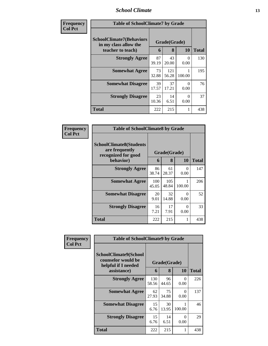#### *School Climate* **13**

| Frequency<br><b>Col Pct</b> | <b>Table of SchoolClimate7 by Grade</b>                                       |             |                   |           |              |
|-----------------------------|-------------------------------------------------------------------------------|-------------|-------------------|-----------|--------------|
|                             | <b>SchoolClimate7(Behaviors</b><br>in my class allow the<br>teacher to teach) | 6           | Grade(Grade)<br>8 | <b>10</b> | <b>Total</b> |
|                             | <b>Strongly Agree</b>                                                         | 87<br>39.19 | 43<br>20.00       | 0<br>0.00 | 130          |
|                             | <b>Somewhat Agree</b>                                                         | 73<br>32.88 | 121<br>56.28      | 100.00    | 195          |
|                             | <b>Somewhat Disagree</b>                                                      | 39<br>17.57 | 37<br>17.21       | 0<br>0.00 | 76           |
|                             | <b>Strongly Disagree</b>                                                      | 23<br>10.36 | 14<br>6.51        | 0<br>0.00 | 37           |
|                             | <b>Total</b>                                                                  | 222         | 215               |           | 438          |

| Frequency      | <b>Table of SchoolClimate8 by Grade</b>                                              |              |                   |                      |              |
|----------------|--------------------------------------------------------------------------------------|--------------|-------------------|----------------------|--------------|
| <b>Col Pct</b> | <b>SchoolClimate8(Students</b><br>are frequently<br>recognized for good<br>behavior) | 6            | Grade(Grade)<br>8 | <b>10</b>            | <b>Total</b> |
|                | <b>Strongly Agree</b>                                                                | 86           | 61                | $\theta$             | 147          |
|                |                                                                                      | 38.74        | 28.37             | 0.00                 |              |
|                | <b>Somewhat Agree</b>                                                                | 100<br>45.05 | 105<br>48.84      | 100.00               | 206          |
|                | <b>Somewhat Disagree</b>                                                             | 20<br>9.01   | 32<br>14.88       | $\mathbf{0}$<br>0.00 | 52           |
|                | <b>Strongly Disagree</b>                                                             | 16<br>7.21   | 17<br>7.91        | $\mathbf{0}$<br>0.00 | 33           |
|                | Total                                                                                | 222          | 215               |                      | 438          |

| Frequency      | <b>Table of SchoolClimate9 by Grade</b>                                           |              |                   |                  |              |
|----------------|-----------------------------------------------------------------------------------|--------------|-------------------|------------------|--------------|
| <b>Col Pct</b> | SchoolClimate9(School<br>counselor would be<br>helpful if I needed<br>assistance) | 6            | Grade(Grade)<br>8 | 10               | <b>Total</b> |
|                | <b>Strongly Agree</b>                                                             | 130<br>58.56 | 96<br>44.65       | 0<br>0.00        | 226          |
|                | <b>Somewhat Agree</b>                                                             | 62<br>27.93  | 75<br>34.88       | $\theta$<br>0.00 | 137          |
|                | <b>Somewhat Disagree</b>                                                          | 15<br>6.76   | 30<br>13.95       | 100.00           | 46           |
|                | <b>Strongly Disagree</b>                                                          | 15<br>6.76   | 14<br>6.51        | 0<br>0.00        | 29           |
|                | <b>Total</b>                                                                      | 222          | 215               |                  | 438          |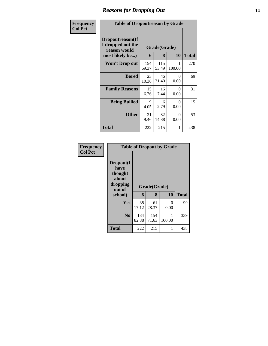### *Reasons for Dropping Out* **14**

| <b>Frequency</b> | <b>Table of Dropoutreason by Grade</b>                                   |              |                   |                  |              |
|------------------|--------------------------------------------------------------------------|--------------|-------------------|------------------|--------------|
| <b>Col Pct</b>   | Dropoutreason(If<br>I dropped out the<br>reason would<br>most likely be) | 6            | Grade(Grade)<br>8 | <b>10</b>        | <b>Total</b> |
|                  | <b>Won't Drop out</b>                                                    | 154<br>69.37 | 115<br>53.49      | 1<br>100.00      | 270          |
|                  | <b>Bored</b>                                                             | 23<br>10.36  | 46<br>21.40       | 0<br>0.00        | 69           |
|                  | <b>Family Reasons</b>                                                    | 15<br>6.76   | 16<br>7.44        | $\Omega$<br>0.00 | 31           |
|                  | <b>Being Bullied</b>                                                     | 9<br>4.05    | 6<br>2.79         | $\Omega$<br>0.00 | 15           |
|                  | <b>Other</b>                                                             | 21<br>9.46   | 32<br>14.88       | 0<br>0.00        | 53           |
|                  | Total                                                                    | 222          | 215               | 1                | 438          |

| Frequency<br><b>Col Pct</b> | <b>Table of Dropout by Grade</b>                                       |              |                   |           |              |  |  |
|-----------------------------|------------------------------------------------------------------------|--------------|-------------------|-----------|--------------|--|--|
|                             | Dropout(I<br>have<br>thought<br>about<br>dropping<br>out of<br>school) | 6            | Grade(Grade)<br>8 | 10        | <b>Total</b> |  |  |
|                             | Yes                                                                    | 38<br>17.12  | 61<br>28.37       | 0<br>0.00 | 99           |  |  |
|                             | N <sub>0</sub>                                                         | 184<br>82.88 | 154<br>71.63      | 100.00    | 339          |  |  |
|                             | <b>Total</b>                                                           | 222          | 215               | 1         | 438          |  |  |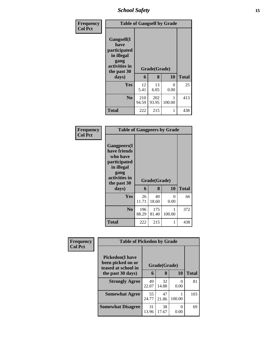*School Safety* **15**

| Frequency<br><b>Col Pct</b> | <b>Table of Gangself by Grade</b>                                                                         |              |                   |           |              |  |  |
|-----------------------------|-----------------------------------------------------------------------------------------------------------|--------------|-------------------|-----------|--------------|--|--|
|                             | <b>Gangself</b> (I<br>have<br>participated<br>in illegal<br>gang<br>activities in<br>the past 30<br>days) | 6            | Grade(Grade)<br>8 | 10        | <b>Total</b> |  |  |
|                             | Yes                                                                                                       | 12<br>5.41   | 13<br>6.05        | 0<br>0.00 | 25           |  |  |
|                             | N <sub>0</sub>                                                                                            | 210<br>94.59 | 202<br>93.95      | 100.00    | 413          |  |  |
|                             | <b>Total</b>                                                                                              | 222          | 215               |           | 438          |  |  |

#### **Frequency Col Pct**

| <b>Table of Gangpeers by Grade</b>                                                           |              |              |             |              |  |  |  |
|----------------------------------------------------------------------------------------------|--------------|--------------|-------------|--------------|--|--|--|
| <b>Gangpeers</b> (I<br>have friends<br>who have<br><i>participated</i><br>in illegal<br>gang |              |              |             |              |  |  |  |
| activities in<br>the past 30                                                                 |              | Grade(Grade) |             |              |  |  |  |
| days)                                                                                        | 6            | 8            | 10          | <b>Total</b> |  |  |  |
| Yes                                                                                          | 26<br>11.71  | 40<br>18.60  | 0<br>0.00   | 66           |  |  |  |
| N <sub>0</sub>                                                                               | 196<br>88.29 | 175<br>81.40 | 1<br>100.00 | 372          |  |  |  |

ī

| Frequency      | <b>Table of Pickedon by Grade</b>                                   |             |              |           |              |
|----------------|---------------------------------------------------------------------|-------------|--------------|-----------|--------------|
| <b>Col Pct</b> | <b>Pickedon</b> (I have<br>been picked on or<br>teased at school in |             | Grade(Grade) |           |              |
|                | the past 30 days)                                                   | 6           | 8            | 10        | <b>Total</b> |
|                | <b>Strongly Agree</b>                                               | 49<br>22.07 | 32<br>14.88  | 0<br>0.00 | 81           |
|                | <b>Somewhat Agree</b>                                               | 55<br>24.77 | 47<br>21.86  | 100.00    | 103          |
|                | <b>Somewhat Disagree</b>                                            | 31<br>13.96 | 38<br>17.67  | 0<br>0.00 | 69           |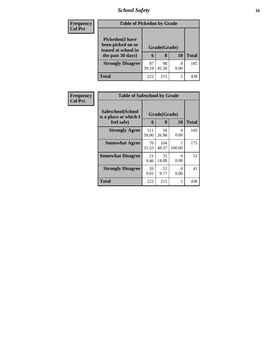# *School Safety* **16**

| <b>Frequency</b> | <b>Table of Pickedon by Grade</b>                                   |             |              |      |              |
|------------------|---------------------------------------------------------------------|-------------|--------------|------|--------------|
| <b>Col Pct</b>   | <b>Pickedon</b> (I have<br>been picked on or<br>teased at school in |             | Grade(Grade) |      |              |
|                  | the past 30 days)                                                   | 6           | 8            | 10   | <b>Total</b> |
|                  | <b>Strongly Disagree</b>                                            | 87<br>39.19 | 98<br>45.58  | 0.00 | 185          |
|                  | Total                                                               | 222         | 215          |      | 438          |

| <b>Frequency</b> |                                                          | <b>Table of Safeschool by Grade</b> |                   |                  |              |  |  |  |  |  |  |
|------------------|----------------------------------------------------------|-------------------------------------|-------------------|------------------|--------------|--|--|--|--|--|--|
| <b>Col Pct</b>   | Safeschool(School<br>is a place at which I<br>feel safe) | 6                                   | Grade(Grade)<br>8 | <b>10</b>        | <b>Total</b> |  |  |  |  |  |  |
|                  | <b>Strongly Agree</b>                                    | 111<br>50.00                        | 58<br>26.98       | $\Omega$<br>0.00 | 169          |  |  |  |  |  |  |
|                  | <b>Somewhat Agree</b>                                    | 70<br>31.53                         | 104<br>48.37      | 100.00           | 175          |  |  |  |  |  |  |
|                  | <b>Somewhat Disagree</b>                                 | 21<br>9.46                          | 32<br>14.88       | ∩<br>0.00        | 53           |  |  |  |  |  |  |
|                  | <b>Strongly Disagree</b>                                 | 20<br>9.01                          | 21<br>9.77        | 0<br>0.00        | 41           |  |  |  |  |  |  |
|                  | <b>Total</b>                                             | 222                                 | 215               | 1                | 438          |  |  |  |  |  |  |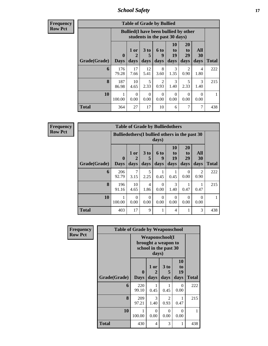*School Safety* **17**

**Frequency Row Pct**

| <b>Table of Grade by Bullied</b> |                             |                                                                               |                              |                          |                               |                        |                   |              |  |  |
|----------------------------------|-----------------------------|-------------------------------------------------------------------------------|------------------------------|--------------------------|-------------------------------|------------------------|-------------------|--------------|--|--|
|                                  |                             | <b>Bullied</b> (I have been bullied by other<br>students in the past 30 days) |                              |                          |                               |                        |                   |              |  |  |
| Grade(Grade)                     | $\mathbf{0}$<br><b>Days</b> | 1 or<br>2<br>days                                                             | 3 <sub>to</sub><br>5<br>days | <b>6 to</b><br>9<br>days | <b>10</b><br>to<br>19<br>days | 20<br>to<br>29<br>days | All<br>30<br>days | <b>Total</b> |  |  |
| 6                                | 176<br>79.28                | 17<br>7.66                                                                    | 12<br>5.41                   | 8<br>3.60                | 3<br>1.35                     | 2<br>0.90              | 4<br>1.80         | 222          |  |  |
| 8                                | 187<br>86.98                | 10<br>4.65                                                                    | 5<br>2.33                    | $\overline{2}$<br>0.93   | $\mathcal{R}$<br>1.40         | 5<br>2.33              | 3<br>1.40         | 215          |  |  |
| 10                               | 1<br>100.00                 | $\Omega$<br>0.00                                                              | $\Omega$<br>0.00             | $\Omega$<br>0.00         | 0<br>0.00                     | $\Omega$<br>0.00       | $\Omega$<br>0.00  | 1            |  |  |
| <b>Total</b>                     | 364                         | 27                                                                            | 17                           | 10                       | 6                             | $\overline{7}$         | 7                 | 438          |  |  |

**Frequency Row Pct**

| <b>Table of Grade by Bulliedothers</b> |                             |                                                          |                         |                   |                                    |                        |                          |              |  |  |
|----------------------------------------|-----------------------------|----------------------------------------------------------|-------------------------|-------------------|------------------------------------|------------------------|--------------------------|--------------|--|--|
|                                        |                             | Bullied others (I bullied others in the past 30<br>days) |                         |                   |                                    |                        |                          |              |  |  |
| Grade(Grade)                           | $\mathbf{0}$<br><b>Days</b> | 1 or<br>2<br>days                                        | 3 <sub>to</sub><br>days | 6 to<br>9<br>days | 10<br>t <sub>0</sub><br>19<br>days | 20<br>to<br>29<br>days | <b>All</b><br>30<br>days | <b>Total</b> |  |  |
| 6                                      | 206<br>92.79                | 7<br>3.15                                                | 5<br>2.25               | 0.45              | 0.45                               | 0<br>0.00              | $\mathfrak{D}$<br>0.90   | 222          |  |  |
| 8                                      | 196<br>91.16                | 10<br>4.65                                               | 4<br>1.86               | $\Omega$<br>0.00  | 3<br>1.40                          | 0.47                   | 0.47                     | 215          |  |  |
| 10                                     | 100.00                      | $\Omega$<br>0.00                                         | $\Omega$<br>0.00        | $\Omega$<br>0.00  | $\Omega$<br>0.00                   | 0<br>0.00              | $\Omega$<br>0.00         |              |  |  |
| <b>Total</b>                           | 403                         | 17                                                       | 9                       |                   | 4                                  |                        | 3                        | 438          |  |  |

| <b>Frequency</b> | <b>Table of Grade by Weaponschool</b> |                                                                |                   |                        |                        |              |
|------------------|---------------------------------------|----------------------------------------------------------------|-------------------|------------------------|------------------------|--------------|
| <b>Row Pct</b>   |                                       | Weaponschool(I<br>brought a weapon to<br>school in the past 30 |                   |                        |                        |              |
|                  | Grade(Grade)                          | $\bf{0}$<br><b>Days</b>                                        | 1 or<br>2<br>days | 3 to<br>5<br>days      | 10<br>to<br>19<br>days | <b>Total</b> |
|                  | 6                                     | 220<br>99.10                                                   | 0.45              | 0.45                   | 0<br>0.00              | 222          |
|                  | 8                                     | 209<br>97.21                                                   | 3<br>1.40         | $\mathfrak{D}$<br>0.93 | 0.47                   | 215          |
|                  | 10                                    | 1<br>100.00                                                    | $\Omega$<br>0.00  | 0<br>0.00              | 0<br>0.00              | 1            |
|                  | Total                                 | 430                                                            | 4                 | 3                      |                        | 438          |

٦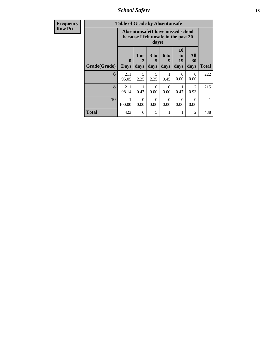*School Safety* **18**

| <b>Frequency</b> |              | <b>Table of Grade by Absentunsafe</b> |                                                                                    |                              |                              |                        |                        |              |  |  |  |
|------------------|--------------|---------------------------------------|------------------------------------------------------------------------------------|------------------------------|------------------------------|------------------------|------------------------|--------------|--|--|--|
| <b>Row Pct</b>   |              |                                       | Absentunsafe(I have missed school<br>because I felt unsafe in the past 30<br>days) |                              |                              |                        |                        |              |  |  |  |
|                  | Grade(Grade) | $\mathbf{0}$<br><b>Days</b>           | $1$ or<br>2<br>days                                                                | 3 <sub>to</sub><br>5<br>days | 6 <sub>to</sub><br>9<br>days | 10<br>to<br>19<br>days | All<br>30<br>days      | <b>Total</b> |  |  |  |
|                  | 6            | 211<br>95.05                          | 5<br>2.25                                                                          | 5<br>2.25                    | 1<br>0.45                    | $\Omega$<br>0.00       | $\Omega$<br>0.00       | 222          |  |  |  |
|                  | 8            | 211<br>98.14                          | 0.47                                                                               | $\Omega$<br>0.00             | $\Omega$<br>0.00             | 0.47                   | $\overline{2}$<br>0.93 | 215          |  |  |  |
|                  | 10           | 1<br>100.00                           | $\Omega$<br>0.00                                                                   | $\Omega$<br>0.00             | $\Omega$<br>0.00             | $\Omega$<br>0.00       | $\Omega$<br>0.00       | 1            |  |  |  |
|                  | <b>Total</b> | 423                                   | 6                                                                                  | 5                            | 1                            | 1                      | $\overline{2}$         | 438          |  |  |  |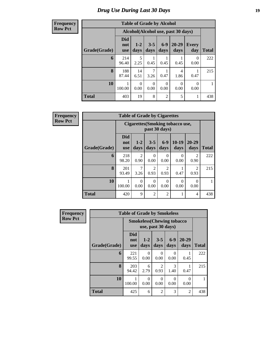#### **Frequency Row Pct**

| <b>Table of Grade by Alcohol</b> |                                 |                 |                  |                  |                                    |                     |              |  |  |  |
|----------------------------------|---------------------------------|-----------------|------------------|------------------|------------------------------------|---------------------|--------------|--|--|--|
|                                  |                                 |                 |                  |                  | Alcohol(Alcohol use, past 30 days) |                     |              |  |  |  |
| Grade(Grade)                     | <b>Did</b><br>not<br><b>use</b> | $1 - 2$<br>days | $3 - 5$<br>days  | $6 - 9$<br>days  | 20-29<br>days                      | <b>Every</b><br>day | <b>Total</b> |  |  |  |
| 6                                | 214<br>96.40                    | 5<br>2.25       | 0.45             | 0.45             | 0.45                               | 0<br>0.00           | 222          |  |  |  |
| 8                                | 188<br>87.44                    | 14<br>6.51      | 7<br>3.26        | 0.47             | 4<br>1.86                          | 0.47                | 215          |  |  |  |
| 10                               | 100.00                          | 0<br>0.00       | $\Omega$<br>0.00 | $\Omega$<br>0.00 | $\Omega$<br>0.00                   | 0<br>0.00           |              |  |  |  |
| <b>Total</b>                     | 403                             | 19              | 8                | $\overline{2}$   | 5                                  | 1                   | 438          |  |  |  |

| Frequency      |              | <b>Table of Grade by Cigarettes</b> |                                                   |                        |                                     |                  |                        |              |  |  |  |  |
|----------------|--------------|-------------------------------------|---------------------------------------------------|------------------------|-------------------------------------|------------------|------------------------|--------------|--|--|--|--|
| <b>Row Pct</b> |              |                                     | Cigarettes (Smoking tobacco use,<br>past 30 days) |                        |                                     |                  |                        |              |  |  |  |  |
|                | Grade(Grade) | <b>Did</b><br>not<br><b>use</b>     | $1 - 2$<br>days                                   | $3 - 5$<br>days        | $6-9$<br>days                       | $10-19$<br>days  | $20 - 29$<br>days      | <b>Total</b> |  |  |  |  |
|                | 6            | 218<br>98.20                        | 2<br>0.90                                         | $\theta$<br>0.00       | 0<br>0.00                           | $\theta$<br>0.00 | $\overline{2}$<br>0.90 | 222          |  |  |  |  |
|                | 8            | 201<br>93.49                        | 7<br>3.26                                         | $\mathfrak{D}$<br>0.93 | $\mathcal{D}_{\mathcal{A}}$<br>0.93 | 0.47             | $\mathfrak{D}$<br>0.93 | 215          |  |  |  |  |
|                | 10           | 100.00                              | $\Omega$<br>0.00                                  | $\Omega$<br>0.00       | $\Omega$<br>0.00                    | $\theta$<br>0.00 | $\Omega$<br>0.00       | 1            |  |  |  |  |
|                | <b>Total</b> | 420                                 | 9                                                 | 2                      | $\overline{2}$                      | 1                | 4                      | 438          |  |  |  |  |

| <b>Frequency</b> | <b>Table of Grade by Smokeless</b> |                                   |                  |                       |                  |                  |              |  |  |  |
|------------------|------------------------------------|-----------------------------------|------------------|-----------------------|------------------|------------------|--------------|--|--|--|
| <b>Row Pct</b>   |                                    | <b>Smokeless</b> (Chewing tobacco |                  |                       |                  |                  |              |  |  |  |
|                  | Grade(Grade)                       | Did<br>not<br><b>use</b>          | $1 - 2$<br>days  | $3 - 5$<br>days       | $6 - 9$<br>days  | 20-29<br>days    | <b>Total</b> |  |  |  |
|                  | 6                                  | 221<br>99.55                      | 0<br>0.00        | $\Omega$<br>0.00      | $\Omega$<br>0.00 | 0.45             | 222          |  |  |  |
|                  | 8                                  | 203<br>94.42                      | 6<br>2.79        | $\mathcal{D}$<br>0.93 | 3<br>1.40        | 0.47             | 215          |  |  |  |
|                  | 10                                 | 100.00                            | $\Omega$<br>0.00 | $\Omega$<br>0.00      | $\Omega$<br>0.00 | $\Omega$<br>0.00 |              |  |  |  |
|                  | <b>Total</b>                       | 425                               | 6                | $\overline{2}$        | 3                | $\overline{2}$   | 438          |  |  |  |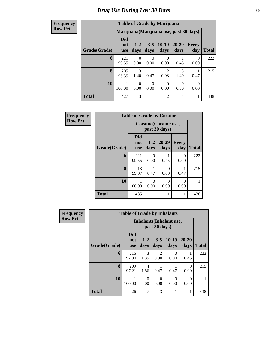| <b>Frequency</b><br>Row Pct |
|-----------------------------|

| <b>Table of Grade by Marijuana</b> |                          |                  |                  |                 |                                         |                       |              |  |  |  |
|------------------------------------|--------------------------|------------------|------------------|-----------------|-----------------------------------------|-----------------------|--------------|--|--|--|
|                                    |                          |                  |                  |                 | Marijuana (Marijuana use, past 30 days) |                       |              |  |  |  |
| Grade(Grade)                       | <b>Did</b><br>not<br>use | $1 - 2$<br>days  | $3 - 5$<br>days  | $10-19$<br>days | 20-29<br>days                           | <b>Every</b><br>day   | <b>Total</b> |  |  |  |
| 6                                  | 221<br>99.55             | $\theta$<br>0.00 | 0<br>0.00        | 0<br>0.00       | 0.45                                    | $\mathcal{O}$<br>0.00 | 222          |  |  |  |
| 8                                  | 205<br>95.35             | 3<br>1.40        | 1<br>0.47        | 2<br>0.93       | 3<br>1.40                               | 0.47                  | 215          |  |  |  |
| 10                                 | 100.00                   | 0<br>0.00        | $\Omega$<br>0.00 | 0<br>0.00       | 0<br>0.00                               | 0.00                  |              |  |  |  |
| Total                              | 427                      | 3                | 1                | $\overline{2}$  | $\overline{4}$                          |                       | 438          |  |  |  |

| <b>Frequency</b> |              | <b>Table of Grade by Cocaine</b> |               |                   |                     |              |
|------------------|--------------|----------------------------------|---------------|-------------------|---------------------|--------------|
| <b>Row Pct</b>   |              | <b>Cocaine</b> (Cocaine use,     |               |                   |                     |              |
|                  | Grade(Grade) | Did<br>not<br><b>use</b>         | $1-2$<br>days | $20 - 29$<br>days | <b>Every</b><br>day | <b>Total</b> |
|                  | 6            | 221<br>99.55                     | 0<br>0.00     | 0.45              | 0<br>0.00           | 222          |
|                  | 8            | 213<br>99.07                     | 0.47          | 0<br>0.00         | 0.47                | 215          |
|                  | 10           | 100.00                           | 0<br>0.00     | 0<br>0.00         | $\Omega$<br>0.00    |              |
|                  | <b>Total</b> | 435                              | 1             | 1                 |                     | 438          |

| <b>Frequency</b> |              | <b>Table of Grade by Inhalants</b> |                 |                  |                  |                   |              |
|------------------|--------------|------------------------------------|-----------------|------------------|------------------|-------------------|--------------|
| <b>Row Pct</b>   |              | <b>Inhalants</b> (Inhalant use,    |                 |                  |                  |                   |              |
|                  | Grade(Grade) | <b>Did</b><br>not<br><b>use</b>    | $1 - 2$<br>days | $3 - 5$<br>days  | $10-19$<br>days  | $20 - 29$<br>days | <b>Total</b> |
|                  | 6            | 216<br>97.30                       | 3<br>1.35       | 2<br>0.90        | $\Omega$<br>0.00 | 0.45              | 222          |
|                  | 8            | 209<br>97.21                       | 4<br>1.86       | 0.47             | 0.47             | $\Omega$<br>0.00  | 215          |
|                  | 10           | 100.00                             | 0<br>0.00       | $\Omega$<br>0.00 | $\Omega$<br>0.00 | $\Omega$<br>0.00  |              |
|                  | <b>Total</b> | 426                                | 7               | 3                | 1                | 1                 | 438          |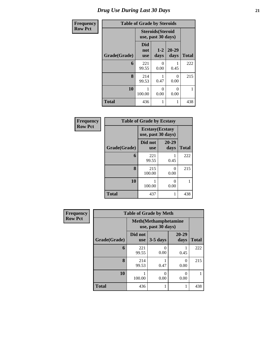# *Drug Use During Last 30 Days* **21**

| Frequency      | <b>Table of Grade by Steroids</b> |                                 |                                                |                   |              |  |  |  |  |
|----------------|-----------------------------------|---------------------------------|------------------------------------------------|-------------------|--------------|--|--|--|--|
| <b>Row Pct</b> |                                   |                                 | <b>Steroids</b> (Steroid<br>use, past 30 days) |                   |              |  |  |  |  |
|                | Grade(Grade)                      | <b>Did</b><br>not<br><b>use</b> | $1 - 2$<br>days                                | $20 - 29$<br>days | <b>Total</b> |  |  |  |  |
|                | 6                                 | 221<br>99.55                    | 0<br>0.00                                      | 0.45              | 222          |  |  |  |  |
|                | 8                                 | 214<br>99.53                    | 0.47                                           | 0<br>0.00         | 215          |  |  |  |  |
|                | 10                                | 100.00                          | 0<br>0.00                                      | 0<br>0.00         | 1            |  |  |  |  |
|                | <b>Total</b>                      | 436                             | 1                                              | 1                 | 438          |  |  |  |  |

| Frequency      | <b>Table of Grade by Ecstasy</b> |                                               |               |              |  |  |  |
|----------------|----------------------------------|-----------------------------------------------|---------------|--------------|--|--|--|
| <b>Row Pct</b> |                                  | <b>Ecstasy</b> (Ecstasy<br>use, past 30 days) |               |              |  |  |  |
|                | Grade(Grade)                     | Did not<br><b>use</b>                         | 20-29<br>days | <b>Total</b> |  |  |  |
|                | 6                                | 221<br>99.55                                  | 0.45          | 222          |  |  |  |
|                | 8                                | 215<br>100.00                                 | 0<br>0.00     | 215          |  |  |  |
|                | 10                               | 100.00                                        | ∩<br>0.00     |              |  |  |  |
|                | <b>Total</b>                     | 437                                           | 1             | 438          |  |  |  |

| Frequency      | <b>Table of Grade by Meth</b> |                                                    |            |               |              |  |  |  |
|----------------|-------------------------------|----------------------------------------------------|------------|---------------|--------------|--|--|--|
| <b>Row Pct</b> |                               | <b>Meth</b> (Methamphetamine<br>use, past 30 days) |            |               |              |  |  |  |
|                | Grade(Grade)                  | Did not<br><b>use</b>                              | $3-5$ days | 20-29<br>days | <b>Total</b> |  |  |  |
|                | 6                             | 221<br>99.55                                       | 0<br>0.00  | 0.45          | 222          |  |  |  |
|                | 8                             | 214<br>99.53                                       | 0.47       | 0<br>0.00     | 215          |  |  |  |
|                | 10                            | 100.00                                             | 0<br>0.00  | ∩<br>0.00     |              |  |  |  |
|                | <b>Total</b>                  | 436                                                |            |               | 438          |  |  |  |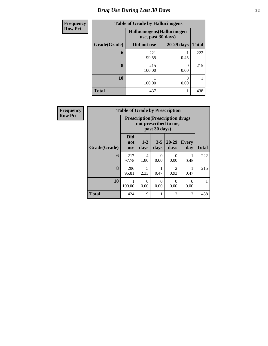# *Drug Use During Last 30 Days* **22**

| <b>Frequency</b> | <b>Table of Grade by Hallucinogens</b> |                                                   |                  |              |  |  |  |  |  |
|------------------|----------------------------------------|---------------------------------------------------|------------------|--------------|--|--|--|--|--|
| <b>Row Pct</b>   |                                        | Hallucinogens (Hallucinogen<br>use, past 30 days) |                  |              |  |  |  |  |  |
|                  | Grade(Grade)                           | Did not use                                       | 20-29 days       | <b>Total</b> |  |  |  |  |  |
|                  | 6                                      | 221<br>99.55                                      | 0.45             | 222          |  |  |  |  |  |
|                  | 8                                      | 215<br>100.00                                     | $\Omega$<br>0.00 | 215          |  |  |  |  |  |
|                  | 10                                     | 100.00                                            | 0.00             |              |  |  |  |  |  |
|                  | <b>Total</b>                           | 437                                               |                  | 438          |  |  |  |  |  |

| Frequency      | <b>Table of Grade by Prescription</b> |                                 |               |                  |                                                                   |                     |              |  |  |
|----------------|---------------------------------------|---------------------------------|---------------|------------------|-------------------------------------------------------------------|---------------------|--------------|--|--|
| <b>Row Pct</b> |                                       |                                 |               | past 30 days)    | <b>Prescription</b> (Prescription drugs)<br>not prescribed to me, |                     |              |  |  |
|                | Grade(Grade)                          | <b>Did</b><br>not<br><b>use</b> | $1-2$<br>days | $3 - 5$<br>days  | $20 - 29$<br>days                                                 | <b>Every</b><br>day | <b>Total</b> |  |  |
|                | 6                                     | 217<br>97.75                    | 4<br>1.80     | 0<br>0.00        | 0<br>0.00                                                         | 0.45                | 222          |  |  |
|                | 8                                     | 206<br>95.81                    | 5<br>2.33     | 0.47             | $\overline{2}$<br>0.93                                            | 0.47                | 215          |  |  |
|                | 10                                    | 1<br>100.00                     | 0<br>0.00     | $\Omega$<br>0.00 | $\Omega$<br>0.00                                                  | $\Omega$<br>0.00    |              |  |  |
|                | <b>Total</b>                          | 424                             | 9             | 1                | $\overline{2}$                                                    | 2                   | 438          |  |  |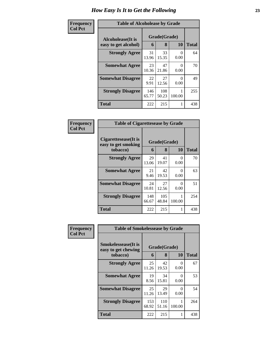| Frequency      | <b>Table of Alcoholease by Grade</b> |              |              |           |              |
|----------------|--------------------------------------|--------------|--------------|-----------|--------------|
| <b>Col Pct</b> | Alcoholease(It is                    | Grade(Grade) |              |           |              |
|                | easy to get alcohol)                 | 6            | 8            | <b>10</b> | <b>Total</b> |
|                | <b>Strongly Agree</b>                | 31<br>13.96  | 33<br>15.35  | 0<br>0.00 | 64           |
|                | <b>Somewhat Agree</b>                | 23<br>10.36  | 47<br>21.86  | 0<br>0.00 | 70           |
|                | <b>Somewhat Disagree</b>             | 22<br>9.91   | 27<br>12.56  | 0<br>0.00 | 49           |
|                | <b>Strongly Disagree</b>             | 146<br>65.77 | 108<br>50.23 | 100.00    | 255          |
|                | <b>Total</b>                         | 222          | 215          | 1         | 438          |

| Frequency      | <b>Table of Cigarettesease by Grade</b>     |              |              |                           |              |
|----------------|---------------------------------------------|--------------|--------------|---------------------------|--------------|
| <b>Col Pct</b> | Cigarettesease(It is<br>easy to get smoking | Grade(Grade) |              |                           |              |
|                | tobacco)                                    | 6            | 8            | <b>10</b>                 | <b>Total</b> |
|                | <b>Strongly Agree</b>                       | 29<br>13.06  | 41<br>19.07  | $\theta$<br>0.00          | 70           |
|                | <b>Somewhat Agree</b>                       | 21<br>9.46   | 42<br>19.53  | 0<br>0.00                 | 63           |
|                | <b>Somewhat Disagree</b>                    | 24<br>10.81  | 27<br>12.56  | $\mathbf{\Omega}$<br>0.00 | 51           |
|                | <b>Strongly Disagree</b>                    | 148<br>66.67 | 105<br>48.84 | 100.00                    | 254          |
|                | <b>Total</b>                                | 222          | 215          |                           | 438          |

| Frequency      | <b>Table of Smokelessease by Grade</b>                         |              |                   |                  |              |
|----------------|----------------------------------------------------------------|--------------|-------------------|------------------|--------------|
| <b>Col Pct</b> | <b>Smokelessease</b> (It is<br>easy to get chewing<br>tobacco) | 6            | Grade(Grade)<br>8 | <b>10</b>        | <b>Total</b> |
|                | <b>Strongly Agree</b>                                          | 25<br>11.26  | 42<br>19.53       | 0<br>0.00        | 67           |
|                | <b>Somewhat Agree</b>                                          | 19<br>8.56   | 34<br>15.81       | $\Omega$<br>0.00 | 53           |
|                | <b>Somewhat Disagree</b>                                       | 25<br>11.26  | 29<br>13.49       | 0<br>0.00        | 54           |
|                | <b>Strongly Disagree</b>                                       | 153<br>68.92 | 110<br>51.16      | 100.00           | 264          |
|                | <b>Total</b>                                                   | 222          | 215               | 1                | 438          |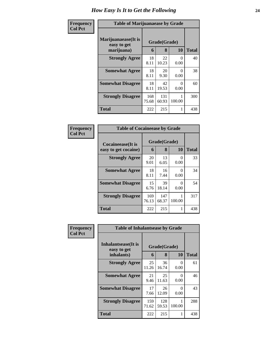| Frequency      | <b>Table of Marijuanaease by Grade</b>           |              |                   |                      |              |  |
|----------------|--------------------------------------------------|--------------|-------------------|----------------------|--------------|--|
| <b>Col Pct</b> | Marijuanaease(It is<br>easy to get<br>marijuana) | 6            | Grade(Grade)<br>8 | 10                   | <b>Total</b> |  |
|                | <b>Strongly Agree</b>                            | 18<br>8.11   | 22<br>10.23       | $\Omega$<br>0.00     | 40           |  |
|                | <b>Somewhat Agree</b>                            | 18<br>8.11   | 20<br>9.30        | $\mathbf{0}$<br>0.00 | 38           |  |
|                | <b>Somewhat Disagree</b>                         | 18<br>8.11   | 42<br>19.53       | $\mathbf{0}$<br>0.00 | 60           |  |
|                | <b>Strongly Disagree</b>                         | 168<br>75.68 | 131<br>60.93      | 100.00               | 300          |  |
|                | <b>Total</b>                                     | 222          | 215               |                      | 438          |  |

| Frequency      | <b>Table of Cocaineease by Grade</b>      |              |                   |           |              |
|----------------|-------------------------------------------|--------------|-------------------|-----------|--------------|
| <b>Col Pct</b> | Cocaineease(It is<br>easy to get cocaine) | 6            | Grade(Grade)<br>8 | <b>10</b> | <b>Total</b> |
|                | <b>Strongly Agree</b>                     | 20<br>9.01   | 13<br>6.05        | 0<br>0.00 | 33           |
|                | <b>Somewhat Agree</b>                     | 18<br>8.11   | 16<br>7.44        | 0<br>0.00 | 34           |
|                | <b>Somewhat Disagree</b>                  | 15<br>6.76   | 39<br>18.14       | 0<br>0.00 | 54           |
|                | <b>Strongly Disagree</b>                  | 169<br>76.13 | 147<br>68.37      | 100.00    | 317          |
|                | <b>Total</b>                              | 222          | 215               | 1         | 438          |

| Frequency      | <b>Table of Inhalantsease by Grade</b>                   |              |                   |           |              |
|----------------|----------------------------------------------------------|--------------|-------------------|-----------|--------------|
| <b>Col Pct</b> | <b>Inhalantsease</b> (It is<br>easy to get<br>inhalants) | 6            | Grade(Grade)<br>8 | 10        | <b>Total</b> |
|                | <b>Strongly Agree</b>                                    | 25<br>11.26  | 36<br>16.74       | 0<br>0.00 | 61           |
|                | <b>Somewhat Agree</b>                                    | 21<br>9.46   | 25<br>11.63       | 0<br>0.00 | 46           |
|                | <b>Somewhat Disagree</b>                                 | 17<br>7.66   | 26<br>12.09       | 0<br>0.00 | 43           |
|                | <b>Strongly Disagree</b>                                 | 159<br>71.62 | 128<br>59.53      | 100.00    | 288          |
|                | <b>Total</b>                                             | 222          | 215               | 1         | 438          |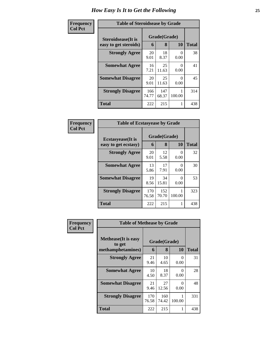| Frequency      | <b>Table of Steroidsease by Grade</b>               |              |                   |                  |       |  |
|----------------|-----------------------------------------------------|--------------|-------------------|------------------|-------|--|
| <b>Col Pct</b> | <b>Steroidsease</b> (It is<br>easy to get steroids) | 6            | Grade(Grade)<br>8 | 10               | Total |  |
|                | <b>Strongly Agree</b>                               | 20<br>9.01   | 18<br>8.37        | $\Omega$<br>0.00 | 38    |  |
|                | <b>Somewhat Agree</b>                               | 16<br>7.21   | 25<br>11.63       | 0<br>0.00        | 41    |  |
|                | <b>Somewhat Disagree</b>                            | 20<br>9.01   | 25<br>11.63       | 0<br>0.00        | 45    |  |
|                | <b>Strongly Disagree</b>                            | 166<br>74.77 | 147<br>68.37      | 100.00           | 314   |  |
|                | <b>Total</b>                                        | 222          | 215               | 1                | 438   |  |

| Frequency      | <b>Table of Ecstasyease by Grade</b>              |              |                                |                  |     |  |  |
|----------------|---------------------------------------------------|--------------|--------------------------------|------------------|-----|--|--|
| <b>Col Pct</b> | <b>Ecstasyease</b> (It is<br>easy to get ecstasy) | 6            | Grade(Grade)<br>8<br><b>10</b> |                  |     |  |  |
|                | <b>Strongly Agree</b>                             | 20<br>9.01   | 12<br>5.58                     | $\theta$<br>0.00 | 32  |  |  |
|                | <b>Somewhat Agree</b>                             | 13<br>5.86   | 17<br>7.91                     | 0<br>0.00        | 30  |  |  |
|                | <b>Somewhat Disagree</b>                          | 19<br>8.56   | 34<br>15.81                    | 0<br>0.00        | 53  |  |  |
|                | <b>Strongly Disagree</b>                          | 170<br>76.58 | 152<br>70.70                   | 100.00           | 323 |  |  |
|                | <b>Total</b>                                      | 222          | 215                            |                  | 438 |  |  |

| Frequency      | <b>Table of Methease by Grade</b>                          |              |                   |                  |              |
|----------------|------------------------------------------------------------|--------------|-------------------|------------------|--------------|
| <b>Col Pct</b> | <b>Methease</b> (It is easy<br>to get<br>methamphetamines) | 6            | Grade(Grade)<br>8 | 10               | <b>Total</b> |
|                | <b>Strongly Agree</b>                                      | 21<br>9.46   | 10<br>4.65        | 0<br>0.00        | 31           |
|                | <b>Somewhat Agree</b>                                      | 10<br>4.50   | 18<br>8.37        | 0<br>0.00        | 28           |
|                | <b>Somewhat Disagree</b>                                   | 21<br>9.46   | 27<br>12.56       | $\Omega$<br>0.00 | 48           |
|                | <b>Strongly Disagree</b>                                   | 170<br>76.58 | 160<br>74.42      | 100.00           | 331          |
|                | <b>Total</b>                                               | 222          | 215               | 1                | 438          |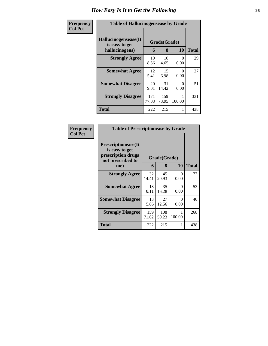| Frequency      | <b>Table of Hallucinogensease by Grade</b>               |              |                   |                      |              |  |  |  |
|----------------|----------------------------------------------------------|--------------|-------------------|----------------------|--------------|--|--|--|
| <b>Col Pct</b> | Hallucinogensease(It<br>is easy to get<br>hallucinogens) | 6            | Grade(Grade)<br>8 | 10                   | <b>Total</b> |  |  |  |
|                | <b>Strongly Agree</b>                                    | 19<br>8.56   | 10<br>4.65        | 0<br>0.00            | 29           |  |  |  |
|                | <b>Somewhat Agree</b>                                    | 12<br>5.41   | 15<br>6.98        | $\mathbf{0}$<br>0.00 | 27           |  |  |  |
|                | <b>Somewhat Disagree</b>                                 | 20<br>9.01   | 31<br>14.42       | $\theta$<br>0.00     | 51           |  |  |  |
|                | <b>Strongly Disagree</b>                                 | 171<br>77.03 | 159<br>73.95      | 100.00               | 331          |  |  |  |
|                | <b>Total</b>                                             | 222          | 215               |                      | 438          |  |  |  |

| <b>Frequency</b> |
|------------------|
| <b>Col Pct</b>   |

| <b>Table of Prescriptionease by Grade</b>                                                |              |              |             |       |  |  |  |  |  |
|------------------------------------------------------------------------------------------|--------------|--------------|-------------|-------|--|--|--|--|--|
| <b>Prescriptionease</b> (It<br>is easy to get<br>prescription drugs<br>not prescribed to | Grade(Grade) |              |             |       |  |  |  |  |  |
| me)                                                                                      | 6            | 8            | 10          | Total |  |  |  |  |  |
| <b>Strongly Agree</b>                                                                    | 32<br>14.41  | 45<br>20.93  | 0<br>0.00   | 77    |  |  |  |  |  |
| <b>Somewhat Agree</b>                                                                    | 18<br>8.11   | 35<br>16.28  | 0<br>0.00   | 53    |  |  |  |  |  |
| <b>Somewhat Disagree</b>                                                                 | 13<br>5.86   | 27<br>12.56  | 0<br>0.00   | 40    |  |  |  |  |  |
| <b>Strongly Disagree</b>                                                                 | 159<br>71.62 | 108<br>50.23 | 1<br>100.00 | 268   |  |  |  |  |  |
| Total                                                                                    | 222          | 215          | 1           | 438   |  |  |  |  |  |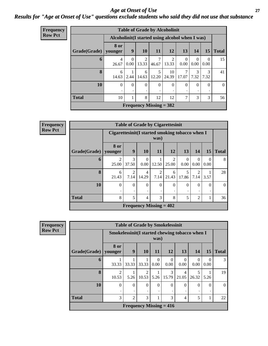#### *Age at Onset of Use* **27** *Results for "Age at Onset of Use" questions exclude students who said they did not use that substance*

| <b>Frequency</b> | <b>Table of Grade by Alcoholinit</b> |                                                  |                  |                     |                                |             |                  |           |                  |                |
|------------------|--------------------------------------|--------------------------------------------------|------------------|---------------------|--------------------------------|-------------|------------------|-----------|------------------|----------------|
| <b>Row Pct</b>   |                                      | Alcoholinit (I started using alcohol when I was) |                  |                     |                                |             |                  |           |                  |                |
|                  | Grade(Grade)                         | 8 or<br>younger                                  | 9                | <b>10</b>           | <b>11</b>                      | <b>12</b>   | 13               | 14        | <b>15</b>        | <b>Total</b>   |
|                  | 6                                    | $\overline{4}$<br>26.67                          | $\Omega$<br>0.00 | 2<br>13.33          | 7<br>46.67                     | 2<br>13.33  | $\theta$<br>0.00 | 0<br>0.00 | $\Omega$<br>0.00 | 15             |
|                  | 8                                    | 6<br>14.63                                       | 2.44             | 6<br>14.63          | 5<br>12.20                     | 10<br>24.39 | 7<br>17.07       | 3<br>7.32 | 3<br>7.32        | 41             |
|                  | 10                                   | $\theta$<br>٠                                    | $\Omega$         | $\overline{0}$<br>٠ | $\Omega$                       | $\Omega$    | $\theta$         | 0         | $\theta$         | $\overline{0}$ |
|                  | <b>Total</b>                         | 10                                               | 1                | 8                   | 12                             | 12          | 7                | 3         | 3                | 56             |
|                  |                                      |                                                  |                  |                     | <b>Frequency Missing = 382</b> |             |                  |           |                  |                |

| <b>Frequency</b> | <b>Table of Grade by Cigarettesinit</b> |                                                 |                                |                         |           |                         |                  |                        |           |              |
|------------------|-----------------------------------------|-------------------------------------------------|--------------------------------|-------------------------|-----------|-------------------------|------------------|------------------------|-----------|--------------|
| <b>Row Pct</b>   |                                         | Cigarettesinit(I started smoking tobacco when I |                                |                         | was)      |                         |                  |                        |           |              |
|                  | Grade(Grade)                            | 8 or<br>younger                                 | 9                              | 10                      | 11        | <b>12</b>               | 13               | 14                     | 15        | <b>Total</b> |
|                  | 6                                       | $\mathfrak{D}$<br>25.00                         | $\mathcal{R}$<br>37.50         | $\theta$<br>0.00        | 12.50     | $\mathfrak{D}$<br>25.00 | $\Omega$<br>0.00 | $\Omega$<br>0.00       | 0<br>0.00 | 8            |
|                  | 8                                       | 6<br>21.43                                      | $\overline{2}$<br>7.14         | $\overline{4}$<br>14.29 | 2<br>7.14 | 6<br>21.43              | 5<br>17.86       | $\overline{2}$<br>7.14 | 3.57      | 28           |
|                  | 10                                      | $\Omega$                                        | $\Omega$                       | $\Omega$<br>٠           | $\Omega$  | $\theta$<br>٠           | $\theta$         | 0                      | 0         | $\theta$     |
|                  | <b>Total</b>                            | 8                                               | 5                              | $\overline{4}$          | 3         | 8                       | 5                | $\overline{2}$         | 1         | 36           |
|                  |                                         |                                                 | <b>Frequency Missing = 402</b> |                         |           |                         |                  |                        |           |              |

|                        | <b>Table of Grade by Smokelessinit</b> |                                                         |            |           |                  |                  |                          |                  |              |
|------------------------|----------------------------------------|---------------------------------------------------------|------------|-----------|------------------|------------------|--------------------------|------------------|--------------|
|                        |                                        | Smokelessinit (I started chewing tobacco when I<br>was) |            |           |                  |                  |                          |                  |              |
| Grade(Grade)   younger | 8 or                                   | 9                                                       | <b>10</b>  | <b>11</b> | <b>12</b>        | 13               | <b>14</b>                | 15               | <b>Total</b> |
| 6                      | 33.33                                  | 33.33                                                   | 33.33      | 0<br>0.00 | $\Omega$<br>0.00 | $\Omega$<br>0.00 | $\left( \right)$<br>0.00 | $\Omega$<br>0.00 | 3            |
| 8                      | $\mathfrak{D}$<br>10.53                | 5.26                                                    | 2<br>10.53 | 5.26      | 3<br>15.79       | 4<br>21.05       | 26.32                    | 5.26             | 19           |
| 10                     | 0                                      | $\Omega$                                                | $\Omega$   | $\Omega$  | $\Omega$         | $\theta$         | 0                        | $\Omega$         | $\Omega$     |
| <b>Total</b>           | 3                                      | $\overline{2}$                                          | 3          |           | 3                | 4                | 5                        | 1                | 22           |
|                        |                                        | Frequency Missing $= 416$                               |            |           |                  |                  |                          |                  |              |

**Frequency Row Pct**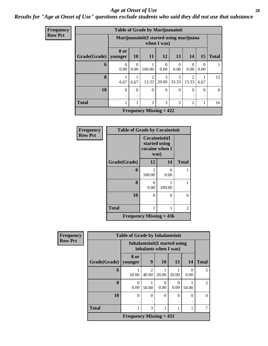#### *Age at Onset of Use* **28**

#### *Results for "Age at Onset of Use" questions exclude students who said they did not use that substance*

| <b>Frequency</b> |                        |                                                        |                  | <b>Table of Grade by Marijuanainit</b> |                  |                  |                                      |                  |                |
|------------------|------------------------|--------------------------------------------------------|------------------|----------------------------------------|------------------|------------------|--------------------------------------|------------------|----------------|
| <b>Row Pct</b>   |                        | Marijuanainit(I started using marijuana<br>when I was) |                  |                                        |                  |                  |                                      |                  |                |
|                  | Grade(Grade)   younger | <b>8 or</b>                                            | <b>10</b>        | 11                                     | 12               | 13               | 14                                   | 15               | <b>Total</b>   |
|                  | 6                      | $\Omega$<br>0.00                                       | $\Omega$<br>0.00 | 100.00                                 | $\theta$<br>0.00 | $\Omega$<br>0.00 | $\Omega$<br>0.00                     | $\Omega$<br>0.00 | 1              |
|                  | $\bf{8}$               | 6.67                                                   | 6.67             | $\mathfrak{D}$<br>13.33                | 3<br>20.00       | 5<br>33.33       | $\mathcal{D}_{\mathcal{L}}$<br>13.33 | 6.67             | 15             |
|                  | 10                     | $\theta$<br>٠                                          | $\Omega$         | $\theta$                               |                  | $\Omega$         | $\Omega$                             | $\Omega$         | $\overline{0}$ |
|                  | <b>Total</b>           | 1                                                      | 1                | 3                                      | 3                | 5                | $\overline{2}$                       | 1                | 16             |
|                  |                        |                                                        |                  | <b>Frequency Missing = 422</b>         |                  |                  |                                      |                  |                |

1

15

 $\boxed{0}$ 

| <b>Frequency</b> | <b>Table of Grade by Cocaineinit</b> |                                                          |           |              |
|------------------|--------------------------------------|----------------------------------------------------------|-----------|--------------|
| <b>Row Pct</b>   |                                      | Cocaineinit(I<br>started using<br>cocaine when I<br>was) |           |              |
|                  | Grade(Grade)                         | 12                                                       | 14        | <b>Total</b> |
|                  | 6                                    | 100.00                                                   | ∩<br>0.00 |              |
|                  | 8                                    | 0<br>0.00                                                | 100.00    | 1            |
|                  | 10                                   | 0                                                        | 0         | 0            |
|                  | <b>Total</b>                         | 1                                                        |           | 2            |
|                  |                                      | Frequency Missing $= 436$                                |           |              |

| Frequency      |              | <b>Table of Grade by Inhalantsinit</b>                  |                         |                      |           |           |                |
|----------------|--------------|---------------------------------------------------------|-------------------------|----------------------|-----------|-----------|----------------|
| <b>Row Pct</b> |              | Inhalantsinit (I started using<br>inhalants when I was) |                         |                      |           |           |                |
|                | Grade(Grade) | 8 or<br>younger                                         | 9                       | 10                   | 13        | <b>14</b> | <b>Total</b>   |
|                | 6            | 20.00                                                   | $\mathfrak{D}$<br>40.00 | 20.00                | 20.00     | 0.00      | 5              |
|                | 8            | $\theta$<br>0.00                                        | 50.00                   | $\mathbf{0}$<br>0.00 | 0<br>0.00 | 50.00     | $\overline{2}$ |
|                | 10           | $\theta$                                                | 0                       | $\Omega$<br>٠        | $\Omega$  | $\Omega$  | $\theta$       |
|                | <b>Total</b> | 1                                                       | 3                       |                      |           |           | 7              |
|                |              | Frequency Missing $= 431$                               |                         |                      |           |           |                |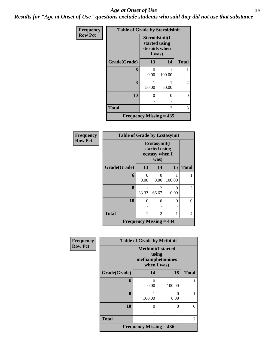#### *Age at Onset of Use* **29**

*Results for "Age at Onset of Use" questions exclude students who said they did not use that substance*

| <b>Frequency</b> | <b>Table of Grade by Steroidsinit</b> |                                                            |          |              |  |  |  |
|------------------|---------------------------------------|------------------------------------------------------------|----------|--------------|--|--|--|
| <b>Row Pct</b>   |                                       | Steroidsinit(I<br>started using<br>steroids when<br>I was) |          |              |  |  |  |
|                  | Grade(Grade)                          | 13                                                         | 14       | <b>Total</b> |  |  |  |
|                  | 6                                     | $\mathcal{O}$<br>0.00                                      | 100.00   | 1            |  |  |  |
|                  | 8                                     | 50.00                                                      | 50.00    | 2            |  |  |  |
|                  | 10                                    | 0                                                          | $\theta$ | 0            |  |  |  |
|                  |                                       |                                                            |          |              |  |  |  |
|                  | <b>Total</b>                          | 1                                                          | 2        | 3            |  |  |  |
|                  | Frequency Missing $= 435$             |                                                            |          |              |  |  |  |

| Frequency      | <b>Table of Grade by Ecstasyinit</b>        |           |                                                          |           |              |  |  |  |
|----------------|---------------------------------------------|-----------|----------------------------------------------------------|-----------|--------------|--|--|--|
| <b>Row Pct</b> |                                             |           | Ecstasyinit(I<br>started using<br>ecstasy when I<br>was) |           |              |  |  |  |
|                | Grade(Grade)                                | 13        | 14                                                       | 15        | <b>Total</b> |  |  |  |
|                | 6                                           | ∩<br>0.00 | $\Omega$<br>0.00                                         | 100.00    |              |  |  |  |
|                | 8                                           | 33.33     | $\overline{2}$<br>66.67                                  | 0<br>0.00 | 3            |  |  |  |
|                | 10                                          | 0         | $\theta$                                                 | 0<br>٠    |              |  |  |  |
|                | <b>Total</b>                                |           | 2                                                        | 1         | 4            |  |  |  |
|                | <b>Frequency Missing <math>= 434</math></b> |           |                                                          |           |              |  |  |  |

| <b>Frequency</b> | <b>Table of Grade by Methinit</b> |                                                                        |                  |                |  |  |  |
|------------------|-----------------------------------|------------------------------------------------------------------------|------------------|----------------|--|--|--|
| <b>Row Pct</b>   |                                   | <b>Methinit</b> (I started<br>using<br>methamphetamines<br>when I was) |                  |                |  |  |  |
|                  | Grade(Grade)                      | 14                                                                     | 16               | <b>Total</b>   |  |  |  |
|                  | 6                                 | $\Omega$<br>0.00                                                       | 100.00           |                |  |  |  |
|                  | 8                                 | 100.00                                                                 | $\Omega$<br>0.00 |                |  |  |  |
|                  | 10                                | $\theta$                                                               | $\theta$         | 0              |  |  |  |
|                  | <b>Total</b>                      | 1                                                                      |                  | $\overline{2}$ |  |  |  |
|                  |                                   | Frequency Missing $= 436$                                              |                  |                |  |  |  |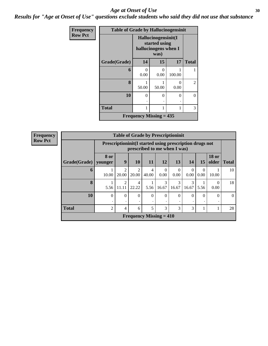#### Age at Onset of Use **30**

*Results for "Age at Onset of Use" questions exclude students who said they did not use that substance*

| Frequency      | <b>Table of Grade by Hallucinogensinit</b> |                           |                                                                      |           |                |  |  |  |  |
|----------------|--------------------------------------------|---------------------------|----------------------------------------------------------------------|-----------|----------------|--|--|--|--|
| <b>Row Pct</b> |                                            |                           | Hallucinogensinit(I<br>started using<br>hallucinogens when I<br>was) |           |                |  |  |  |  |
|                | Grade(Grade)                               | 14                        | 15                                                                   | 17        | <b>Total</b>   |  |  |  |  |
|                | 6                                          | $\mathbf{\Omega}$<br>0.00 | $\mathbf{0}$<br>0.00                                                 | 100.00    |                |  |  |  |  |
|                | 8                                          | 50.00                     | 50.00                                                                | 0<br>0.00 | $\overline{2}$ |  |  |  |  |
|                | 10                                         | 0<br>٠                    | $\Omega$                                                             | 0         | 0              |  |  |  |  |
|                | <b>Total</b>                               |                           |                                                                      | 1         | 3              |  |  |  |  |
|                | <b>Frequency Missing = 435</b>             |                           |                                                                      |           |                |  |  |  |  |

**Frequency**

| <b>Row Pct</b> |  |
|----------------|--|
|----------------|--|

| <b>Table of Grade by Prescriptioninit</b> |                 |                                                                                            |            |                           |                        |                        |                  |                  |                       |              |
|-------------------------------------------|-----------------|--------------------------------------------------------------------------------------------|------------|---------------------------|------------------------|------------------------|------------------|------------------|-----------------------|--------------|
|                                           |                 | Prescription in it (I started using prescription drugs not<br>prescribed to me when I was) |            |                           |                        |                        |                  |                  |                       |              |
| Grade(Grade)                              | 8 or<br>younger | 9                                                                                          | <b>10</b>  | <b>11</b>                 | 12                     | 13                     | 14               | 15               | <b>18 or</b><br>older | <b>Total</b> |
| 6                                         | 10.00           | $\mathfrak{D}$<br>20.00                                                                    | 2<br>20.00 | 4<br>40.00                | $\Omega$<br>0.00       | $\Omega$<br>0.00       | $\Omega$<br>0.00 | $\Omega$<br>0.00 | 10.00                 | 10           |
| 8                                         | 5.56            | $\mathfrak{D}$<br>11.11                                                                    | 4<br>22.22 | 5.56                      | $\mathcal{R}$<br>16.67 | $\mathcal{R}$<br>16.67 | 3<br>16.67       | 5.56             | 0.00                  | 18           |
| 10                                        | $\theta$<br>٠   | $\Omega$                                                                                   | $\Omega$   | $\theta$                  | $\Omega$               | $\theta$               | $\theta$<br>٠    | $\Omega$         | 0                     | $\Omega$     |
| <b>Total</b>                              | 2               | 4                                                                                          | 6          | 5                         | 3                      | 3                      | 3                |                  |                       | 28           |
|                                           |                 |                                                                                            |            | Frequency Missing $= 410$ |                        |                        |                  |                  |                       |              |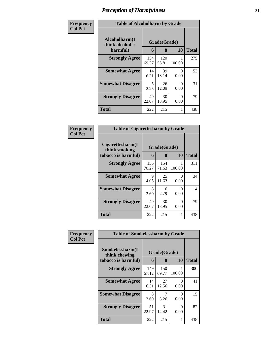| Frequency      | <b>Table of Alcoholharm by Grade</b>          |              |                   |           |              |  |
|----------------|-----------------------------------------------|--------------|-------------------|-----------|--------------|--|
| <b>Col Pct</b> | Alcoholharm(I<br>think alcohol is<br>harmful) | 6            | Grade(Grade)<br>8 | <b>10</b> | <b>Total</b> |  |
|                | <b>Strongly Agree</b>                         | 154<br>69.37 | 120<br>55.81      | 100.00    | 275          |  |
|                | <b>Somewhat Agree</b>                         | 14<br>6.31   | 39<br>18.14       | 0<br>0.00 | 53           |  |
|                | <b>Somewhat Disagree</b>                      | 5<br>2.25    | 26<br>12.09       | 0<br>0.00 | 31           |  |
|                | <b>Strongly Disagree</b>                      | 49<br>22.07  | 30<br>13.95       | 0<br>0.00 | 79           |  |
|                | <b>Total</b>                                  | 222          | 215               |           | 438          |  |

| Frequency<br>Col Pct |
|----------------------|

| <b>Table of Cigarettesharm by Grade</b>                  |              |                         |             |     |  |  |  |
|----------------------------------------------------------|--------------|-------------------------|-------------|-----|--|--|--|
| Cigarettesharm(I<br>think smoking<br>tobacco is harmful) | 6            | Grade(Grade)<br>10<br>8 |             |     |  |  |  |
| <b>Strongly Agree</b>                                    | 156<br>70.27 | 154<br>71.63            | 1<br>100.00 | 311 |  |  |  |
| <b>Somewhat Agree</b>                                    | 9<br>4.05    | 25<br>11.63             | 0<br>0.00   | 34  |  |  |  |
| <b>Somewhat Disagree</b>                                 | 8<br>3.60    | 6<br>2.79               | 0<br>0.00   | 14  |  |  |  |
| <b>Strongly Disagree</b>                                 | 49<br>22.07  | 30<br>13.95             | 0<br>0.00   | 79  |  |  |  |
| <b>Total</b>                                             | 222          | 215                     | 1           | 438 |  |  |  |

| Frequency      | <b>Table of Smokelessharm by Grade</b> |              |              |           |              |  |  |
|----------------|----------------------------------------|--------------|--------------|-----------|--------------|--|--|
| <b>Col Pct</b> | Smokelessharm(I<br>think chewing       | Grade(Grade) |              |           |              |  |  |
|                | tobacco is harmful)                    | 6            | 8            | <b>10</b> | <b>Total</b> |  |  |
|                | <b>Strongly Agree</b>                  | 149<br>67.12 | 150<br>69.77 | 100.00    | 300          |  |  |
|                | <b>Somewhat Agree</b>                  | 14<br>6.31   | 27<br>12.56  | 0<br>0.00 | 41           |  |  |
|                | <b>Somewhat Disagree</b>               | 8<br>3.60    | 3.26         | 0<br>0.00 | 15           |  |  |
|                | <b>Strongly Disagree</b>               | 51<br>22.97  | 31<br>14.42  | 0<br>0.00 | 82           |  |  |
|                | Total                                  | 222          | 215          |           | 438          |  |  |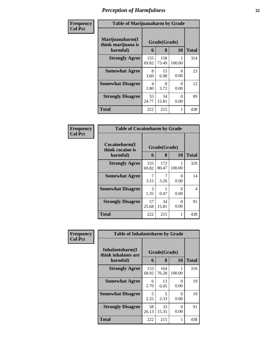| Frequency      | <b>Table of Marijuanaharm by Grade</b>            |              |                   |           |              |  |
|----------------|---------------------------------------------------|--------------|-------------------|-----------|--------------|--|
| <b>Col Pct</b> | Marijuanaharm(I<br>think marijuana is<br>harmful) | 6            | Grade(Grade)<br>8 | <b>10</b> | <b>Total</b> |  |
|                | <b>Strongly Agree</b>                             | 155<br>69.82 | 158<br>73.49      | 100.00    | 314          |  |
|                | <b>Somewhat Agree</b>                             | 8<br>3.60    | 15<br>6.98        | 0<br>0.00 | 23           |  |
|                | <b>Somewhat Disagree</b>                          | 4<br>1.80    | 8<br>3.72         | 0<br>0.00 | 12           |  |
|                | <b>Strongly Disagree</b>                          | 55<br>24.77  | 34<br>15.81       | 0<br>0.00 | 89           |  |
|                | <b>Total</b>                                      | 222          | 215               |           | 438          |  |

| Frequency<br>Col Pct |
|----------------------|
|                      |

| <b>Table of Cocaineharm by Grade</b>          |                   |              |             |     |  |  |  |
|-----------------------------------------------|-------------------|--------------|-------------|-----|--|--|--|
| Cocaineharm(I<br>think cocaine is<br>harmful) | Grade(Grade)<br>6 | <b>Total</b> |             |     |  |  |  |
| <b>Strongly Agree</b>                         | 155<br>69.82      | 173<br>80.47 | 1<br>100.00 | 329 |  |  |  |
| <b>Somewhat Agree</b>                         | 3.15              | 3.26         | 0<br>0.00   | 14  |  |  |  |
| <b>Somewhat Disagree</b>                      | 3<br>1.35         | 0.47         | 0<br>0.00   | 4   |  |  |  |
| <b>Strongly Disagree</b>                      | 57<br>25.68       | 34<br>15.81  | 0<br>0.00   | 91  |  |  |  |
| <b>Total</b>                                  | 222               | 215          | 1           | 438 |  |  |  |

| Frequency      |                                         | <b>Table of Inhalantsharm by Grade</b> |              |           |              |  |
|----------------|-----------------------------------------|----------------------------------------|--------------|-----------|--------------|--|
| <b>Col Pct</b> | Inhalantsharm(I)<br>think inhalants are |                                        | Grade(Grade) |           |              |  |
|                | harmful)                                | 6                                      | 8            | 10        | <b>Total</b> |  |
|                | <b>Strongly Agree</b>                   | 153<br>68.92                           | 164<br>76.28 | 100.00    | 318          |  |
|                | <b>Somewhat Agree</b>                   | 6<br>2.70                              | 13<br>6.05   | 0<br>0.00 | 19           |  |
|                | <b>Somewhat Disagree</b>                | 5<br>2.25                              | 5<br>2.33    | 0<br>0.00 | 10           |  |
|                | <b>Strongly Disagree</b>                | 58<br>26.13                            | 33<br>15.35  | 0<br>0.00 | 91           |  |
|                | Total                                   | 222                                    | 215          | 1         | 438          |  |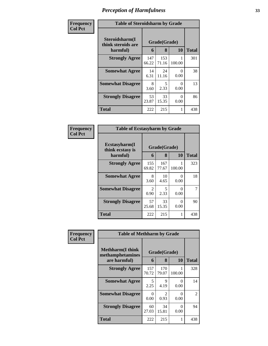| Frequency      | <b>Table of Steroidsharm by Grade</b>            |              |                   |           |              |  |
|----------------|--------------------------------------------------|--------------|-------------------|-----------|--------------|--|
| <b>Col Pct</b> | Steroidsharm(I<br>think steroids are<br>harmful) | 6            | Grade(Grade)<br>8 | 10        | <b>Total</b> |  |
|                | <b>Strongly Agree</b>                            | 147<br>66.22 | 153<br>71.16      | 100.00    | 301          |  |
|                | <b>Somewhat Agree</b>                            | 14<br>6.31   | 24<br>11.16       | 0<br>0.00 | 38           |  |
|                | <b>Somewhat Disagree</b>                         | 8<br>3.60    | 5<br>2.33         | 0<br>0.00 | 13           |  |
|                | <b>Strongly Disagree</b>                         | 53<br>23.87  | 33<br>15.35       | 0<br>0.00 | 86           |  |
|                | <b>Total</b>                                     | 222          | 215               |           | 438          |  |

| <b>Frequency</b><br>Col Pct |
|-----------------------------|
|                             |

| <b>Table of Ecstasyharm by Grade</b>          |                       |                         |                           |     |  |  |  |
|-----------------------------------------------|-----------------------|-------------------------|---------------------------|-----|--|--|--|
| Ecstasyharm(I<br>think ecstasy is<br>harmful) | 6                     | Grade(Grade)<br>10<br>8 |                           |     |  |  |  |
| <b>Strongly Agree</b>                         | 155<br>69.82          | 167<br>77.67            | 100.00                    | 323 |  |  |  |
| <b>Somewhat Agree</b>                         | 8<br>3.60             | 10<br>4.65              | $\mathbf{\Omega}$<br>0.00 | 18  |  |  |  |
| <b>Somewhat Disagree</b>                      | $\mathcal{L}$<br>0.90 | 5<br>2.33               | 0<br>0.00                 | 7   |  |  |  |
| <b>Strongly Disagree</b>                      | 57<br>25.68           | 33<br>15.35             | 0<br>0.00                 | 90  |  |  |  |
| <b>Total</b>                                  | 222                   | 215                     |                           | 438 |  |  |  |

| Frequency      | <b>Table of Methharm by Grade</b>            |                  |                                     |           |                |  |
|----------------|----------------------------------------------|------------------|-------------------------------------|-----------|----------------|--|
| <b>Col Pct</b> | <b>Methharm</b> (I think<br>methamphetamines |                  | Grade(Grade)                        |           |                |  |
|                | are harmful)                                 | 6                | 8                                   | <b>10</b> | <b>Total</b>   |  |
|                | <b>Strongly Agree</b>                        | 157<br>70.72     | 170<br>79.07                        | 100.00    | 328            |  |
|                | <b>Somewhat Agree</b>                        | 5<br>2.25        | 9<br>4.19                           | 0<br>0.00 | 14             |  |
|                | <b>Somewhat Disagree</b>                     | $\Omega$<br>0.00 | $\mathcal{D}_{\mathcal{L}}$<br>0.93 | 0<br>0.00 | $\mathfrak{D}$ |  |
|                | <b>Strongly Disagree</b>                     | 60<br>27.03      | 34<br>15.81                         | 0<br>0.00 | 94             |  |
|                | <b>Total</b>                                 | 222              | 215                                 | 1         | 438            |  |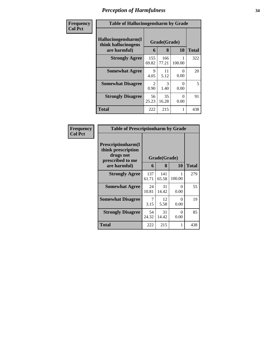| Frequency      | <b>Table of Hallucinogensharm by Grade</b>                 |                                     |                   |                  |              |
|----------------|------------------------------------------------------------|-------------------------------------|-------------------|------------------|--------------|
| <b>Col Pct</b> | Hallucinogensharm(I<br>think hallucinogens<br>are harmful) | 6                                   | Grade(Grade)<br>8 | 10               | <b>Total</b> |
|                | <b>Strongly Agree</b>                                      | 155<br>69.82                        | 166<br>77.21      | 100.00           | 322          |
|                | <b>Somewhat Agree</b>                                      | 9<br>4.05                           | 11<br>5.12        | 0<br>0.00        | 20           |
|                | <b>Somewhat Disagree</b>                                   | $\mathcal{D}_{\mathcal{L}}$<br>0.90 | 3<br>1.40         | $\Omega$<br>0.00 | 5            |
|                | <b>Strongly Disagree</b>                                   | 56<br>25.23                         | 35<br>16.28       | $\Omega$<br>0.00 | 91           |
|                | <b>Total</b>                                               | 222                                 | 215               | 1                | 438          |

| Frequency      | <b>Table of Prescriptionharm by Grade</b>                                 |              |              |           |       |
|----------------|---------------------------------------------------------------------------|--------------|--------------|-----------|-------|
| <b>Col Pct</b> | Prescriptionharm(I<br>think prescription<br>drugs not<br>prescribed to me |              | Grade(Grade) |           |       |
|                | are harmful)                                                              | 6            | 8            | 10        | Total |
|                | <b>Strongly Agree</b>                                                     | 137<br>61.71 | 141<br>65.58 | 100.00    | 279   |
|                | <b>Somewhat Agree</b>                                                     | 24<br>10.81  | 31<br>14.42  | 0<br>0.00 | 55    |
|                | <b>Somewhat Disagree</b>                                                  | 7<br>3.15    | 12<br>5.58   | 0<br>0.00 | 19    |
|                | <b>Strongly Disagree</b>                                                  | 54<br>24.32  | 31<br>14.42  | 0<br>0.00 | 85    |
|                | Total                                                                     | 222          | 215          | 1         | 438   |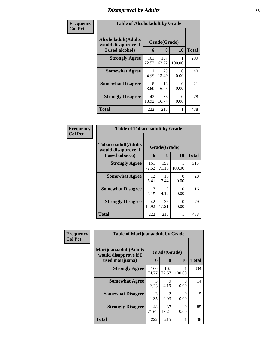### *Disapproval by Adults* **35**

| Frequency      | <b>Table of Alcoholadult by Grade</b>                                 |              |                   |                  |              |
|----------------|-----------------------------------------------------------------------|--------------|-------------------|------------------|--------------|
| <b>Col Pct</b> | <b>Alcoholadult</b> (Adults<br>would disapprove if<br>I used alcohol) | 6            | Grade(Grade)<br>8 | 10               | <b>Total</b> |
|                | <b>Strongly Agree</b>                                                 | 161<br>72.52 | 137<br>63.72      | 100.00           | 299          |
|                | <b>Somewhat Agree</b>                                                 | 11<br>4.95   | 29<br>13.49       | 0<br>0.00        | 40           |
|                | <b>Somewhat Disagree</b>                                              | 8<br>3.60    | 13<br>6.05        | 0<br>0.00        | 21           |
|                | <b>Strongly Disagree</b>                                              | 42<br>18.92  | 36<br>16.74       | $\Omega$<br>0.00 | 78           |
|                | <b>Total</b>                                                          | 222          | 215               | 1                | 438          |

| Frequency      | <b>Table of Tobaccoadult by Grade</b>                                 |              |                   |           |              |
|----------------|-----------------------------------------------------------------------|--------------|-------------------|-----------|--------------|
| <b>Col Pct</b> | <b>Tobaccoadult</b> (Adults<br>would disapprove if<br>I used tobacco) | 6            | Grade(Grade)<br>8 | 10        | <b>Total</b> |
|                | <b>Strongly Agree</b>                                                 | 161<br>72.52 | 153<br>71.16      | 100.00    | 315          |
|                | <b>Somewhat Agree</b>                                                 | 12<br>5.41   | 16<br>7.44        | 0<br>0.00 | 28           |
|                | <b>Somewhat Disagree</b>                                              | 3.15         | 9<br>4.19         | 0<br>0.00 | 16           |
|                | <b>Strongly Disagree</b>                                              | 42<br>18.92  | 37<br>17.21       | 0<br>0.00 | 79           |
|                | <b>Total</b>                                                          | 222          | 215               | 1         | 438          |

| Frequency      | <b>Table of Marijuanaadult by Grade</b>        |              |                        |                  |              |
|----------------|------------------------------------------------|--------------|------------------------|------------------|--------------|
| <b>Col Pct</b> | Marijuanaadult(Adults<br>would disapprove if I |              | Grade(Grade)           |                  |              |
|                | used marijuana)                                | 6            | 8                      | 10               | <b>Total</b> |
|                | <b>Strongly Agree</b>                          | 166<br>74.77 | 167<br>77.67           | 100.00           | 334          |
|                | <b>Somewhat Agree</b>                          | 5<br>2.25    | 9<br>4.19              | $\Omega$<br>0.00 | 14           |
|                | <b>Somewhat Disagree</b>                       | 3<br>1.35    | $\mathfrak{D}$<br>0.93 | $\Omega$<br>0.00 | 5            |
|                | <b>Strongly Disagree</b>                       | 48<br>21.62  | 37<br>17.21            | $\Omega$<br>0.00 | 85           |
|                | <b>Total</b>                                   | 222          | 215                    |                  | 438          |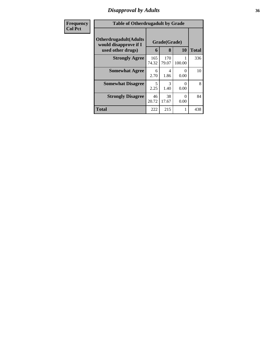### *Disapproval by Adults* **36**

| Frequency      | <b>Table of Otherdrugadult by Grade</b>                                     |              |                   |                           |              |
|----------------|-----------------------------------------------------------------------------|--------------|-------------------|---------------------------|--------------|
| <b>Col Pct</b> | <b>Otherdrugadult</b> (Adults<br>would disapprove if I<br>used other drugs) | 6            | Grade(Grade)<br>8 | 10                        | <b>Total</b> |
|                | <b>Strongly Agree</b>                                                       | 165<br>74.32 | 170<br>79.07      | 100.00                    | 336          |
|                | <b>Somewhat Agree</b>                                                       | 6<br>2.70    | 4<br>1.86         | 0<br>0.00                 | 10           |
|                | <b>Somewhat Disagree</b>                                                    | 5<br>2.25    | 3<br>1.40         | $\mathbf{\Omega}$<br>0.00 | 8            |
|                | <b>Strongly Disagree</b>                                                    | 46<br>20.72  | 38<br>17.67       | 0<br>0.00                 | 84           |
|                | <b>Total</b>                                                                | 222          | 215               | 1                         | 438          |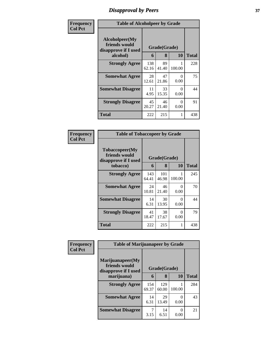## *Disapproval by Peers* **37**

| Frequency      | <b>Table of Alcoholpeer by Grade</b>                    |              |             |           |              |  |  |  |
|----------------|---------------------------------------------------------|--------------|-------------|-----------|--------------|--|--|--|
| <b>Col Pct</b> | Alcoholpeer(My<br>friends would<br>disapprove if I used | Grade(Grade) |             |           |              |  |  |  |
|                | alcohol)                                                | 6            | 8           | 10        | <b>Total</b> |  |  |  |
|                | <b>Strongly Agree</b>                                   | 138<br>62.16 | 89<br>41.40 | 100.00    | 228          |  |  |  |
|                | <b>Somewhat Agree</b>                                   | 28<br>12.61  | 47<br>21.86 | 0<br>0.00 | 75           |  |  |  |
|                | <b>Somewhat Disagree</b>                                | 11<br>4.95   | 33<br>15.35 | 0<br>0.00 | 44           |  |  |  |
|                | <b>Strongly Disagree</b>                                | 45<br>20.27  | 46<br>21.40 | 0<br>0.00 | 91           |  |  |  |
|                | <b>Total</b>                                            | 222          | 215         | 1         | 438          |  |  |  |

| Frequency      | <b>Table of Tobaccopeer by Grade</b>                                |              |                   |                  |              |  |  |
|----------------|---------------------------------------------------------------------|--------------|-------------------|------------------|--------------|--|--|
| <b>Col Pct</b> | Tobaccopeer(My<br>friends would<br>disapprove if I used<br>tobacco) | 6            | Grade(Grade)<br>8 | 10               | <b>Total</b> |  |  |
|                | <b>Strongly Agree</b>                                               | 143<br>64.41 | 101<br>46.98      | 100.00           | 245          |  |  |
|                | <b>Somewhat Agree</b>                                               | 24<br>10.81  | 46<br>21.40       | ∩<br>0.00        | 70           |  |  |
|                | <b>Somewhat Disagree</b>                                            | 14<br>6.31   | 30<br>13.95       | 0<br>0.00        | 44           |  |  |
|                | <b>Strongly Disagree</b>                                            | 41<br>18.47  | 38<br>17.67       | $\Omega$<br>0.00 | 79           |  |  |
|                | Total                                                               | 222          | 215               | 1                | 438          |  |  |

| Frequency      | <b>Table of Marijuanapeer by Grade</b>                    |              |              |        |              |  |  |  |
|----------------|-----------------------------------------------------------|--------------|--------------|--------|--------------|--|--|--|
| <b>Col Pct</b> | Marijuanapeer(My<br>friends would<br>disapprove if I used | Grade(Grade) |              |        |              |  |  |  |
|                | marijuana)                                                | 6            | 8            | 10     | <b>Total</b> |  |  |  |
|                | <b>Strongly Agree</b>                                     | 154<br>69.37 | 129<br>60.00 | 100.00 | 284          |  |  |  |
|                | <b>Somewhat Agree</b>                                     | 14<br>6.31   | 29<br>13.49  | 0.00   | 43           |  |  |  |
|                | <b>Somewhat Disagree</b>                                  | 3.15         | 14<br>6.51   | 0.00   | 21           |  |  |  |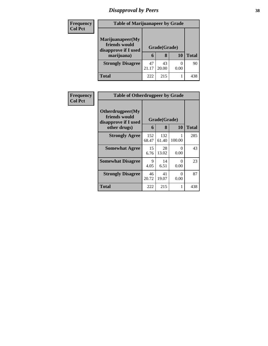# *Disapproval by Peers* **38**

| <b>Frequency</b> | <b>Table of Marijuanapeer by Grade</b>                    |              |             |      |              |
|------------------|-----------------------------------------------------------|--------------|-------------|------|--------------|
| <b>Col Pct</b>   | Marijuanapeer(My<br>friends would<br>disapprove if I used | Grade(Grade) |             |      |              |
|                  | marijuana)                                                | 6            | 8           | 10   | <b>Total</b> |
|                  | <b>Strongly Disagree</b>                                  | 47<br>21.17  | 43<br>20.00 | 0.00 | 90           |
|                  | Total                                                     | 222          | 215         |      | 438          |

| <b>Frequency</b> | <b>Table of Otherdrugpeer by Grade</b>                                    |              |                   |                  |       |  |
|------------------|---------------------------------------------------------------------------|--------------|-------------------|------------------|-------|--|
| <b>Col Pct</b>   | Otherdrugpeer(My<br>friends would<br>disapprove if I used<br>other drugs) | 6            | Grade(Grade)<br>8 | 10               | Total |  |
|                  | <b>Strongly Agree</b>                                                     | 152<br>68.47 | 132<br>61.40      | 100.00           | 285   |  |
|                  | <b>Somewhat Agree</b>                                                     | 15<br>6.76   | 28<br>13.02       | 0<br>0.00        | 43    |  |
|                  | <b>Somewhat Disagree</b>                                                  | 9<br>4.05    | 14<br>6.51        | $\Omega$<br>0.00 | 23    |  |
|                  | <b>Strongly Disagree</b>                                                  | 46<br>20.72  | 41<br>19.07       | 0<br>0.00        | 87    |  |
|                  | Total                                                                     | 222          | 215               |                  | 438   |  |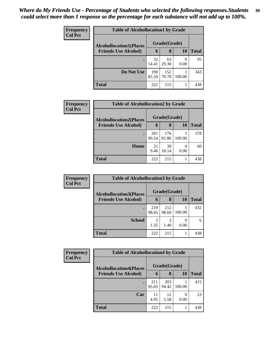| Frequency      | <b>Table of Alcohollocation1 by Grade</b> |              |              |        |              |  |
|----------------|-------------------------------------------|--------------|--------------|--------|--------------|--|
| <b>Col Pct</b> | <b>Alcohollocation1(Places</b>            | Grade(Grade) |              |        |              |  |
|                | <b>Friends Use Alcohol)</b>               | 6            | 8            | 10     | <b>Total</b> |  |
|                |                                           | 32<br>14.41  | 63<br>29.30  | 0.00   | 95           |  |
|                | Do Not Use                                | 190<br>85.59 | 152<br>70.70 | 100.00 | 343          |  |
|                | <b>Total</b>                              | 222          | 215          |        | 438          |  |

| Frequency      | <b>Table of Alcohollocation2 by Grade</b> |              |              |        |              |  |  |
|----------------|-------------------------------------------|--------------|--------------|--------|--------------|--|--|
| <b>Col Pct</b> | <b>Alcohollocation2(Places</b>            |              | Grade(Grade) |        |              |  |  |
|                | <b>Friends Use Alcohol)</b>               | 6            | 8            | 10     | <b>Total</b> |  |  |
|                |                                           | 201<br>90.54 | 176<br>81.86 | 100.00 | 378          |  |  |
|                | Home                                      | 21<br>9.46   | 39<br>18.14  | 0.00   | 60           |  |  |
|                | <b>Total</b>                              | 222          | 215          |        | 438          |  |  |

| Frequency<br><b>Col Pct</b> | <b>Table of Alcohollocation 3 by Grade</b> |              |              |        |              |  |
|-----------------------------|--------------------------------------------|--------------|--------------|--------|--------------|--|
|                             | <b>Alcohollocation3(Places</b>             |              | Grade(Grade) |        |              |  |
|                             | <b>Friends Use Alcohol)</b>                | 6            | 8            | 10     | <b>Total</b> |  |
|                             |                                            | 219<br>98.65 | 212<br>98.60 | 100.00 | 432          |  |
|                             | <b>School</b>                              | 3<br>1.35    | 3<br>1.40    | 0.00   | 6            |  |
|                             | <b>Total</b>                               | 222          | 215          |        | 438          |  |

| Frequency      | <b>Table of Alcohollocation4 by Grade</b> |              |              |           |              |  |  |
|----------------|-------------------------------------------|--------------|--------------|-----------|--------------|--|--|
| <b>Col Pct</b> | <b>Alcohollocation4(Places</b>            |              | Grade(Grade) |           |              |  |  |
|                | <b>Friends Use Alcohol)</b>               | 6            | 8            | <b>10</b> | <b>Total</b> |  |  |
|                |                                           | 211<br>95.05 | 203<br>94.42 | 100.00    | 415          |  |  |
|                | Car                                       | 11<br>4.95   | 12<br>5.58   | 0.00      | 23           |  |  |
|                | <b>Total</b>                              | 222          | 215          |           | 438          |  |  |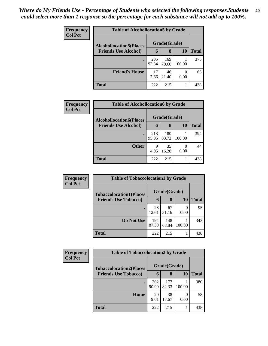| <b>Frequency</b><br><b>Col Pct</b> | <b>Table of Alcohollocation5 by Grade</b> |              |              |        |              |  |  |
|------------------------------------|-------------------------------------------|--------------|--------------|--------|--------------|--|--|
|                                    | <b>Alcohollocation5</b> (Places           | Grade(Grade) |              |        |              |  |  |
|                                    | <b>Friends Use Alcohol)</b>               | 6            | 8            | 10     | <b>Total</b> |  |  |
|                                    |                                           | 205<br>92.34 | 169<br>78.60 | 100.00 | 375          |  |  |
|                                    | <b>Friend's House</b>                     | 17<br>7.66   | 46<br>21.40  | 0.00   | 63           |  |  |
|                                    | <b>Total</b>                              | 222          | 215          |        | 438          |  |  |

| <b>Frequency</b> | <b>Table of Alcohollocation6 by Grade</b> |              |              |           |              |
|------------------|-------------------------------------------|--------------|--------------|-----------|--------------|
| <b>Col Pct</b>   | <b>Alcohollocation6(Places</b>            |              | Grade(Grade) |           |              |
|                  | <b>Friends Use Alcohol)</b>               | 6            | 8            | <b>10</b> | <b>Total</b> |
|                  |                                           | 213<br>95.95 | 180<br>83.72 | 100.00    | 394          |
|                  | <b>Other</b>                              | 9<br>4.05    | 35<br>16.28  | 0.00      | 44           |
|                  | <b>Total</b>                              | 222          | 215          |           | 438          |

| <b>Frequency</b> | <b>Table of Tobaccolocation1 by Grade</b> |              |              |           |              |
|------------------|-------------------------------------------|--------------|--------------|-----------|--------------|
| <b>Col Pct</b>   | <b>Tobaccolocation1(Places</b>            |              | Grade(Grade) |           |              |
|                  | <b>Friends Use Tobacco)</b>               | 6            | 8            | <b>10</b> | <b>Total</b> |
|                  |                                           | 28<br>12.61  | 67<br>31.16  | 0.00      | 95           |
|                  | Do Not Use                                | 194<br>87.39 | 148<br>68.84 | 100.00    | 343          |
|                  | <b>Total</b>                              | 222          | 215          |           | 438          |

| <b>Frequency</b> | <b>Table of Tobaccolocation2 by Grade</b>                     |              |              |        |              |  |  |
|------------------|---------------------------------------------------------------|--------------|--------------|--------|--------------|--|--|
| <b>Col Pct</b>   | <b>Tobaccolocation2(Places</b><br><b>Friends Use Tobacco)</b> | Grade(Grade) |              |        |              |  |  |
|                  |                                                               | 6            | 8            | 10     | <b>Total</b> |  |  |
|                  |                                                               | 202<br>90.99 | 177<br>82.33 | 100.00 | 380          |  |  |
|                  | Home                                                          | 20<br>9.01   | 38<br>17.67  | 0.00   | 58           |  |  |
|                  | Total                                                         | 222          | 215          |        | 438          |  |  |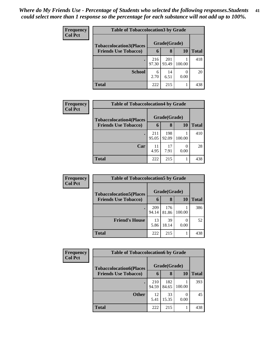| <b>Frequency</b> | <b>Table of Tobaccolocation3 by Grade</b> |              |              |        |       |  |  |  |
|------------------|-------------------------------------------|--------------|--------------|--------|-------|--|--|--|
| <b>Col Pct</b>   | <b>Tobaccolocation3(Places</b>            | Grade(Grade) |              |        |       |  |  |  |
|                  | <b>Friends Use Tobacco)</b>               | 6            | 8            | 10     | Total |  |  |  |
|                  |                                           | 216<br>97.30 | 201<br>93.49 | 100.00 | 418   |  |  |  |
|                  | <b>School</b>                             | 6<br>2.70    | 14<br>6.51   | 0.00   | 20    |  |  |  |
|                  | <b>Total</b>                              | 222          | 215          |        | 438   |  |  |  |

| Frequency      | <b>Table of Tobaccolocation4 by Grade</b>                     |              |              |        |              |  |  |  |
|----------------|---------------------------------------------------------------|--------------|--------------|--------|--------------|--|--|--|
| <b>Col Pct</b> | <b>Tobaccolocation4(Places</b><br><b>Friends Use Tobacco)</b> | Grade(Grade) |              |        |              |  |  |  |
|                |                                                               | 6            | 8            | 10     | <b>Total</b> |  |  |  |
|                | $\bullet$                                                     | 211<br>95.05 | 198<br>92.09 | 100.00 | 410          |  |  |  |
|                | Car                                                           | 11<br>4.95   | 17<br>7.91   | 0.00   | 28           |  |  |  |
|                | <b>Total</b>                                                  | 222          | 215          |        | 438          |  |  |  |

| <b>Frequency</b>            | <b>Table of Tobaccolocation5 by Grade</b> |              |              |              |     |
|-----------------------------|-------------------------------------------|--------------|--------------|--------------|-----|
| <b>Col Pct</b>              | <b>Tobaccolocation5(Places</b>            |              | Grade(Grade) |              |     |
| <b>Friends Use Tobacco)</b> | 6                                         | 8            | <b>10</b>    | <b>Total</b> |     |
|                             |                                           | 209<br>94.14 | 176<br>81.86 | 100.00       | 386 |
|                             | <b>Friend's House</b>                     | 13<br>5.86   | 39<br>18.14  | 0.00         | 52  |
|                             | <b>Total</b>                              | 222          | 215          |              | 438 |

| Frequency      | <b>Table of Tobaccolocation6 by Grade</b>                     |              |              |        |              |
|----------------|---------------------------------------------------------------|--------------|--------------|--------|--------------|
| <b>Col Pct</b> | <b>Tobaccolocation6(Places</b><br><b>Friends Use Tobacco)</b> | Grade(Grade) |              |        |              |
|                |                                                               | 6            | 8            | 10     | <b>Total</b> |
|                |                                                               | 210<br>94.59 | 182<br>84.65 | 100.00 | 393          |
|                | <b>Other</b>                                                  | 12<br>5.41   | 33<br>15.35  | 0.00   | 45           |
|                | <b>Total</b>                                                  | 222          | 215          |        | 438          |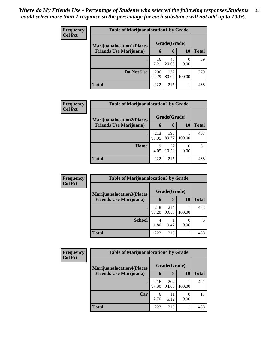| <b>Frequency</b> | <b>Table of Marijuanalocation1 by Grade</b>                        |              |              |        |              |  |
|------------------|--------------------------------------------------------------------|--------------|--------------|--------|--------------|--|
| <b>Col Pct</b>   | <b>Marijuanalocation1(Places</b><br><b>Friends Use Marijuana</b> ) |              | Grade(Grade) |        |              |  |
|                  |                                                                    | 6            | 8            | 10     | <b>Total</b> |  |
|                  |                                                                    | 16<br>7.21   | 43<br>20.00  | 0.00   | 59           |  |
|                  | Do Not Use                                                         | 206<br>92.79 | 172<br>80.00 | 100.00 | 379          |  |
|                  | <b>Total</b>                                                       | 222          | 215          | 1      | 438          |  |

| <b>Frequency</b> | <b>Table of Marijuanalocation2 by Grade</b>                         |              |              |        |              |  |  |
|------------------|---------------------------------------------------------------------|--------------|--------------|--------|--------------|--|--|
| <b>Col Pct</b>   | <b>Marijuanalocation2(Places)</b><br><b>Friends Use Marijuana</b> ) |              | Grade(Grade) |        |              |  |  |
|                  |                                                                     | 6            | 8            | 10     | <b>Total</b> |  |  |
|                  |                                                                     | 213<br>95.95 | 193<br>89.77 | 100.00 | 407          |  |  |
|                  | Home                                                                | 9<br>4.05    | 22<br>10.23  | 0.00   | 31           |  |  |
|                  | <b>Total</b>                                                        | 222          | 215          |        | 438          |  |  |

| Frequency      | <b>Table of Marijuanalocation3 by Grade</b>                        |              |              |        |       |  |  |
|----------------|--------------------------------------------------------------------|--------------|--------------|--------|-------|--|--|
| <b>Col Pct</b> | <b>Marijuanalocation3(Places</b><br><b>Friends Use Marijuana</b> ) | Grade(Grade) |              |        |       |  |  |
|                |                                                                    | 6            | 8            | 10     | Total |  |  |
|                |                                                                    | 218<br>98.20 | 214<br>99.53 | 100.00 | 433   |  |  |
|                | <b>School</b>                                                      | 4<br>1.80    | 0.47         | 0.00   |       |  |  |
|                | <b>Total</b>                                                       | 222          | 215          |        | 438   |  |  |

| <b>Frequency</b> | <b>Table of Marijuanalocation4 by Grade</b> |              |              |        |       |  |  |  |
|------------------|---------------------------------------------|--------------|--------------|--------|-------|--|--|--|
| <b>Col Pct</b>   | <b>Marijuanalocation4(Places</b>            |              | Grade(Grade) |        |       |  |  |  |
|                  | <b>Friends Use Marijuana</b> )              | 6            | 8            | 10     | Total |  |  |  |
|                  |                                             | 216<br>97.30 | 204<br>94.88 | 100.00 | 421   |  |  |  |
|                  | Car                                         | 6<br>2.70    | 11<br>5.12   | 0.00   | 17    |  |  |  |
|                  | <b>Total</b>                                | 222          | 215          |        | 438   |  |  |  |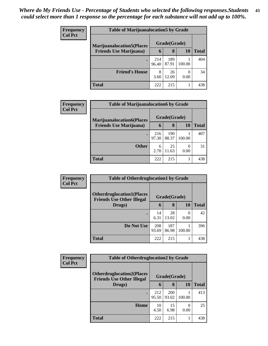| <b>Frequency</b> | <b>Table of Marijuanalocation5 by Grade</b> |              |              |        |       |
|------------------|---------------------------------------------|--------------|--------------|--------|-------|
| <b>Col Pct</b>   | <b>Marijuanalocation5</b> (Places           |              | Grade(Grade) |        |       |
|                  | <b>Friends Use Marijuana</b> )              | 6            | 8            | 10     | Total |
|                  |                                             | 214<br>96.40 | 189<br>87.91 | 100.00 | 404   |
|                  | <b>Friend's House</b>                       | 8<br>3.60    | 26<br>12.09  | 0.00   | 34    |
|                  | Total                                       | 222          | 215          |        | 438   |

| Frequency      | <b>Table of Marijuanalocation6 by Grade</b>                        |              |              |        |              |  |  |  |
|----------------|--------------------------------------------------------------------|--------------|--------------|--------|--------------|--|--|--|
| <b>Col Pct</b> | <b>Marijuanalocation6(Places</b><br><b>Friends Use Marijuana</b> ) | Grade(Grade) |              |        |              |  |  |  |
|                |                                                                    | 6            | 8            | 10     | <b>Total</b> |  |  |  |
|                |                                                                    | 216<br>97.30 | 190<br>88.37 | 100.00 | 407          |  |  |  |
|                | <b>Other</b>                                                       | 6<br>2.70    | 25<br>11.63  | 0.00   | 31           |  |  |  |
|                | <b>Total</b>                                                       | 222          | 215          |        | 438          |  |  |  |

| Frequency      | <b>Table of Otherdruglocation1 by Grade</b>                          |              |              |        |              |  |
|----------------|----------------------------------------------------------------------|--------------|--------------|--------|--------------|--|
| <b>Col Pct</b> | <b>Otherdruglocation1(Places</b><br><b>Friends Use Other Illegal</b> |              | Grade(Grade) |        |              |  |
|                | Drugs)                                                               | 6            | 8            | 10     | <b>Total</b> |  |
|                |                                                                      | 14<br>6.31   | 28<br>13.02  | 0.00   | 42           |  |
|                | Do Not Use                                                           | 208<br>93.69 | 187<br>86.98 | 100.00 | 396          |  |
|                | <b>Total</b>                                                         | 222          | 215          |        | 438          |  |

| <b>Frequency</b> | <b>Table of Otherdruglocation2 by Grade</b>                          |              |              |        |              |
|------------------|----------------------------------------------------------------------|--------------|--------------|--------|--------------|
| <b>Col Pct</b>   | <b>Otherdruglocation2(Places</b><br><b>Friends Use Other Illegal</b> |              | Grade(Grade) |        |              |
|                  | Drugs)                                                               | 6            | 8            | 10     | <b>Total</b> |
|                  | ٠                                                                    | 212<br>95.50 | 200<br>93.02 | 100.00 | 413          |
|                  | Home                                                                 | 10<br>4.50   | 15<br>6.98   | 0.00   | 25           |
|                  | Total                                                                | 222          | 215          |        | 438          |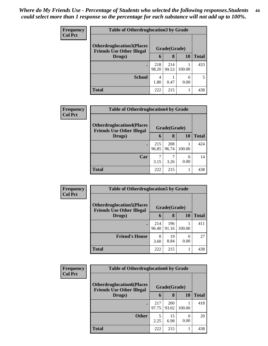| <b>Frequency</b> | <b>Table of Otherdruglocation 3 by Grade</b>                         |              |              |                  |              |  |
|------------------|----------------------------------------------------------------------|--------------|--------------|------------------|--------------|--|
| <b>Col Pct</b>   | <b>Otherdruglocation3(Places</b><br><b>Friends Use Other Illegal</b> |              | Grade(Grade) |                  |              |  |
|                  | Drugs)                                                               | 6            | 8            | 10               | <b>Total</b> |  |
|                  | $\bullet$                                                            | 218<br>98.20 | 214<br>99.53 | 100.00           | 433          |  |
|                  | <b>School</b>                                                        | 4<br>1.80    | 0.47         | $\Omega$<br>0.00 |              |  |
|                  | <b>Total</b>                                                         | 222          | 215          |                  | 438          |  |

| <b>Frequency</b> | <b>Table of Otherdruglocation4 by Grade</b>                           |              |              |        |              |  |
|------------------|-----------------------------------------------------------------------|--------------|--------------|--------|--------------|--|
| <b>Col Pct</b>   | <b>Otherdruglocation4(Places)</b><br><b>Friends Use Other Illegal</b> |              | Grade(Grade) |        |              |  |
|                  | Drugs)                                                                | 6            | 8            | 10     | <b>Total</b> |  |
|                  |                                                                       | 215<br>96.85 | 208<br>96.74 | 100.00 | 424          |  |
|                  | Car                                                                   | 3.15         | 3.26         | 0.00   | 14           |  |
|                  | <b>Total</b>                                                          | 222          | 215          |        | 438          |  |

| Frequency      | <b>Table of Otherdruglocation5 by Grade</b>                          |              |              |        |              |  |
|----------------|----------------------------------------------------------------------|--------------|--------------|--------|--------------|--|
| <b>Col Pct</b> | <b>Otherdruglocation5(Places</b><br><b>Friends Use Other Illegal</b> |              | Grade(Grade) |        |              |  |
|                | Drugs)                                                               | 6            | 8            | 10     | <b>Total</b> |  |
|                |                                                                      | 214<br>96.40 | 196<br>91.16 | 100.00 | 411          |  |
|                | <b>Friend's House</b>                                                | 8<br>3.60    | 19<br>8.84   | 0.00   | 27           |  |
|                | <b>Total</b>                                                         | 222          | 215          |        | 438          |  |

| Frequency      | <b>Table of Otherdruglocation6 by Grade</b>                           |              |              |                       |              |  |
|----------------|-----------------------------------------------------------------------|--------------|--------------|-----------------------|--------------|--|
| <b>Col Pct</b> | <b>Otherdruglocation6(Places)</b><br><b>Friends Use Other Illegal</b> |              | Grade(Grade) |                       |              |  |
|                | Drugs)                                                                | 6            | 8            | 10                    | <b>Total</b> |  |
|                |                                                                       | 217<br>97.75 | 200<br>93.02 | 100.00                | 418          |  |
|                | <b>Other</b>                                                          | 5<br>2.25    | 15<br>6.98   | $\mathcal{O}$<br>0.00 | 20           |  |
|                | <b>Total</b>                                                          | 222          | 215          |                       | 438          |  |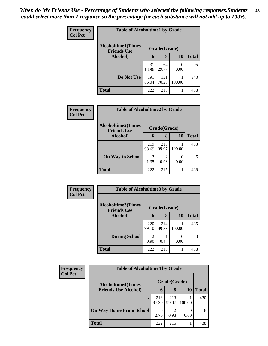| <b>Frequency</b> | <b>Table of Alcoholtime1 by Grade</b>           |              |              |                       |              |  |  |
|------------------|-------------------------------------------------|--------------|--------------|-----------------------|--------------|--|--|
| <b>Col Pct</b>   | <b>Alcoholtime1(Times</b><br><b>Friends Use</b> |              | Grade(Grade) |                       |              |  |  |
|                  | Alcohol)                                        | 6            | 8            | 10                    | <b>Total</b> |  |  |
|                  | ٠                                               | 31<br>13.96  | 64<br>29.77  | $\mathcal{L}$<br>0.00 | 95           |  |  |
|                  | Do Not Use                                      | 191<br>86.04 | 151<br>70.23 | 100.00                | 343          |  |  |
|                  | <b>Total</b>                                    | 222          | 215          |                       | 438          |  |  |

| <b>Frequency</b> |                                                 | <b>Table of Alcoholtime2 by Grade</b> |              |                           |              |  |  |
|------------------|-------------------------------------------------|---------------------------------------|--------------|---------------------------|--------------|--|--|
| <b>Col Pct</b>   | <b>Alcoholtime2(Times</b><br><b>Friends Use</b> |                                       | Grade(Grade) |                           |              |  |  |
|                  | Alcohol)                                        | 6                                     | 8            | 10                        | <b>Total</b> |  |  |
|                  |                                                 | 219<br>98.65                          | 213<br>99.07 | 100.00                    | 433          |  |  |
|                  | <b>On Way to School</b>                         | 3<br>1.35                             | 2<br>0.93    | $\mathbf{\Omega}$<br>0.00 |              |  |  |
|                  | <b>Total</b>                                    | 222                                   | 215          |                           | 438          |  |  |

| Frequency<br><b>Col Pct</b> | <b>Table of Alcoholtime3 by Grade</b>           |                        |              |        |              |
|-----------------------------|-------------------------------------------------|------------------------|--------------|--------|--------------|
|                             | <b>Alcoholtime3(Times</b><br><b>Friends Use</b> |                        | Grade(Grade) |        |              |
|                             | Alcohol)                                        | 6                      | 8            | 10     | <b>Total</b> |
|                             | ٠                                               | 220<br>99.10           | 214<br>99.53 | 100.00 | 435          |
|                             | <b>During School</b>                            | $\mathfrak{D}$<br>0.90 | 0.47         | 0.00   | 3            |
|                             | <b>Total</b>                                    | 222                    | 215          | 1      | 438          |

| Frequency      | <b>Table of Alcoholtime4 by Grade</b> |              |              |        |              |  |
|----------------|---------------------------------------|--------------|--------------|--------|--------------|--|
| <b>Col Pct</b> | <b>Alcoholtime4(Times</b>             |              | Grade(Grade) |        |              |  |
|                | <b>Friends Use Alcohol)</b>           | 6            | 8            | 10     | <b>Total</b> |  |
|                |                                       | 216<br>97.30 | 213<br>99.07 | 100.00 | 430          |  |
|                | <b>On Way Home From School</b>        | 6<br>2.70    | 0.93         | 0.00   | 8            |  |
|                | <b>Total</b>                          | 222          | 215          |        | 438          |  |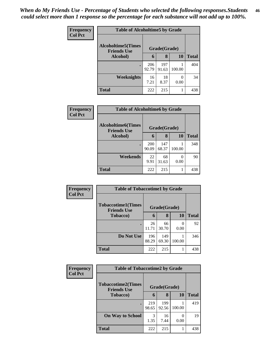| <b>Frequency</b><br><b>Col Pct</b> | <b>Table of Alcoholtime5 by Grade</b>            |              |              |           |              |  |  |
|------------------------------------|--------------------------------------------------|--------------|--------------|-----------|--------------|--|--|
|                                    | <b>Alcoholtime5</b> (Times<br><b>Friends Use</b> |              | Grade(Grade) |           |              |  |  |
|                                    | Alcohol)                                         | 6            | 8            | 10        | <b>Total</b> |  |  |
|                                    | $\bullet$                                        | 206<br>92.79 | 197<br>91.63 | 100.00    | 404          |  |  |
|                                    | Weeknights                                       | 16<br>7.21   | 18<br>8.37   | ∩<br>0.00 | 34           |  |  |
|                                    | <b>Total</b>                                     | 222          | 215          |           | 438          |  |  |

| Frequency      | <b>Table of Alcoholtime6 by Grade</b>           |                     |              |        |              |  |  |
|----------------|-------------------------------------------------|---------------------|--------------|--------|--------------|--|--|
| <b>Col Pct</b> | <b>Alcoholtime6(Times</b><br><b>Friends Use</b> | Grade(Grade)        |              |        |              |  |  |
|                | Alcohol)                                        | 6                   | 8            | 10     | <b>Total</b> |  |  |
|                | $\bullet$                                       | <b>200</b><br>90.09 | 147<br>68.37 | 100.00 | 348          |  |  |
|                | Weekends                                        | 22<br>9.91          | 68<br>31.63  | 0.00   | 90           |  |  |
|                | <b>Total</b>                                    | 222                 | 215          |        | 438          |  |  |

| Frequency      | <b>Table of Tobaccotime1 by Grade</b>           |              |              |           |              |  |
|----------------|-------------------------------------------------|--------------|--------------|-----------|--------------|--|
| <b>Col Pct</b> | <b>Tobaccotime1(Times</b><br><b>Friends Use</b> |              | Grade(Grade) |           |              |  |
|                | <b>Tobacco</b> )                                | 6            | 8            | 10        | <b>Total</b> |  |
|                |                                                 | 26<br>11.71  | 66<br>30.70  | 0<br>0.00 | 92           |  |
|                | Do Not Use                                      | 196<br>88.29 | 149<br>69.30 | 100.00    | 346          |  |
|                | <b>Total</b>                                    | 222          | 215          |           | 438          |  |

| <b>Frequency</b> | <b>Table of Tobaccotime2 by Grade</b>           |              |              |        |              |  |
|------------------|-------------------------------------------------|--------------|--------------|--------|--------------|--|
| <b>Col Pct</b>   | <b>Tobaccotime2(Times</b><br><b>Friends Use</b> |              | Grade(Grade) |        |              |  |
|                  | <b>Tobacco</b> )                                | 6            | 8            | 10     | <b>Total</b> |  |
|                  | $\bullet$                                       | 219<br>98.65 | 199<br>92.56 | 100.00 | 419          |  |
|                  | <b>On Way to School</b>                         | 3<br>1.35    | 16<br>7.44   | 0.00   | 19           |  |
|                  | <b>Total</b>                                    | 222          | 215          |        | 438          |  |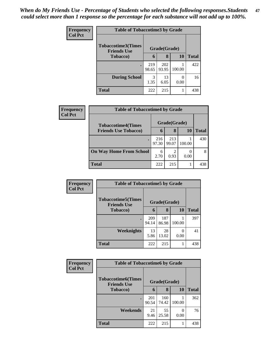| Frequency<br><b>Col Pct</b> | <b>Table of Tobaccotime3 by Grade</b>           |              |              |           |              |  |
|-----------------------------|-------------------------------------------------|--------------|--------------|-----------|--------------|--|
|                             | <b>Tobaccotime3(Times</b><br><b>Friends Use</b> |              | Grade(Grade) |           |              |  |
|                             | <b>Tobacco</b> )                                | 6            | 8            | <b>10</b> | <b>Total</b> |  |
|                             | ٠                                               | 219<br>98.65 | 202<br>93.95 | 100.00    | 422          |  |
|                             | <b>During School</b>                            | 3<br>1.35    | 13<br>6.05   | 0.00      | 16           |  |
|                             | <b>Total</b>                                    | 222          | 215          |           | 438          |  |

| <b>Frequency</b> | <b>Table of Tobaccotime4 by Grade</b> |              |              |        |       |  |
|------------------|---------------------------------------|--------------|--------------|--------|-------|--|
| <b>Col Pct</b>   | <b>Tobaccotime4(Times</b>             |              | Grade(Grade) |        |       |  |
|                  | <b>Friends Use Tobacco)</b>           | 6            | 8            | 10     | Total |  |
|                  |                                       | 216<br>97.30 | 213<br>99.07 | 100.00 | 430   |  |
|                  | <b>On Way Home From School</b>        | 6<br>2.70    | 2<br>0.93    | 0.00   |       |  |
|                  | <b>Total</b>                          | 222          | 215          |        | 438   |  |

| Frequency      | <b>Table of Tobaccotime5 by Grade</b>           |              |              |           |              |
|----------------|-------------------------------------------------|--------------|--------------|-----------|--------------|
| <b>Col Pct</b> | <b>Tobaccotime5(Times</b><br><b>Friends Use</b> | Grade(Grade) |              |           |              |
|                | <b>Tobacco</b> )                                | 6            | 8            | 10        | <b>Total</b> |
|                |                                                 | 209<br>94.14 | 187<br>86.98 | 100.00    | 397          |
|                | Weeknights                                      | 13<br>5.86   | 28<br>13.02  | 0<br>0.00 | 41           |
|                | <b>Total</b>                                    | 222          | 215          | 1         | 438          |

| <b>Frequency</b> | <b>Table of Tobaccotime6 by Grade</b>           |              |              |        |              |
|------------------|-------------------------------------------------|--------------|--------------|--------|--------------|
| <b>Col Pct</b>   | <b>Tobaccotime6(Times</b><br><b>Friends Use</b> |              | Grade(Grade) |        |              |
|                  | <b>Tobacco</b> )                                | 6            | 8            | 10     | <b>Total</b> |
|                  | $\bullet$                                       | 201<br>90.54 | 160<br>74.42 | 100.00 | 362          |
|                  | Weekends                                        | 21<br>9.46   | 55<br>25.58  | 0.00   | 76           |
|                  | <b>Total</b>                                    | 222          | 215          |        | 438          |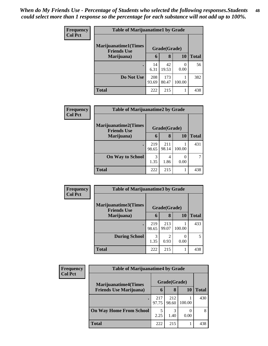| <b>Frequency</b> | <b>Table of Marijuanatime1 by Grade</b>           |              |              |        |              |
|------------------|---------------------------------------------------|--------------|--------------|--------|--------------|
| <b>Col Pct</b>   | <b>Marijuanatime1(Times</b><br><b>Friends Use</b> |              | Grade(Grade) |        |              |
|                  | Marijuana)                                        | 6            | 8            | 10     | <b>Total</b> |
|                  |                                                   | 14<br>6.31   | 42<br>19.53  | 0.00   | 56           |
|                  | Do Not Use                                        | 208<br>93.69 | 173<br>80.47 | 100.00 | 382          |
|                  | <b>Total</b>                                      | 222          | 215          |        | 438          |

| Frequency      | <b>Table of Marijuanatime2 by Grade</b>           |              |              |        |              |  |
|----------------|---------------------------------------------------|--------------|--------------|--------|--------------|--|
| <b>Col Pct</b> | <b>Marijuanatime2(Times</b><br><b>Friends Use</b> |              | Grade(Grade) |        |              |  |
|                | Marijuana)                                        | 6            | 8            | 10     | <b>Total</b> |  |
|                | $\bullet$                                         | 219<br>98.65 | 211<br>98.14 | 100.00 | 431          |  |
|                | <b>On Way to School</b>                           | 3<br>1.35    | 4<br>1.86    | 0.00   |              |  |
|                | <b>Total</b>                                      | 222          | 215          |        | 438          |  |

| Frequency<br><b>Col Pct</b> | <b>Table of Marijuanatime3 by Grade</b>    |              |                        |        |              |
|-----------------------------|--------------------------------------------|--------------|------------------------|--------|--------------|
|                             | Marijuanatime3(Times<br><b>Friends Use</b> |              | Grade(Grade)           |        |              |
|                             | Marijuana)                                 | 6            | 8                      | 10     | <b>Total</b> |
|                             |                                            | 219<br>98.65 | 213<br>99.07           | 100.00 | 433          |
|                             | <b>During School</b>                       | 3<br>1.35    | $\overline{c}$<br>0.93 | 0.00   | 5            |
|                             | <b>Total</b>                               | 222          | 215                    |        | 438          |

| Frequency      | <b>Table of Marijuanatime4 by Grade</b> |              |              |        |              |
|----------------|-----------------------------------------|--------------|--------------|--------|--------------|
| <b>Col Pct</b> | <b>Marijuanatime4</b> (Times            |              | Grade(Grade) |        |              |
|                | <b>Friends Use Marijuana</b> )          | 6            | 8            | 10     | <b>Total</b> |
|                |                                         | 217<br>97.75 | 212<br>98.60 | 100.00 | 430          |
|                | <b>On Way Home From School</b>          | 5<br>2.25    | 3<br>1.40    | 0.00   | 8            |
|                | <b>Total</b>                            | 222          | 215          |        | 438          |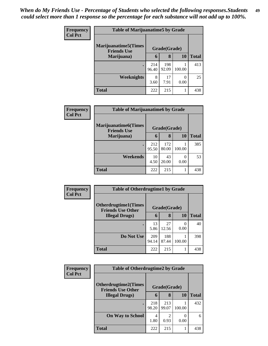| <b>Frequency</b> | <b>Table of Marijuanatime5 by Grade</b>            |              |              |           |              |
|------------------|----------------------------------------------------|--------------|--------------|-----------|--------------|
| <b>Col Pct</b>   | <b>Marijuanatime5</b> (Times<br><b>Friends Use</b> |              | Grade(Grade) |           |              |
|                  | Marijuana)                                         | 6            | 8            | 10        | <b>Total</b> |
|                  |                                                    | 214<br>96.40 | 198<br>92.09 | 100.00    | 413          |
|                  | Weeknights                                         | 8<br>3.60    | 17<br>7.91   | 0<br>0.00 | 25           |
|                  | <b>Total</b>                                       | 222          | 215          |           | 438          |

| Frequency      | <b>Table of Marijuanatime6 by Grade</b>            |              |              |        |              |  |
|----------------|----------------------------------------------------|--------------|--------------|--------|--------------|--|
| <b>Col Pct</b> | <b>Marijuanatime6</b> (Times<br><b>Friends Use</b> |              | Grade(Grade) |        |              |  |
|                | Marijuana)                                         | 6            | 8            | 10     | <b>Total</b> |  |
|                | ٠                                                  | 212<br>95.50 | 172<br>80.00 | 100.00 | 385          |  |
|                | Weekends                                           | 10<br>4.50   | 43<br>20.00  | 0.00   | 53           |  |
|                | <b>Total</b>                                       | 222          | 215          |        | 438          |  |

| Frequency<br><b>Col Pct</b> | <b>Table of Otherdrugtime1 by Grade</b>                  |              |              |                  |              |
|-----------------------------|----------------------------------------------------------|--------------|--------------|------------------|--------------|
|                             | <b>Otherdrugtime1</b> (Times<br><b>Friends Use Other</b> |              | Grade(Grade) |                  |              |
|                             | <b>Illegal Drugs</b> )                                   | 6            | 8            | 10               | <b>Total</b> |
|                             |                                                          | 13<br>5.86   | 27<br>12.56  | $\left($<br>0.00 | 40           |
|                             | Do Not Use                                               | 209<br>94.14 | 188<br>87.44 | 100.00           | 398          |
|                             | <b>Total</b>                                             | 222          | 215          |                  | 438          |

| Frequency      | <b>Table of Otherdrugtime2 by Grade</b>                 |              |                        |        |              |  |  |
|----------------|---------------------------------------------------------|--------------|------------------------|--------|--------------|--|--|
| <b>Col Pct</b> | <b>Otherdrugtime2(Times</b><br><b>Friends Use Other</b> | Grade(Grade) |                        |        |              |  |  |
|                | <b>Illegal Drugs</b> )                                  | 6            | 8                      | 10     | <b>Total</b> |  |  |
|                |                                                         | 218<br>98.20 | 213<br>99.07           | 100.00 | 432          |  |  |
|                | <b>On Way to School</b>                                 | 4<br>1.80    | $\mathfrak{D}$<br>0.93 | 0.00   | 6            |  |  |
|                | <b>Total</b>                                            | 222          | 215                    |        | 438          |  |  |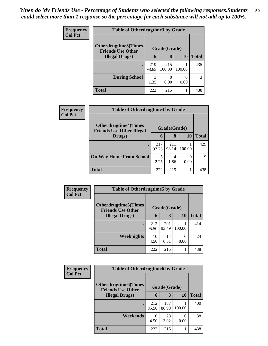| <b>Frequency</b> | <b>Table of Otherdrugtime3 by Grade</b>          |              |               |                  |              |  |  |
|------------------|--------------------------------------------------|--------------|---------------|------------------|--------------|--|--|
| <b>Col Pct</b>   | Otherdrugtime3(Times<br><b>Friends Use Other</b> |              | Grade(Grade)  |                  |              |  |  |
|                  | <b>Illegal Drugs</b> )                           | 6            | 8             | 10               | <b>Total</b> |  |  |
|                  |                                                  | 219<br>98.65 | 215<br>100.00 | 100.00           | 435          |  |  |
|                  | <b>During School</b>                             | 3<br>1.35    | 0<br>0.00     | $\Omega$<br>0.00 | 3            |  |  |
|                  | <b>Total</b>                                     | 222          | 215           |                  | 438          |  |  |

| <b>Frequency</b> | <b>Table of Otherdrugtime4 by Grade</b>                         |              |              |                      |              |  |
|------------------|-----------------------------------------------------------------|--------------|--------------|----------------------|--------------|--|
| <b>Col Pct</b>   | <b>Otherdrugtime4(Times</b><br><b>Friends Use Other Illegal</b> |              | Grade(Grade) |                      |              |  |
|                  | Drugs)                                                          | 6            | 8            | 10                   | <b>Total</b> |  |
|                  |                                                                 | 217<br>97.75 | 211<br>98.14 | 100.00               | 429          |  |
|                  | <b>On Way Home From School</b>                                  | 2.25         | 4<br>1.86    | $\mathbf{0}$<br>0.00 | Q            |  |
|                  | <b>Total</b>                                                    | 222          | 215          |                      | 438          |  |

| Frequency      | <b>Table of Otherdrugtime5 by Grade</b>                  |              |              |        |              |  |  |
|----------------|----------------------------------------------------------|--------------|--------------|--------|--------------|--|--|
| <b>Col Pct</b> | <b>Otherdrugtime5</b> (Times<br><b>Friends Use Other</b> |              | Grade(Grade) |        |              |  |  |
|                | <b>Illegal Drugs</b> )                                   | 6            | 8            | 10     | <b>Total</b> |  |  |
|                |                                                          | 212<br>95.50 | 201<br>93.49 | 100.00 | 414          |  |  |
|                | Weeknights                                               | 10<br>4.50   | 14<br>6.51   | 0.00   | 24           |  |  |
|                | <b>Total</b>                                             | 222          | 215          |        | 438          |  |  |

| <b>Frequency</b> | <b>Table of Otherdrugtime6 by Grade</b>                 |              |              |        |              |  |  |
|------------------|---------------------------------------------------------|--------------|--------------|--------|--------------|--|--|
| <b>Col Pct</b>   | <b>Otherdrugtime6(Times</b><br><b>Friends Use Other</b> |              | Grade(Grade) |        |              |  |  |
|                  | <b>Illegal Drugs</b> )                                  | 6            | 8            | 10     | <b>Total</b> |  |  |
|                  |                                                         | 212<br>95.50 | 187<br>86.98 | 100.00 | 400          |  |  |
|                  | Weekends                                                | 10<br>4.50   | 28<br>13.02  | 0.00   | 38           |  |  |
|                  | <b>Total</b>                                            | 222          | 215          |        | 438          |  |  |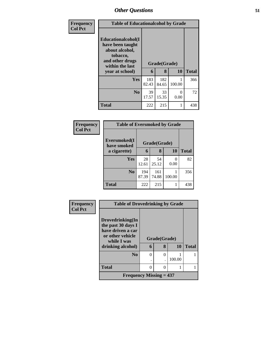| Frequency      | <b>Table of Educationalcohol by Grade</b>                                                                                     |              |                   |           |              |  |  |
|----------------|-------------------------------------------------------------------------------------------------------------------------------|--------------|-------------------|-----------|--------------|--|--|
| <b>Col Pct</b> | Educationalcohol(I<br>have been taught<br>about alcohol,<br>tobacco,<br>and other drugs<br>within the last<br>year at school) | 6            | Grade(Grade)<br>8 | <b>10</b> | <b>Total</b> |  |  |
|                |                                                                                                                               |              |                   |           |              |  |  |
|                | Yes                                                                                                                           | 183<br>82.43 | 182<br>84.65      | 100.00    | 366          |  |  |
|                | N <sub>0</sub>                                                                                                                | 39<br>17.57  | 33<br>15.35       | 0<br>0.00 | 72           |  |  |
|                | <b>Total</b>                                                                                                                  | 222          | 215               |           | 438          |  |  |

| Frequency<br><b>Col Pct</b> | <b>Table of Eversmoked by Grade</b> |              |              |           |              |  |  |  |
|-----------------------------|-------------------------------------|--------------|--------------|-----------|--------------|--|--|--|
|                             | Eversmoked(I<br>have smoked         |              | Grade(Grade) |           |              |  |  |  |
|                             | a cigarette)                        | 6            | 8            | <b>10</b> | <b>Total</b> |  |  |  |
|                             | <b>Yes</b>                          | 28<br>12.61  | 54<br>25.12  | 0<br>0.00 | 82           |  |  |  |
|                             | N <sub>0</sub>                      | 194<br>87.39 | 161<br>74.88 | 100.00    | 356          |  |  |  |
|                             | <b>Total</b>                        | 222          | 215          | 1         | 438          |  |  |  |

| <b>Frequency</b> | <b>Table of Drovedrinking by Grade</b> |          |              |        |              |  |
|------------------|----------------------------------------|----------|--------------|--------|--------------|--|
| <b>Col Pct</b>   |                                        |          |              |        |              |  |
|                  | Drovedrinking(In<br>the past 30 days I |          |              |        |              |  |
|                  | have driven a car                      |          |              |        |              |  |
|                  | or other vehicle<br>while I was        |          | Grade(Grade) |        |              |  |
|                  | drinking alcohol)                      | 6        | 8            | 10     | <b>Total</b> |  |
|                  | N <sub>0</sub>                         | $\theta$ | 0            |        |              |  |
|                  |                                        |          |              | 100.00 |              |  |
|                  | <b>Total</b>                           | 0        | $\Omega$     |        |              |  |
|                  | <b>Frequency Missing = 437</b>         |          |              |        |              |  |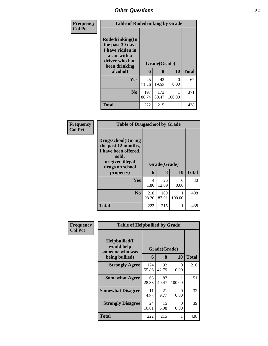| Frequency      | <b>Table of Rodedrinking by Grade</b>                                                                                  |              |                   |                           |              |
|----------------|------------------------------------------------------------------------------------------------------------------------|--------------|-------------------|---------------------------|--------------|
| <b>Col Pct</b> | Rodedrinking(In<br>the past 30 days<br>I have ridden in<br>a car with a<br>driver who had<br>been drinking<br>alcohol) | 6            | Grade(Grade)<br>8 | 10                        | <b>Total</b> |
|                | <b>Yes</b>                                                                                                             | 25<br>11.26  | 42<br>19.53       | $\mathbf{\Omega}$<br>0.00 | 67           |
|                | No.                                                                                                                    | 197<br>88.74 | 173<br>80.47      | 100.00                    | 371          |
|                | <b>Total</b>                                                                                                           | 222          | 215               |                           | 438          |

| Frequency      | <b>Table of Drugsschool by Grade</b>                                                                                                   |              |                   |           |              |
|----------------|----------------------------------------------------------------------------------------------------------------------------------------|--------------|-------------------|-----------|--------------|
| <b>Col Pct</b> | <b>Drugsschool</b> (During<br>the past 12 months,<br>I have been offered,<br>sold,<br>or given illegal<br>drugs on school<br>property) | 6            | Grade(Grade)<br>8 | 10        | <b>Total</b> |
|                | Yes                                                                                                                                    | 4<br>1.80    | 26<br>12.09       | 0<br>0.00 | 30           |
|                | N <sub>0</sub>                                                                                                                         | 218<br>98.20 | 189<br>87.91      | 100.00    | 408          |
|                | <b>Total</b>                                                                                                                           | 222          | 215               | 1         | 438          |

| Frequency      | <b>Table of Helpbullied by Grade</b>                              |              |                   |           |              |  |  |
|----------------|-------------------------------------------------------------------|--------------|-------------------|-----------|--------------|--|--|
| <b>Col Pct</b> | Helpbullied(I)<br>would help<br>someone who was<br>being bullied) | 6            | Grade(Grade)<br>8 | 10        | <b>Total</b> |  |  |
|                | <b>Strongly Agree</b>                                             | 124<br>55.86 | 92<br>42.79       | 0<br>0.00 | 216          |  |  |
|                | <b>Somewhat Agree</b>                                             | 63<br>28.38  | 87<br>40.47       | 100.00    | 151          |  |  |
|                | <b>Somewhat Disagree</b>                                          | 11<br>4.95   | 21<br>9.77        | 0<br>0.00 | 32           |  |  |
|                | <b>Strongly Disagree</b>                                          | 24<br>10.81  | 15<br>6.98        | 0<br>0.00 | 39           |  |  |
|                | Total                                                             | 222          | 215               | 1         | 438          |  |  |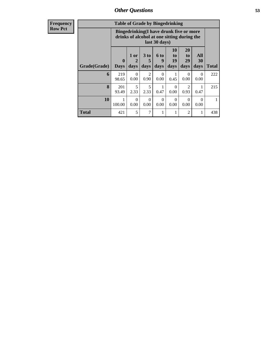| <b>Table of Grade by Bingedrinking</b> |                             |                                                                                                                                                                        |           |                  |                  |                        |           |     |  |
|----------------------------------------|-----------------------------|------------------------------------------------------------------------------------------------------------------------------------------------------------------------|-----------|------------------|------------------|------------------------|-----------|-----|--|
|                                        |                             | Bingedrinking(I have drunk five or more<br>drinks of alcohol at one sitting during the<br>last 30 days)                                                                |           |                  |                  |                        |           |     |  |
| Grade(Grade)                           | $\mathbf{0}$<br><b>Days</b> | 20<br><b>10</b><br>All<br>3 <sub>to</sub><br>1 or<br><b>6 to</b><br>to<br>to<br>29<br>9<br>30<br>19<br>2<br>5<br>days<br>Total<br>days<br>days<br>days<br>days<br>days |           |                  |                  |                        |           |     |  |
| 6                                      | 219<br>98.65                | $\Omega$<br>0.00                                                                                                                                                       | 2<br>0.90 | $\Omega$<br>0.00 | 0.45             | 0<br>0.00              | 0<br>0.00 | 222 |  |
| 8                                      | 201<br>93.49                | 5<br>2.33                                                                                                                                                              | 5<br>2.33 | 1<br>0.47        | $\Omega$<br>0.00 | $\overline{2}$<br>0.93 | 0.47      | 215 |  |
| 10                                     | 100.00                      | $\Omega$<br>$\Omega$<br>0<br>0<br>0<br>∩<br>0.00<br>0.00<br>0.00<br>0.00<br>0.00<br>0.00                                                                               |           |                  |                  |                        |           |     |  |
| <b>Total</b>                           | 421                         | 5                                                                                                                                                                      | 7         | 1                |                  | $\overline{c}$         |           | 438 |  |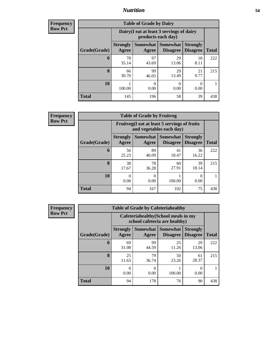## *Nutrition* **54**

**Frequency Row Pct**

| <b>Table of Grade by Dairy</b> |                          |                                                                 |                                    |                                    |              |  |  |
|--------------------------------|--------------------------|-----------------------------------------------------------------|------------------------------------|------------------------------------|--------------|--|--|
|                                |                          | Dairy (I eat at least 3 servings of dairy<br>products each day) |                                    |                                    |              |  |  |
| Grade(Grade)                   | <b>Strongly</b><br>Agree | <b>Somewhat</b><br>Agree                                        | <b>Somewhat</b><br><b>Disagree</b> | <b>Strongly</b><br><b>Disagree</b> | <b>Total</b> |  |  |
| 6                              | 78<br>35.14              | 97<br>43.69                                                     | 29<br>13.06                        | 18<br>8.11                         | 222          |  |  |
| 8                              | 66<br>30.70              | 99<br>46.05                                                     | 29<br>13.49                        | 21<br>9.77                         | 215          |  |  |
| 10                             | 100.00                   | 0<br>0.00                                                       | 0<br>0.00                          | 0<br>0.00                          |              |  |  |
| <b>Total</b>                   | 145                      | 196                                                             | 58                                 | 39                                 | 438          |  |  |

| $\overline{7}$ | <b>Table of Grade by Fruitveg</b> |                          |                                                                          |                                        |                                    |              |  |  |
|----------------|-----------------------------------|--------------------------|--------------------------------------------------------------------------|----------------------------------------|------------------------------------|--------------|--|--|
|                |                                   |                          | Fruitveg(I eat at least 5 servings of fruits<br>and vegetables each day) |                                        |                                    |              |  |  |
|                | Grade(Grade)                      | <b>Strongly</b><br>Agree | Agree                                                                    | Somewhat   Somewhat<br><b>Disagree</b> | <b>Strongly</b><br><b>Disagree</b> | <b>Total</b> |  |  |
|                | 6                                 | 56<br>25.23              | 89<br>40.09                                                              | 41<br>18.47                            | 36<br>16.22                        | 222          |  |  |
|                | 8                                 | 38<br>17.67              | 78<br>36.28                                                              | 60<br>27.91                            | 39<br>18.14                        | 215          |  |  |
|                | 10                                | 0.00                     | 0.00                                                                     | 100.00                                 | 0.00                               |              |  |  |
|                | <b>Total</b>                      | 94                       | 167                                                                      | 102                                    | 75                                 | 438          |  |  |

| Frequency      | <b>Table of Grade by Cafeteriahealthy</b> |                                                                       |                     |                                    |                                    |              |  |  |  |
|----------------|-------------------------------------------|-----------------------------------------------------------------------|---------------------|------------------------------------|------------------------------------|--------------|--|--|--|
| <b>Row Pct</b> |                                           | Cafeteriahealthy (School meals in my<br>school cafeteria are healthy) |                     |                                    |                                    |              |  |  |  |
|                | Grade(Grade)                              | <b>Strongly</b><br>Agree                                              | Somewhat  <br>Agree | <b>Somewhat</b><br><b>Disagree</b> | <b>Strongly</b><br><b>Disagree</b> | <b>Total</b> |  |  |  |
|                | 6                                         | 69<br>31.08                                                           | 99<br>44.59         | 25<br>11.26                        | 29<br>13.06                        | 222          |  |  |  |
|                | 8                                         | 25<br>11.63                                                           | 79<br>36.74         | 50<br>23.26                        | 61<br>28.37                        | 215          |  |  |  |
|                | 10                                        | 0.00                                                                  | $\theta$<br>0.00    | 100.00                             | 0<br>0.00                          | 1            |  |  |  |
|                | <b>Total</b>                              | 94                                                                    | 178                 | 76                                 | 90                                 | 438          |  |  |  |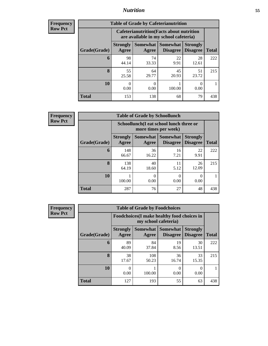## *Nutrition* **55**

| <b>Frequency</b> |
|------------------|
| Row Pct          |

| <b>Table of Grade by Cafeterianutrition</b> |                          |                                                                                                          |             |             |     |  |  |  |
|---------------------------------------------|--------------------------|----------------------------------------------------------------------------------------------------------|-------------|-------------|-----|--|--|--|
|                                             |                          | <b>Cafeterianutrition</b> (Facts about nutrition<br>are available in my school cafeteria)                |             |             |     |  |  |  |
| Grade(Grade)                                | <b>Strongly</b><br>Agree | Somewhat  <br>Somewhat<br><b>Strongly</b><br><b>Disagree</b><br><b>Total</b><br><b>Disagree</b><br>Agree |             |             |     |  |  |  |
| 6                                           | 98<br>44.14              | 74<br>33.33                                                                                              | 22<br>9.91  | 28<br>12.61 | 222 |  |  |  |
| 8                                           | 55<br>25.58              | 64<br>29.77                                                                                              | 45<br>20.93 | 51<br>23.72 | 215 |  |  |  |
| 10                                          | 0<br>0.00                | ∩<br>0.00                                                                                                | 100.00      | O<br>0.00   |     |  |  |  |
| <b>Total</b>                                | 153                      | 138                                                                                                      | 68          | 79          | 438 |  |  |  |

**Frequency Row Pct**

| <b>Table of Grade by Schoollunch</b> |                          |                                                                 |                             |                                    |              |  |  |
|--------------------------------------|--------------------------|-----------------------------------------------------------------|-----------------------------|------------------------------------|--------------|--|--|
|                                      |                          | Schoollunch(I eat school lunch three or<br>more times per week) |                             |                                    |              |  |  |
| Grade(Grade)                         | <b>Strongly</b><br>Agree | <b>Somewhat</b><br>Agree                                        | <b>Somewhat</b><br>Disagree | <b>Strongly</b><br><b>Disagree</b> | <b>Total</b> |  |  |
| 6                                    | 148<br>66.67             | 36<br>16.22                                                     | 16<br>7.21                  | 22<br>9.91                         | 222          |  |  |
| 8                                    | 138<br>64.19             | 40<br>18.60                                                     | 11<br>5.12                  | 26<br>12.09                        | 215          |  |  |
| 10                                   | 100.00                   | 0.00                                                            | 0<br>0.00                   | 0.00                               |              |  |  |
| <b>Total</b>                         | 287                      | 76                                                              | 27                          | 48                                 | 438          |  |  |

| <b>Table of Grade by Foodchoices</b> |                          |                                                                            |                                    |                                    |              |  |  |
|--------------------------------------|--------------------------|----------------------------------------------------------------------------|------------------------------------|------------------------------------|--------------|--|--|
|                                      |                          | <b>Foodchoices</b> (I make healthy food choices in<br>my school cafeteria) |                                    |                                    |              |  |  |
| Grade(Grade)                         | <b>Strongly</b><br>Agree | <b>Somewhat</b><br>Agree                                                   | <b>Somewhat</b><br><b>Disagree</b> | <b>Strongly</b><br><b>Disagree</b> | <b>Total</b> |  |  |
| 6                                    | 89<br>40.09              | 84<br>37.84                                                                | 19<br>8.56                         | 30<br>13.51                        | 222          |  |  |
| 8                                    | 38<br>17.67              | 108<br>50.23                                                               | 36<br>16.74                        | 33<br>15.35                        | 215          |  |  |
| 10                                   | 0.00                     | 100.00                                                                     | 0<br>0.00                          | 0<br>0.00                          |              |  |  |
| <b>Total</b>                         | 127                      | 193                                                                        | 55                                 | 63                                 | 438          |  |  |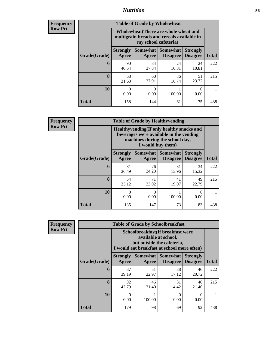## *Nutrition* **56**

| Frequency |
|-----------|
| Row Pct   |

| <b>Table of Grade by Wholewheat</b> |                                                                                                                                   |             |             |             |     |  |  |
|-------------------------------------|-----------------------------------------------------------------------------------------------------------------------------------|-------------|-------------|-------------|-----|--|--|
|                                     | <b>Wholewheat</b> (There are whole wheat and<br>multigrain breads and cereals available in<br>my school cafeteria)                |             |             |             |     |  |  |
| Grade(Grade)                        | Somewhat   Somewhat<br><b>Strongly</b><br><b>Strongly</b><br><b>Disagree</b><br>Agree<br><b>Disagree</b><br><b>Total</b><br>Agree |             |             |             |     |  |  |
| 6                                   | 90<br>40.54                                                                                                                       | 84<br>37.84 | 24<br>10.81 | 24<br>10.81 | 222 |  |  |
| 8                                   | 68<br>31.63                                                                                                                       | 60<br>27.91 | 36<br>16.74 | 51<br>23.72 | 215 |  |  |
| 10                                  | $\Omega$<br>0.00                                                                                                                  | 0<br>0.00   | 100.00      | 0<br>0.00   |     |  |  |
| <b>Total</b>                        | 158                                                                                                                               | 144         | 61          | 75          | 438 |  |  |

**Frequency Row Pct**

| y | <b>Table of Grade by Healthyvending</b> |                                                                                                                          |                   |                                    |                                    |              |  |  |
|---|-----------------------------------------|--------------------------------------------------------------------------------------------------------------------------|-------------------|------------------------------------|------------------------------------|--------------|--|--|
|   |                                         | Healthyvending (If only healthy snacks and<br>beverages were available in the vending<br>machines during the school day, |                   |                                    |                                    |              |  |  |
|   | Grade(Grade)                            | <b>Strongly</b><br>Agree                                                                                                 | Somewhat<br>Agree | <b>Somewhat</b><br><b>Disagree</b> | <b>Strongly</b><br><b>Disagree</b> | <b>Total</b> |  |  |
|   | 6                                       | 81<br>36.49                                                                                                              | 76<br>34.23       | 31<br>13.96                        | 34<br>15.32                        | 222          |  |  |
|   | $\mathbf{8}$                            | 54<br>25.12                                                                                                              | 71<br>33.02       | 41<br>19.07                        | 49<br>22.79                        | 215          |  |  |
|   | 10                                      | 0<br>0.00                                                                                                                | $\Omega$<br>0.00  | 100.00                             | 0<br>0.00                          |              |  |  |
|   | <b>Total</b>                            | 135                                                                                                                      | 147               | 73                                 | 83                                 | 438          |  |  |

| <b>Table of Grade by Schoolbreakfast</b> |                          |                                                                                                                                         |             |             |     |  |  |  |
|------------------------------------------|--------------------------|-----------------------------------------------------------------------------------------------------------------------------------------|-------------|-------------|-----|--|--|--|
|                                          |                          | Schoolbreakfast (If breakfast were<br>available at school,<br>but outside the cafeteria,<br>I would eat breakfast at school more often) |             |             |     |  |  |  |
| Grade(Grade)                             | <b>Strongly</b><br>Agree | Somewhat   Somewhat  <br><b>Strongly</b><br><b>Disagree</b><br><b>Total</b><br><b>Disagree</b><br>Agree                                 |             |             |     |  |  |  |
| 6                                        | 87<br>39.19              | 51<br>22.97                                                                                                                             | 38<br>17.12 | 46<br>20.72 | 222 |  |  |  |
| 8                                        | 92<br>42.79              | 46<br>21.40                                                                                                                             | 31<br>14.42 | 46<br>21.40 | 215 |  |  |  |
| 10                                       | 0<br>0.00                | 100.00                                                                                                                                  | 0<br>0.00   | 0<br>0.00   |     |  |  |  |
| <b>Total</b>                             | 179                      | 98                                                                                                                                      | 69          | 92          | 438 |  |  |  |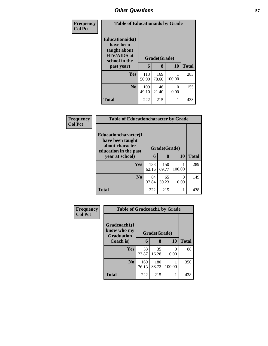| Frequency      | <b>Table of Educationaids by Grade</b>                                                                    |              |                   |           |              |  |
|----------------|-----------------------------------------------------------------------------------------------------------|--------------|-------------------|-----------|--------------|--|
| <b>Col Pct</b> | <b>Educationaids</b> (I<br>have been<br>taught about<br><b>HIV/AIDS</b> at<br>school in the<br>past year) | 6            | Grade(Grade)<br>8 | 10        | <b>Total</b> |  |
|                | <b>Yes</b>                                                                                                | 113<br>50.90 | 169<br>78.60      | 100.00    | 283          |  |
|                | N <sub>0</sub>                                                                                            | 109<br>49.10 | 46<br>21.40       | ∩<br>0.00 | 155          |  |
|                | <b>Total</b>                                                                                              | 222          | 215               |           | 438          |  |

| <b>Frequency</b> | <b>Table of Educationcharacter by Grade</b>                                          |              |              |           |              |  |  |  |
|------------------|--------------------------------------------------------------------------------------|--------------|--------------|-----------|--------------|--|--|--|
| <b>Col Pct</b>   | Educationcharacter(I<br>have been taught<br>about character<br>education in the past | Grade(Grade) |              |           |              |  |  |  |
|                  | year at school)                                                                      | 6            | 8            | 10        | <b>Total</b> |  |  |  |
|                  | Yes                                                                                  | 138<br>62.16 | 150<br>69.77 | 100.00    | 289          |  |  |  |
|                  | No                                                                                   | 84<br>37.84  | 65<br>30.23  | ∩<br>0.00 | 149          |  |  |  |
|                  | <b>Total</b>                                                                         | 222          | 215          |           | 438          |  |  |  |

| Frequency<br><b>Col Pct</b> |                                                  | <b>Table of Gradcoach1 by Grade</b> |              |        |              |  |  |  |
|-----------------------------|--------------------------------------------------|-------------------------------------|--------------|--------|--------------|--|--|--|
|                             | Gradcoach1(I<br>know who my<br><b>Graduation</b> |                                     | Grade(Grade) |        |              |  |  |  |
|                             | Coach is)                                        | 6                                   | 8            | 10     | <b>Total</b> |  |  |  |
|                             | Yes                                              | 53<br>23.87                         | 35<br>16.28  | 0.00   | 88           |  |  |  |
|                             | N <sub>0</sub>                                   | 169<br>76.13                        | 180<br>83.72 | 100.00 | 350          |  |  |  |
|                             | <b>Total</b>                                     | 222                                 | 215          |        | 438          |  |  |  |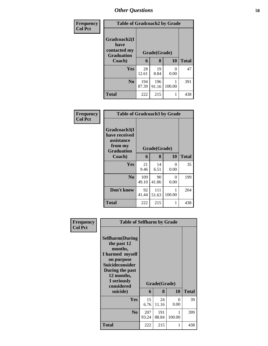| <b>Frequency</b> | <b>Table of Gradcoach2 by Grade</b>                       |              |              |        |              |
|------------------|-----------------------------------------------------------|--------------|--------------|--------|--------------|
| <b>Col Pct</b>   | Gradcoach2(I<br>have<br>contacted my<br><b>Graduation</b> |              | Grade(Grade) |        |              |
|                  | Coach)                                                    | 6            | 8            | 10     | <b>Total</b> |
|                  | Yes                                                       | 28<br>12.61  | 19<br>8.84   | 0.00   | 47           |
|                  | N <sub>0</sub>                                            | 194<br>87.39 | 196<br>91.16 | 100.00 | 391          |
|                  | Total                                                     | 222          | 215          |        | 438          |

| Frequency<br><b>Col Pct</b> | <b>Table of Gradcoach3 by Grade</b>                                         |              |              |           |              |
|-----------------------------|-----------------------------------------------------------------------------|--------------|--------------|-----------|--------------|
|                             | Gradcoach3(I<br>have received<br>assistance<br>from my<br><b>Graduation</b> | Grade(Grade) |              |           |              |
|                             | Coach)                                                                      | 6            | 8            | 10        | <b>Total</b> |
|                             | Yes                                                                         | 21<br>9.46   | 14<br>6.51   | 0<br>0.00 | 35           |
|                             | N <sub>0</sub>                                                              | 109<br>49.10 | 90<br>41.86  | 0<br>0.00 | 199          |
|                             | Don't know                                                                  | 92<br>41.44  | 111<br>51.63 | 100.00    | 204          |
|                             | <b>Total</b>                                                                | 222          | 215          |           | 438          |

| Frequency<br><b>Col Pct</b> | <b>Table of Selfharm by Grade</b>                                                                                                                                          |              |              |             |              |
|-----------------------------|----------------------------------------------------------------------------------------------------------------------------------------------------------------------------|--------------|--------------|-------------|--------------|
|                             | <b>Selfharm</b> (During<br>the past 12<br>months,<br>I harmed myself<br>on purpose<br><b>Suicideconsider</b><br>During the past<br>12 months,<br>I seriously<br>considered |              | Grade(Grade) |             |              |
|                             | suicide)                                                                                                                                                                   | 6            | 8            | 10          | <b>Total</b> |
|                             | Yes                                                                                                                                                                        | 15<br>6.76   | 24<br>11.16  | 0<br>0.00   | 39           |
|                             | N <sub>0</sub>                                                                                                                                                             | 207<br>93.24 | 191<br>88.84 | 1<br>100.00 | 399          |
|                             | <b>Total</b>                                                                                                                                                               | 222          | 215          | 1           | 438          |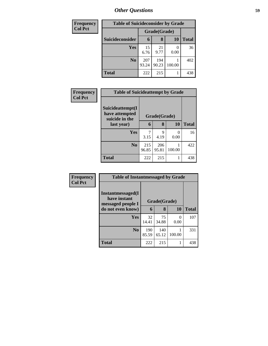| <b>Frequency</b> |                 | <b>Table of Suicideconsider by Grade</b> |              |           |              |  |  |
|------------------|-----------------|------------------------------------------|--------------|-----------|--------------|--|--|
| <b>Col Pct</b>   |                 | Grade(Grade)                             |              |           |              |  |  |
|                  | Suicideconsider | 6                                        | 8            | <b>10</b> | <b>Total</b> |  |  |
|                  | Yes             | 15<br>6.76                               | 21<br>9.77   | 0.00      | 36           |  |  |
|                  | N <sub>0</sub>  | 207<br>93.24                             | 194<br>90.23 | 100.00    | 402          |  |  |
|                  | <b>Total</b>    | 222                                      | 215          |           | 438          |  |  |

| Frequency      |                                                      | <b>Table of Suicideattempt by Grade</b> |              |           |              |  |  |
|----------------|------------------------------------------------------|-----------------------------------------|--------------|-----------|--------------|--|--|
| <b>Col Pct</b> | Suicideattempt(I<br>have attempted<br>suicide in the | Grade(Grade)                            |              |           |              |  |  |
|                | last year)                                           | 6                                       | 8            | 10        | <b>Total</b> |  |  |
|                | Yes                                                  | 7<br>3.15                               | 9<br>4.19    | 0<br>0.00 | 16           |  |  |
|                | N <sub>0</sub>                                       | 215<br>96.85                            | 206<br>95.81 | 100.00    | 422          |  |  |
|                | <b>Total</b>                                         | 222                                     | 215          |           | 438          |  |  |

| Frequency      | <b>Table of Instantmessaged by Grade</b>               |              |              |           |              |
|----------------|--------------------------------------------------------|--------------|--------------|-----------|--------------|
| <b>Col Pct</b> | Instantmessaged(I<br>have instant<br>messaged people I | Grade(Grade) |              |           |              |
|                | do not even know)                                      | 6            | 8            | 10        | <b>Total</b> |
|                | Yes                                                    | 32<br>14.41  | 75<br>34.88  | 0<br>0.00 | 107          |
|                | N <sub>0</sub>                                         | 190<br>85.59 | 140<br>65.12 | 100.00    | 331          |
|                | <b>Total</b>                                           | 222          | 215          | 1         | 438          |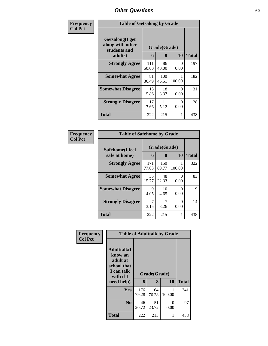| Frequency      | <b>Table of Getsalong by Grade</b>                  |              |              |           |              |  |
|----------------|-----------------------------------------------------|--------------|--------------|-----------|--------------|--|
| <b>Col Pct</b> | Getsalong(I get<br>along with other<br>students and | Grade(Grade) |              |           |              |  |
|                | adults)                                             | 6            | 8            | 10        | <b>Total</b> |  |
|                | <b>Strongly Agree</b>                               | 111<br>50.00 | 86<br>40.00  | 0<br>0.00 | 197          |  |
|                | <b>Somewhat Agree</b>                               | 81<br>36.49  | 100<br>46.51 | 100.00    | 182          |  |
|                | <b>Somewhat Disagree</b>                            | 13<br>5.86   | 18<br>8.37   | 0<br>0.00 | 31           |  |
|                | <b>Strongly Disagree</b>                            | 17<br>7.66   | 11<br>5.12   | 0<br>0.00 | 28           |  |
|                | Total                                               | 222          | 215          | 1         | 438          |  |

| Frequency      | <b>Table of Safehome by Grade</b> |              |                   |           |              |
|----------------|-----------------------------------|--------------|-------------------|-----------|--------------|
| <b>Col Pct</b> | Safehome(I feel<br>safe at home)  | 6            | Grade(Grade)<br>8 | <b>10</b> | <b>Total</b> |
|                | <b>Strongly Agree</b>             | 171<br>77.03 | 150<br>69.77      | 100.00    | 322          |
|                | <b>Somewhat Agree</b>             | 35<br>15.77  | 48<br>22.33       | 0<br>0.00 | 83           |
|                | <b>Somewhat Disagree</b>          | 9<br>4.05    | 10<br>4.65        | 0<br>0.00 | 19           |
|                | <b>Strongly Disagree</b>          | 3.15         | 3.26              | 0<br>0.00 | 14           |
|                | <b>Total</b>                      | 222          | 215               |           | 438          |

| Frequency      | <b>Table of Adulttalk by Grade</b>                                                                |              |                   |           |              |  |  |  |  |
|----------------|---------------------------------------------------------------------------------------------------|--------------|-------------------|-----------|--------------|--|--|--|--|
| <b>Col Pct</b> | <b>Adulttalk(I</b><br>know an<br>adult at<br>school that<br>I can talk<br>with if I<br>need help) | 6            | Grade(Grade)<br>8 | 10        | <b>Total</b> |  |  |  |  |
|                | Yes                                                                                               | 176<br>79.28 | 164<br>76.28      | 100.00    | 341          |  |  |  |  |
|                | N <sub>0</sub>                                                                                    | 46<br>20.72  | 51<br>23.72       | 0<br>0.00 | 97           |  |  |  |  |
|                | <b>Total</b>                                                                                      | 222          | 215               |           | 438          |  |  |  |  |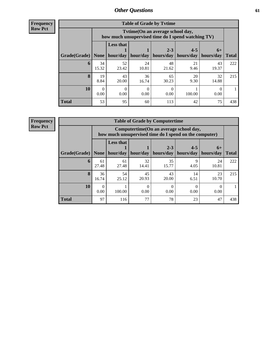**Frequency Row Pct**

| <b>Table of Grade by Tytime</b> |             |                                                                                         |             |                      |                      |                   |              |  |
|---------------------------------|-------------|-----------------------------------------------------------------------------------------|-------------|----------------------|----------------------|-------------------|--------------|--|
|                                 |             | Tvtime (On an average school day,<br>how much unsupervised time do I spend watching TV) |             |                      |                      |                   |              |  |
| Grade(Grade)                    | None        | <b>Less that</b><br>hour/day                                                            | hour/day    | $2 - 3$<br>hours/day | $4 - 5$<br>hours/day | $6+$<br>hours/day | <b>Total</b> |  |
| 6                               | 34<br>15.32 | 52<br>23.42                                                                             | 24<br>10.81 | 48<br>21.62          | 21<br>9.46           | 43<br>19.37       | 222          |  |
| 8                               | 19<br>8.84  | 43<br>20.00                                                                             | 36<br>16.74 | 65<br>30.23          | 20<br>9.30           | 32<br>14.88       | 215          |  |
| 10                              | 0<br>0.00   | 0.00                                                                                    | 0.00        | 0.00                 | 100.00               | 0.00              |              |  |
| <b>Total</b>                    | 53          | 95                                                                                      | 60          | 113                  | 42                   | 75                | 438          |  |

**Frequency**

**Row Pct**

| <b>Table of Grade by Computertime</b> |                                                                                                                      |                                                                                                   |             |             |            |             |              |
|---------------------------------------|----------------------------------------------------------------------------------------------------------------------|---------------------------------------------------------------------------------------------------|-------------|-------------|------------|-------------|--------------|
|                                       |                                                                                                                      | Computertime (On an average school day,<br>how much unsupervised time do I spend on the computer) |             |             |            |             |              |
| Grade(Grade)                          | <b>Less that</b><br>$4 - 5$<br>$2 - 3$<br>$6+$<br>hours/day<br>hour/day   hour/day<br>hours/day<br>hours/day<br>None |                                                                                                   |             |             |            |             | <b>Total</b> |
| 6                                     | 61<br>27.48                                                                                                          | 61<br>27.48                                                                                       | 32<br>14.41 | 35<br>15.77 | q<br>4.05  | 24<br>10.81 | 222          |
| 8                                     | 36<br>16.74                                                                                                          | 54<br>25.12                                                                                       | 45<br>20.93 | 43<br>20.00 | 14<br>6.51 | 23<br>10.70 | 215          |
| 10                                    | 0.00                                                                                                                 | 100.00                                                                                            | 0.00        | 0.00        | 0.00       | 0.00        |              |
| <b>Total</b>                          | 97                                                                                                                   | 116                                                                                               | 77          | 78          | 23         | 47          | 438          |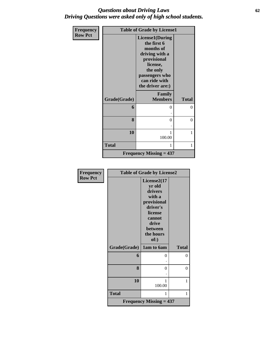### *Questions about Driving Laws* **62** *Driving Questions were asked only of high school students.*

| Frequency      | <b>Table of Grade by License1</b> |                                                                                                                                                                    |                |  |
|----------------|-----------------------------------|--------------------------------------------------------------------------------------------------------------------------------------------------------------------|----------------|--|
| <b>Row Pct</b> |                                   | <b>License1(During</b><br>the first 6<br>months of<br>driving with a<br>provisional<br>license,<br>the only<br>passengers who<br>can ride with<br>the driver are:) |                |  |
|                | Grade(Grade)                      | Family<br><b>Members</b>                                                                                                                                           | <b>Total</b>   |  |
|                | 6                                 | 0                                                                                                                                                                  | $\Omega$       |  |
|                | 8                                 | 0                                                                                                                                                                  | $\overline{0}$ |  |
|                | 10                                | 1<br>100.00                                                                                                                                                        | 1              |  |
|                | <b>Total</b>                      | 1                                                                                                                                                                  | 1              |  |
|                |                                   | Frequency Missing $= 437$                                                                                                                                          |                |  |

| Frequency      | <b>Table of Grade by License2</b> |                                                                                                                                     |              |  |
|----------------|-----------------------------------|-------------------------------------------------------------------------------------------------------------------------------------|--------------|--|
| <b>Row Pct</b> |                                   | License2(17<br>yr old<br>drivers<br>with a<br>provisional<br>driver's<br>license<br>cannot<br>drive<br>between<br>the hours<br>of:) |              |  |
|                | Grade(Grade)                      | 1am to 6am                                                                                                                          | <b>Total</b> |  |
|                | 6                                 | 0                                                                                                                                   | 0            |  |
|                | 8                                 | 0                                                                                                                                   | $\theta$     |  |
|                | 10                                | 1<br>100.00                                                                                                                         | 1            |  |
|                | <b>Total</b>                      | 1                                                                                                                                   | 1            |  |
|                |                                   | <b>Frequency Missing = 437</b>                                                                                                      |              |  |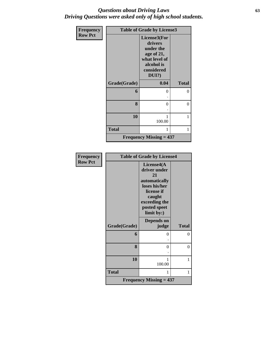### *Questions about Driving Laws* **63** *Driving Questions were asked only of high school students.*

| <b>Frequency</b> | <b>Table of Grade by License3</b> |                                                                                                             |              |  |
|------------------|-----------------------------------|-------------------------------------------------------------------------------------------------------------|--------------|--|
| <b>Row Pct</b>   |                                   | License3(For<br>drivers<br>under the<br>age of 21,<br>what level of<br>alcohol is<br>considered<br>$DUI$ ?) |              |  |
|                  | Grade(Grade)                      | 0.04                                                                                                        | <b>Total</b> |  |
|                  | 6                                 | 0                                                                                                           | 0            |  |
|                  |                                   |                                                                                                             |              |  |
|                  | 8                                 | $\Omega$                                                                                                    | $\theta$     |  |
|                  |                                   |                                                                                                             |              |  |
|                  | 10                                | 100.00                                                                                                      | 1            |  |
|                  | <b>Total</b>                      | 1                                                                                                           | 1            |  |
|                  |                                   | <b>Frequency Missing = 437</b>                                                                              |              |  |

| <b>Frequency</b> | <b>Table of Grade by License4</b> |                                                                     |              |  |
|------------------|-----------------------------------|---------------------------------------------------------------------|--------------|--|
| <b>Row Pct</b>   |                                   | License4(A<br>driver under<br>21<br>automatically<br>loses his/her  |              |  |
|                  |                                   | license if<br>caught<br>exceeding the<br>posted speet<br>limit by:) |              |  |
|                  | Grade(Grade)                      | Depends on<br>judge                                                 | <b>Total</b> |  |
|                  | 6                                 | $\Omega$                                                            | 0            |  |
|                  | 8                                 | 0                                                                   | $\theta$     |  |
|                  | 10                                | 100.00                                                              | 1            |  |
|                  | <b>Total</b>                      | 1                                                                   | 1            |  |
|                  |                                   | <b>Frequency Missing = 437</b>                                      |              |  |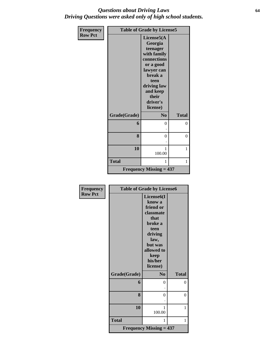### *Questions about Driving Laws* **64** *Driving Questions were asked only of high school students.*

| <b>Frequency</b> |              | <b>Table of Grade by License5</b>                                                                                                                                         |              |  |  |
|------------------|--------------|---------------------------------------------------------------------------------------------------------------------------------------------------------------------------|--------------|--|--|
| <b>Row Pct</b>   |              | License5(A<br>Georgia<br>teenager<br>with family<br>connections<br>or a good<br>lawyer can<br>break a<br>teen<br>driving law<br>and keep<br>their<br>driver's<br>license) |              |  |  |
|                  | Grade(Grade) | N <sub>0</sub>                                                                                                                                                            | <b>Total</b> |  |  |
|                  | 6            | $\theta$                                                                                                                                                                  | 0            |  |  |
|                  | 8            | $\theta$                                                                                                                                                                  | $\theta$     |  |  |
|                  | 10           | 1<br>100.00                                                                                                                                                               | 1            |  |  |
|                  | <b>Total</b> | 1                                                                                                                                                                         | 1            |  |  |
|                  |              | <b>Frequency Missing = 437</b>                                                                                                                                            |              |  |  |

| <b>Frequency</b> | <b>Table of Grade by License6</b> |                                |              |  |  |
|------------------|-----------------------------------|--------------------------------|--------------|--|--|
| <b>Row Pct</b>   |                                   | License <sub>6</sub> (I        |              |  |  |
|                  |                                   | know a                         |              |  |  |
|                  |                                   | friend or                      |              |  |  |
|                  |                                   | classmate                      |              |  |  |
|                  |                                   | that                           |              |  |  |
|                  |                                   | broke a                        |              |  |  |
|                  |                                   | teen                           |              |  |  |
|                  |                                   | driving                        |              |  |  |
|                  |                                   | law,<br>but was                |              |  |  |
|                  |                                   | allowed to                     |              |  |  |
|                  |                                   | keep                           |              |  |  |
|                  |                                   | his/her                        |              |  |  |
|                  |                                   | license)                       |              |  |  |
|                  | Grade(Grade)                      | N <sub>0</sub>                 | <b>Total</b> |  |  |
|                  | 6                                 | 0                              | 0            |  |  |
|                  |                                   |                                |              |  |  |
|                  | 8                                 | $\theta$                       | $\theta$     |  |  |
|                  |                                   |                                |              |  |  |
|                  | 10                                | 1                              | 1            |  |  |
|                  |                                   | 100.00                         |              |  |  |
|                  | <b>Total</b>                      | 1                              | 1            |  |  |
|                  |                                   |                                |              |  |  |
|                  |                                   | <b>Frequency Missing = 437</b> |              |  |  |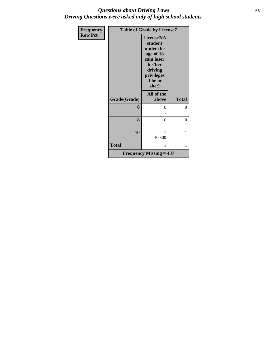### *Questions about Driving Laws* **65** *Driving Questions were asked only of high school students.*

| <b>Frequency</b> | <b>Table of Grade by License7</b> |                                                                                                                       |              |  |  |
|------------------|-----------------------------------|-----------------------------------------------------------------------------------------------------------------------|--------------|--|--|
| <b>Row Pct</b>   |                                   | License7(A<br>student<br>under the<br>age of 18<br>cam loser<br>his/her<br>driving<br>privileges<br>if he or<br>she:) |              |  |  |
|                  | Grade(Grade)                      | All of the<br>above                                                                                                   | <b>Total</b> |  |  |
|                  | 6                                 | 0                                                                                                                     | $\theta$     |  |  |
|                  | 8                                 | 0                                                                                                                     | 0            |  |  |
|                  | 10                                | 1<br>100.00                                                                                                           | 1            |  |  |
|                  | <b>Total</b>                      | 1                                                                                                                     | 1            |  |  |
|                  |                                   | <b>Frequency Missing = 437</b>                                                                                        |              |  |  |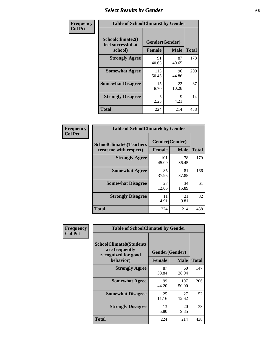## *Select Results by Gender* **66**

| Frequency      | <b>Table of SchoolClimate2 by Gender</b>          |                                 |             |              |
|----------------|---------------------------------------------------|---------------------------------|-------------|--------------|
| <b>Col Pct</b> | SchoolClimate2(I<br>feel successful at<br>school) | Gender(Gender)<br><b>Female</b> | <b>Male</b> | <b>Total</b> |
|                | <b>Strongly Agree</b>                             | 91<br>40.63                     | 87<br>40.65 | 178          |
|                | <b>Somewhat Agree</b>                             | 113<br>50.45                    | 96<br>44.86 | 209          |
|                | <b>Somewhat Disagree</b>                          | 15<br>6.70                      | 22<br>10.28 | 37           |
|                | <b>Strongly Disagree</b>                          | 5<br>2.23                       | 9<br>4.21   | 14           |
|                | <b>Total</b>                                      | 224                             | 214         | 438          |

| Frequency      | <b>Table of SchoolClimate6 by Gender</b>                 |                                 |             |              |  |
|----------------|----------------------------------------------------------|---------------------------------|-------------|--------------|--|
| <b>Col Pct</b> | <b>SchoolClimate6(Teachers</b><br>treat me with respect) | Gender(Gender)<br><b>Female</b> | <b>Male</b> | <b>Total</b> |  |
|                | <b>Strongly Agree</b>                                    | 101<br>45.09                    | 78<br>36.45 | 179          |  |
|                | <b>Somewhat Agree</b>                                    | 85<br>37.95                     | 81<br>37.85 | 166          |  |
|                | <b>Somewhat Disagree</b>                                 | 27<br>12.05                     | 34<br>15.89 | 61           |  |
|                | <b>Strongly Disagree</b>                                 | 11<br>4.91                      | 21<br>9.81  | 32           |  |
|                | <b>Total</b>                                             | 224                             | 214         | 438          |  |

| <b>Frequency</b> | <b>Table of SchoolClimate8 by Gender</b>                                             |               |                               |              |
|------------------|--------------------------------------------------------------------------------------|---------------|-------------------------------|--------------|
| <b>Col Pct</b>   | <b>SchoolClimate8(Students</b><br>are frequently<br>recognized for good<br>behavior) | <b>Female</b> | Gender(Gender)<br><b>Male</b> | <b>Total</b> |
|                  |                                                                                      |               |                               |              |
|                  | <b>Strongly Agree</b>                                                                | 87<br>38.84   | 60<br>28.04                   | 147          |
|                  | <b>Somewhat Agree</b>                                                                | 99<br>44.20   | 107<br>50.00                  | 206          |
|                  | <b>Somewhat Disagree</b>                                                             | 25<br>11.16   | 27<br>12.62                   | 52           |
|                  | <b>Strongly Disagree</b>                                                             | 13<br>5.80    | 20<br>9.35                    | 33           |
|                  | Total                                                                                | 224           | 214                           | 438          |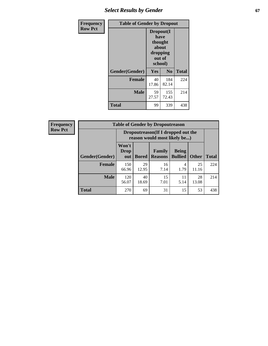## **Select Results by Gender 67**

| Frequency      | <b>Table of Gender by Dropout</b> |                                                                        |                |              |
|----------------|-----------------------------------|------------------------------------------------------------------------|----------------|--------------|
| <b>Row Pct</b> |                                   | Dropout(I<br>have<br>thought<br>about<br>dropping<br>out of<br>school) |                |              |
|                | Gender(Gender)                    | Yes                                                                    | N <sub>0</sub> | <b>Total</b> |
|                | <b>Female</b>                     | 40<br>17.86                                                            | 184<br>82.14   | 224          |
|                | <b>Male</b>                       | 59<br>27.57                                                            | 155<br>72.43   | 214          |
|                | <b>Total</b>                      | 99                                                                     | 339            | 438          |

| <b>Frequency</b> | <b>Table of Gender by Dropoutreason</b> |                      |                                                                     |                                 |                                |              |              |
|------------------|-----------------------------------------|----------------------|---------------------------------------------------------------------|---------------------------------|--------------------------------|--------------|--------------|
| <b>Row Pct</b>   |                                         |                      | Dropoutreason (If I dropped out the<br>reason would most likely be) |                                 |                                |              |              |
|                  | <b>Gender</b> (Gender)                  | Won't<br>Drop<br>out | <b>Bored</b>                                                        | <b>Family</b><br><b>Reasons</b> | <b>Being</b><br><b>Bullied</b> | <b>Other</b> | <b>Total</b> |
|                  | <b>Female</b>                           | 150<br>66.96         | 29<br>12.95                                                         | 16<br>7.14                      | 4<br>1.79                      | 25<br>11.16  | 224          |
|                  | <b>Male</b>                             | 120<br>56.07         | 40<br>18.69                                                         | 15<br>7.01                      | 11<br>5.14                     | 28<br>13.08  | 214          |
|                  | <b>Total</b>                            | 270                  | 69                                                                  | 31                              | 15                             | 53           | 438          |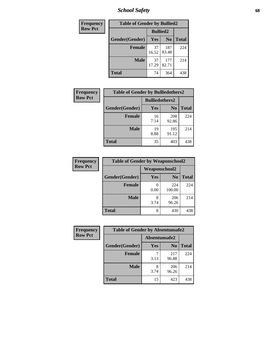*School Safety* **68**

| Frequency      | <b>Table of Gender by Bullied2</b> |                 |                |              |
|----------------|------------------------------------|-----------------|----------------|--------------|
| <b>Row Pct</b> |                                    | <b>Bullied2</b> |                |              |
|                | Gender(Gender)                     | Yes             | N <sub>0</sub> | <b>Total</b> |
|                | <b>Female</b>                      | 37<br>16.52     | 187<br>83.48   | 224          |
|                | <b>Male</b>                        | 37<br>17.29     | 177<br>82.71   | 214          |
|                | <b>Total</b>                       | 74              | 364            | 438          |

| Frequency      | <b>Table of Gender by Bulliedothers2</b> |                       |                |              |
|----------------|------------------------------------------|-----------------------|----------------|--------------|
| <b>Row Pct</b> |                                          | <b>Bulliedothers2</b> |                |              |
|                | Gender(Gender)                           | Yes                   | N <sub>0</sub> | <b>Total</b> |
|                | <b>Female</b>                            | 16<br>7.14            | 208<br>92.86   | 224          |
|                | <b>Male</b>                              | 19<br>8.88            | 195<br>91.12   | 214          |
|                | <b>Total</b>                             | 35                    | 403            | 438          |

| <b>Frequency</b> | <b>Table of Gender by Weaponschool2</b> |                      |                |              |
|------------------|-----------------------------------------|----------------------|----------------|--------------|
| <b>Row Pct</b>   |                                         | <b>Weaponschool2</b> |                |              |
|                  | Gender(Gender)                          | Yes                  | N <sub>0</sub> | <b>Total</b> |
|                  | <b>Female</b>                           | 0.00                 | 224<br>100.00  | 224          |
|                  | <b>Male</b>                             | 8<br>3.74            | 206<br>96.26   | 214          |
|                  | <b>Total</b>                            | 8                    | 430            | 438          |

| Frequency      | <b>Table of Gender by Absentunsafe2</b> |               |                |              |
|----------------|-----------------------------------------|---------------|----------------|--------------|
| <b>Row Pct</b> |                                         | Absentunsafe2 |                |              |
|                | Gender(Gender)                          | Yes           | N <sub>0</sub> | <b>Total</b> |
|                | <b>Female</b>                           | 3.13          | 217<br>96.88   | 224          |
|                | <b>Male</b>                             | 8<br>3.74     | 206<br>96.26   | 214          |
|                | <b>Total</b>                            | 15            | 423            | 438          |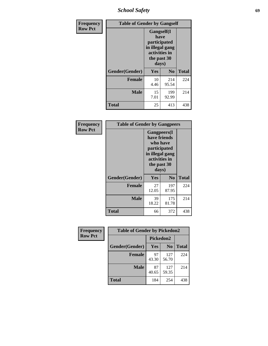*School Safety* **69**

| Frequency      | <b>Table of Gender by Gangself</b> |                                                                                                        |              |              |
|----------------|------------------------------------|--------------------------------------------------------------------------------------------------------|--------------|--------------|
| <b>Row Pct</b> |                                    | <b>Gangself</b> (I<br>have<br>participated<br>in illegal gang<br>activities in<br>the past 30<br>days) |              |              |
|                | Gender(Gender)                     | Yes                                                                                                    | No           | <b>Total</b> |
|                | <b>Female</b>                      | 10<br>4.46                                                                                             | 214<br>95.54 | 224          |
|                | <b>Male</b>                        | 15<br>7.01                                                                                             | 199<br>92.99 | 214          |
|                | <b>Total</b>                       | 25                                                                                                     | 413          | 438          |

| Frequency      | <b>Table of Gender by Gangpeers</b> |                                                                                                                             |                |              |
|----------------|-------------------------------------|-----------------------------------------------------------------------------------------------------------------------------|----------------|--------------|
| <b>Row Pct</b> |                                     | <b>Gangpeers</b> (I<br>have friends<br>who have<br>participated<br>in illegal gang<br>activities in<br>the past 30<br>days) |                |              |
|                | Gender(Gender)                      | Yes                                                                                                                         | N <sub>0</sub> | <b>Total</b> |
|                | <b>Female</b>                       | 27<br>12.05                                                                                                                 | 197<br>87.95   | 224          |
|                | <b>Male</b>                         | 39<br>18.22                                                                                                                 | 175<br>81.78   | 214          |
|                | <b>Total</b>                        | 66                                                                                                                          | 372            | 438          |

| Frequency      | <b>Table of Gender by Pickedon2</b> |             |                |              |
|----------------|-------------------------------------|-------------|----------------|--------------|
| <b>Row Pct</b> |                                     | Pickedon2   |                |              |
|                | Gender(Gender)                      | <b>Yes</b>  | N <sub>0</sub> | <b>Total</b> |
|                | <b>Female</b>                       | 97<br>43.30 | 127<br>56.70   | 224          |
|                | <b>Male</b>                         | 87<br>40.65 | 127<br>59.35   | 214          |
|                | <b>Total</b>                        | 184         | 254            | 438          |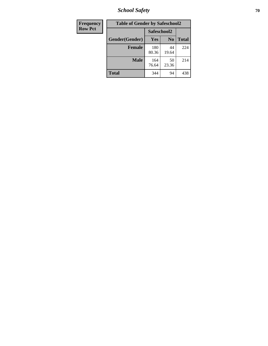*School Safety* **70**

| Frequency      | <b>Table of Gender by Safeschool2</b> |              |                |              |  |
|----------------|---------------------------------------|--------------|----------------|--------------|--|
| <b>Row Pct</b> |                                       | Safeschool2  |                |              |  |
|                | Gender(Gender)                        | <b>Yes</b>   | N <sub>0</sub> | <b>Total</b> |  |
|                | <b>Female</b>                         | 180<br>80.36 | 44<br>19.64    | 224          |  |
|                | <b>Male</b>                           | 164<br>76.64 | 50<br>23.36    | 214          |  |
|                | <b>Total</b>                          | 344          | 94             | 438          |  |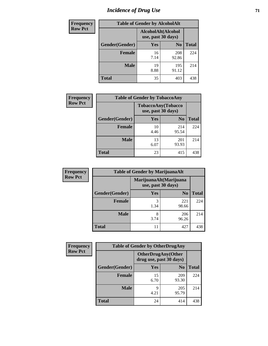# *Incidence of Drug Use* <sup>71</sup>

| <b>Frequency</b> | <b>Table of Gender by AlcoholAlt</b> |                                          |                |              |  |
|------------------|--------------------------------------|------------------------------------------|----------------|--------------|--|
| <b>Row Pct</b>   |                                      | AlcoholAlt(Alcohol<br>use, past 30 days) |                |              |  |
|                  | Gender(Gender)                       | Yes                                      | N <sub>0</sub> | <b>Total</b> |  |
|                  | <b>Female</b>                        | 16<br>7.14                               | 208<br>92.86   | 224          |  |
|                  | <b>Male</b>                          | 19<br>8.88                               | 195<br>91.12   | 214          |  |
|                  | <b>Total</b>                         | 35                                       | 403            | 438          |  |

| <b>Frequency</b> | <b>Table of Gender by TobaccoAny</b> |                                          |                |              |  |
|------------------|--------------------------------------|------------------------------------------|----------------|--------------|--|
| <b>Row Pct</b>   |                                      | TobaccoAny(Tobacco<br>use, past 30 days) |                |              |  |
|                  | Gender(Gender)                       | Yes                                      | N <sub>0</sub> | <b>Total</b> |  |
|                  | <b>Female</b>                        | 10<br>4.46                               | 214<br>95.54   | 224          |  |
|                  | <b>Male</b>                          | 13<br>6.07                               | 201<br>93.93   | 214          |  |
|                  | <b>Total</b>                         | 23                                       | 415            | 438          |  |

| <b>Frequency</b> | <b>Table of Gender by MarijuanaAlt</b> |                    |                        |              |
|------------------|----------------------------------------|--------------------|------------------------|--------------|
| <b>Row Pct</b>   |                                        | use, past 30 days) | MarijuanaAlt(Marijuana |              |
|                  | Gender(Gender)                         | <b>Yes</b>         | N <sub>0</sub>         | <b>Total</b> |
|                  | Female                                 | 3<br>1.34          | 221<br>98.66           | 224          |
|                  | <b>Male</b>                            | 8<br>3.74          | 206<br>96.26           | 214          |
|                  | <b>Total</b>                           | 11                 | 427                    | 438          |

| <b>Frequency</b> | <b>Table of Gender by OtherDrugAny</b> |            |                                                      |              |  |
|------------------|----------------------------------------|------------|------------------------------------------------------|--------------|--|
| <b>Row Pct</b>   |                                        |            | <b>OtherDrugAny(Other</b><br>drug use, past 30 days) |              |  |
|                  | Gender(Gender)                         | <b>Yes</b> | N <sub>0</sub>                                       | <b>Total</b> |  |
|                  | <b>Female</b>                          | 15<br>6.70 | 209<br>93.30                                         | 224          |  |
|                  | <b>Male</b>                            | q<br>4.21  | 205<br>95.79                                         | 214          |  |
|                  | <b>Total</b>                           | 24         | 414                                                  | 438          |  |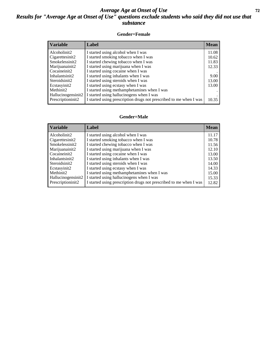### *Average Age at Onset of Use* **72** *Results for "Average Age at Onset of Use" questions exclude students who said they did not use that substance*

#### **Gender=Female**

| <b>Variable</b>    | <b>Label</b>                                                       | <b>Mean</b> |
|--------------------|--------------------------------------------------------------------|-------------|
| Alcoholinit2       | I started using alcohol when I was                                 | 11.08       |
| Cigarettesinit2    | I started smoking tobacco when I was                               | 10.62       |
| Smokelessinit2     | I started chewing tobacco when I was                               | 11.83       |
| Marijuanainit2     | I started using marijuana when I was                               | 12.33       |
| Cocaineinit2       | I started using cocaine when I was                                 |             |
| Inhalantsinit2     | I started using inhalants when I was                               | 9.00        |
| Steroidsinit2      | I started using steroids when I was                                | 13.00       |
| Ecstasyinit2       | I started using ecstasy when I was                                 | 13.00       |
| Methinit2          | I started using methamphetamines when I was                        |             |
| Hallucinogensinit2 | I started using hallucinogens when I was                           |             |
| Prescription in t2 | I started using prescription drugs not prescribed to me when I was | 10.35       |

#### **Gender=Male**

| <b>Variable</b>    | Label                                                              | <b>Mean</b> |
|--------------------|--------------------------------------------------------------------|-------------|
| Alcoholinit2       | I started using alcohol when I was                                 | 11.17       |
| Cigarettesinit2    | I started smoking tobacco when I was                               | 10.78       |
| Smokelessinit2     | I started chewing tobacco when I was                               | 11.56       |
| Marijuanainit2     | I started using marijuana when I was                               | 12.10       |
| Cocaineinit2       | I started using cocaine when I was                                 | 13.00       |
| Inhalantsinit2     | I started using inhalants when I was                               | 13.50       |
| Steroidsinit2      | I started using steroids when I was                                | 14.00       |
| Ecstasyinit2       | I started using ecstasy when I was                                 | 14.33       |
| Methinit2          | I started using methamphetamines when I was                        | 15.00       |
| Hallucinogensinit2 | I started using hallucinogens when I was                           | 15.33       |
| Prescriptioninit2  | I started using prescription drugs not prescribed to me when I was | 12.82       |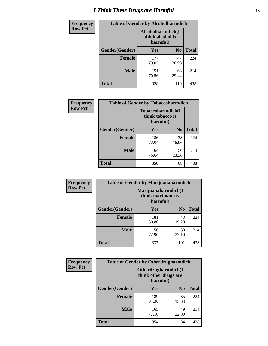# *I Think These Drugs are Harmful* **73**

| <b>Frequency</b> | <b>Table of Gender by Alcoholharmdich</b> |                                                   |                |              |
|------------------|-------------------------------------------|---------------------------------------------------|----------------|--------------|
| <b>Row Pct</b>   |                                           | Alcoholharmdich(I<br>think alcohol is<br>harmful) |                |              |
|                  | Gender(Gender)                            | <b>Yes</b>                                        | N <sub>0</sub> | <b>Total</b> |
|                  | <b>Female</b>                             | 177<br>79.02                                      | 47<br>20.98    | 224          |
|                  | <b>Male</b>                               | 151<br>70.56                                      | 63<br>29.44    | 214          |
|                  | <b>Total</b>                              | 328                                               | 110            | 438          |

| Frequency      | <b>Table of Gender by Tobaccoharmdich</b> |                              |                   |              |
|----------------|-------------------------------------------|------------------------------|-------------------|--------------|
| <b>Row Pct</b> |                                           | think tobacco is<br>harmful) | Tobaccoharmdich(I |              |
|                | Gender(Gender)                            | Yes                          | N <sub>0</sub>    | <b>Total</b> |
|                | <b>Female</b>                             | 186<br>83.04                 | 38<br>16.96       | 224          |
|                | <b>Male</b>                               | 164<br>76.64                 | 50<br>23.36       | 214          |
|                | <b>Total</b>                              | 350                          | 88                | 438          |

| Frequency      | <b>Table of Gender by Marijuanaharmdich</b> |                                                       |                |              |  |
|----------------|---------------------------------------------|-------------------------------------------------------|----------------|--------------|--|
| <b>Row Pct</b> |                                             | Marijuanaharmdich(I<br>think marijuana is<br>harmful) |                |              |  |
|                | Gender(Gender)                              | <b>Yes</b>                                            | N <sub>0</sub> | <b>Total</b> |  |
|                | <b>Female</b>                               | 181<br>80.80                                          | 43<br>19.20    | 224          |  |
|                | <b>Male</b>                                 | 156<br>72.90                                          | 58<br>27.10    | 214          |  |
|                | <b>Total</b>                                | 337                                                   | 101            | 438          |  |

| Frequency      | <b>Table of Gender by Otherdrugharmdich</b> |                                   |                     |              |
|----------------|---------------------------------------------|-----------------------------------|---------------------|--------------|
| <b>Row Pct</b> |                                             | think other drugs are<br>harmful) | Otherdrugharmdich(I |              |
|                | Gender(Gender)                              | <b>Yes</b>                        | N <sub>0</sub>      | <b>Total</b> |
|                | <b>Female</b>                               | 189<br>84.38                      | 35<br>15.63         | 224          |
|                | <b>Male</b>                                 | 165<br>77.10                      | 49<br>22.90         | 214          |
|                | <b>Total</b>                                | 354                               | 84                  | 438          |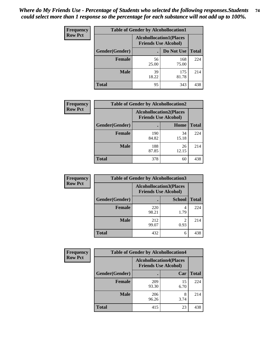| <b>Frequency</b> | <b>Table of Gender by Alcohollocation1</b> |                                                               |              |              |
|------------------|--------------------------------------------|---------------------------------------------------------------|--------------|--------------|
| <b>Row Pct</b>   |                                            | <b>Alcohollocation1(Places</b><br><b>Friends Use Alcohol)</b> |              |              |
|                  | Gender(Gender)                             |                                                               | Do Not Use   | <b>Total</b> |
|                  | <b>Female</b>                              | 56<br>25.00                                                   | 168<br>75.00 | 224          |
|                  | <b>Male</b>                                | 39<br>18.22                                                   | 175<br>81.78 | 214          |
|                  | <b>Total</b>                               | 95                                                            | 343          | 438          |

| <b>Frequency</b> | <b>Table of Gender by Alcohollocation2</b> |              |                                                               |              |
|------------------|--------------------------------------------|--------------|---------------------------------------------------------------|--------------|
| <b>Row Pct</b>   |                                            |              | <b>Alcohollocation2(Places</b><br><b>Friends Use Alcohol)</b> |              |
|                  | Gender(Gender)                             |              | Home                                                          | <b>Total</b> |
|                  | <b>Female</b>                              | 190<br>84.82 | 34<br>15.18                                                   | 224          |
|                  | <b>Male</b>                                | 188<br>87.85 | 26<br>12.15                                                   | 214          |
|                  | <b>Total</b>                               | 378          | 60                                                            | 438          |

| Frequency      | <b>Table of Gender by Alcohollocation3</b> |              |                                                               |              |
|----------------|--------------------------------------------|--------------|---------------------------------------------------------------|--------------|
| <b>Row Pct</b> |                                            |              | <b>Alcohollocation3(Places</b><br><b>Friends Use Alcohol)</b> |              |
|                | Gender(Gender)                             |              | <b>School</b>                                                 | <b>Total</b> |
|                | <b>Female</b>                              | 220<br>98.21 | 4<br>1.79                                                     | 224          |
|                | <b>Male</b>                                | 212<br>99.07 | 0.93                                                          | 214          |
|                | <b>Total</b>                               | 432          | 6                                                             | 438          |

| <b>Frequency</b> | <b>Table of Gender by Alcohollocation4</b> |                                                               |            |              |
|------------------|--------------------------------------------|---------------------------------------------------------------|------------|--------------|
| <b>Row Pct</b>   |                                            | <b>Alcohollocation4(Places</b><br><b>Friends Use Alcohol)</b> |            |              |
|                  | Gender(Gender)                             |                                                               | Car        | <b>Total</b> |
|                  | <b>Female</b>                              | 209<br>93.30                                                  | 15<br>6.70 | 224          |
|                  | <b>Male</b>                                | 206<br>96.26                                                  | 8<br>3.74  | 214          |
|                  | <b>Total</b>                               | 415                                                           | 23         | 438          |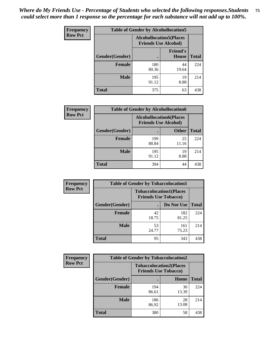| <b>Frequency</b> | <b>Table of Gender by Alcohollocation5</b> |                                                                |                          |              |
|------------------|--------------------------------------------|----------------------------------------------------------------|--------------------------|--------------|
| <b>Row Pct</b>   |                                            | <b>Alcohollocation5</b> (Places<br><b>Friends Use Alcohol)</b> |                          |              |
|                  | Gender(Gender)                             |                                                                | <b>Friend's</b><br>House | <b>Total</b> |
|                  | <b>Female</b>                              | 180<br>80.36                                                   | 44<br>19.64              | 224          |
|                  | <b>Male</b>                                | 195<br>91.12                                                   | 19<br>8.88               | 214          |
|                  | <b>Total</b>                               | 375                                                            | 63                       | 438          |

| <b>Frequency</b> | <b>Table of Gender by Alcohollocation6</b> |                                                               |              |              |
|------------------|--------------------------------------------|---------------------------------------------------------------|--------------|--------------|
| <b>Row Pct</b>   |                                            | <b>Alcohollocation6(Places</b><br><b>Friends Use Alcohol)</b> |              |              |
|                  | Gender(Gender)                             |                                                               | <b>Other</b> | <b>Total</b> |
|                  | <b>Female</b>                              | 199<br>88.84                                                  | 25<br>11.16  | 224          |
|                  | <b>Male</b>                                | 195<br>91.12                                                  | 19<br>8.88   | 214          |
|                  | <b>Total</b>                               | 394                                                           | 44           | 438          |

| Frequency      | <b>Table of Gender by Tobaccolocation1</b> |                             |                                |              |
|----------------|--------------------------------------------|-----------------------------|--------------------------------|--------------|
| <b>Row Pct</b> |                                            | <b>Friends Use Tobacco)</b> | <b>Tobaccolocation1(Places</b> |              |
|                | <b>Gender</b> (Gender)                     |                             | Do Not Use                     | <b>Total</b> |
|                | Female                                     | 42<br>18.75                 | 182<br>81.25                   | 224          |
|                | <b>Male</b>                                | 53<br>24.77                 | 161<br>75.23                   | 214          |
|                | <b>Total</b>                               | 95                          | 343                            | 438          |

| <b>Frequency</b> | <b>Table of Gender by Tobaccolocation2</b> |                                                               |             |              |
|------------------|--------------------------------------------|---------------------------------------------------------------|-------------|--------------|
| <b>Row Pct</b>   |                                            | <b>Tobaccolocation2(Places</b><br><b>Friends Use Tobacco)</b> |             |              |
|                  | Gender(Gender)                             |                                                               | <b>Home</b> | <b>Total</b> |
|                  | Female                                     | 194<br>86.61                                                  | 30<br>13.39 | 224          |
|                  | <b>Male</b>                                | 186<br>86.92                                                  | 28<br>13.08 | 214          |
|                  | <b>Total</b>                               | 380                                                           | 58          | 438          |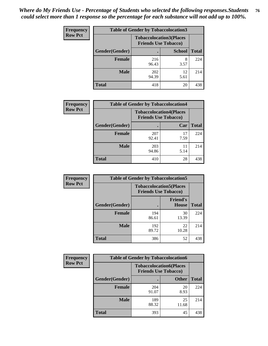| <b>Frequency</b> | <b>Table of Gender by Tobaccolocation3</b> |                                                               |               |              |  |
|------------------|--------------------------------------------|---------------------------------------------------------------|---------------|--------------|--|
| <b>Row Pct</b>   |                                            | <b>Tobaccolocation3(Places</b><br><b>Friends Use Tobacco)</b> |               |              |  |
|                  | Gender(Gender)                             |                                                               | <b>School</b> | <b>Total</b> |  |
|                  | <b>Female</b>                              | 216<br>96.43                                                  | 8<br>3.57     | 224          |  |
|                  | <b>Male</b>                                | 202<br>94.39                                                  | 12<br>5.61    | 214          |  |
|                  | <b>Total</b>                               | 418                                                           | 20            | 438          |  |

| <b>Frequency</b> | <b>Table of Gender by Tobaccolocation4</b> |              |                                                               |              |
|------------------|--------------------------------------------|--------------|---------------------------------------------------------------|--------------|
| <b>Row Pct</b>   |                                            |              | <b>Tobaccolocation4(Places</b><br><b>Friends Use Tobacco)</b> |              |
|                  | Gender(Gender)                             |              | Car                                                           | <b>Total</b> |
|                  | <b>Female</b>                              | 207<br>92.41 | 17<br>7.59                                                    | 224          |
|                  | <b>Male</b>                                | 203<br>94.86 | 11<br>5.14                                                    | 214          |
|                  | <b>Total</b>                               | 410          | 28                                                            | 438          |

| <b>Frequency</b> | <b>Table of Gender by Tobaccolocation5</b> |                                                               |                                 |              |
|------------------|--------------------------------------------|---------------------------------------------------------------|---------------------------------|--------------|
| <b>Row Pct</b>   |                                            | <b>Tobaccolocation5(Places</b><br><b>Friends Use Tobacco)</b> |                                 |              |
|                  | Gender(Gender)                             |                                                               | <b>Friend's</b><br><b>House</b> | <b>Total</b> |
|                  | <b>Female</b>                              | 194<br>86.61                                                  | 30<br>13.39                     | 224          |
|                  | <b>Male</b>                                | 192<br>89.72                                                  | 22<br>10.28                     | 214          |
|                  | <b>Total</b>                               | 386                                                           | 52                              | 438          |

| <b>Frequency</b> | <b>Table of Gender by Tobaccolocation6</b> |                                                               |              |              |
|------------------|--------------------------------------------|---------------------------------------------------------------|--------------|--------------|
| <b>Row Pct</b>   |                                            | <b>Tobaccolocation6(Places</b><br><b>Friends Use Tobacco)</b> |              |              |
|                  | Gender(Gender)                             |                                                               | <b>Other</b> | <b>Total</b> |
|                  | Female                                     | 204<br>91.07                                                  | 20<br>8.93   | 224          |
|                  | <b>Male</b>                                | 189<br>88.32                                                  | 25<br>11.68  | 214          |
|                  | <b>Total</b>                               | 393                                                           | 45           | 438          |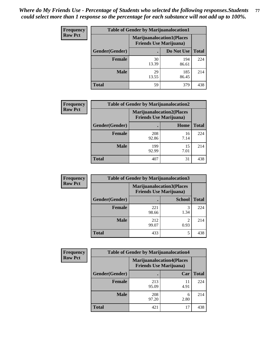| <b>Frequency</b> | <b>Table of Gender by Marijuanalocation1</b>                       |             |              |              |
|------------------|--------------------------------------------------------------------|-------------|--------------|--------------|
| <b>Row Pct</b>   | <b>Marijuanalocation1(Places</b><br><b>Friends Use Marijuana</b> ) |             |              |              |
|                  | Gender(Gender)                                                     |             | Do Not Use   | <b>Total</b> |
|                  | <b>Female</b>                                                      | 30<br>13.39 | 194<br>86.61 | 224          |
|                  | <b>Male</b>                                                        | 29<br>13.55 | 185<br>86.45 | 214          |
|                  | <b>Total</b>                                                       | 59          | 379          | 438          |

| <b>Frequency</b> | <b>Table of Gender by Marijuanalocation2</b> |                                                                    |            |              |
|------------------|----------------------------------------------|--------------------------------------------------------------------|------------|--------------|
| <b>Row Pct</b>   |                                              | <b>Marijuanalocation2(Places</b><br><b>Friends Use Marijuana</b> ) |            |              |
|                  | Gender(Gender)                               |                                                                    | Home       | <b>Total</b> |
|                  | <b>Female</b>                                | 208<br>92.86                                                       | 16<br>7.14 | 224          |
|                  | <b>Male</b>                                  | 199<br>92.99                                                       | 15<br>7.01 | 214          |
|                  | <b>Total</b>                                 | 407                                                                | 31         | 438          |

| Frequency      | <b>Table of Gender by Marijuanalocation3</b> |                                                                    |               |              |
|----------------|----------------------------------------------|--------------------------------------------------------------------|---------------|--------------|
| <b>Row Pct</b> |                                              | <b>Marijuanalocation3(Places</b><br><b>Friends Use Marijuana</b> ) |               |              |
|                | Gender(Gender)                               |                                                                    | <b>School</b> | <b>Total</b> |
|                | Female                                       | 221<br>98.66                                                       | 3<br>1.34     | 224          |
|                | <b>Male</b>                                  | 212<br>99.07                                                       | ി<br>0.93     | 214          |
|                | <b>Total</b>                                 | 433                                                                | 5             | 438          |

| <b>Frequency</b> |                |                                                                    | <b>Table of Gender by Marijuanalocation4</b> |              |  |
|------------------|----------------|--------------------------------------------------------------------|----------------------------------------------|--------------|--|
| <b>Row Pct</b>   |                | <b>Marijuanalocation4(Places</b><br><b>Friends Use Marijuana</b> ) |                                              |              |  |
|                  | Gender(Gender) |                                                                    | Car                                          | <b>Total</b> |  |
|                  | <b>Female</b>  | 213<br>95.09                                                       | 11<br>4.91                                   | 224          |  |
|                  | <b>Male</b>    | 208<br>97.20                                                       | 6<br>2.80                                    | 214          |  |
|                  | <b>Total</b>   | 421                                                                | 17                                           | 438          |  |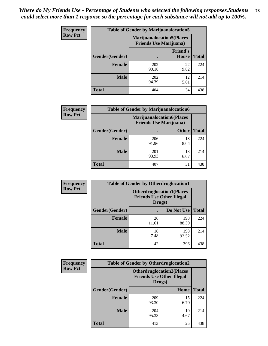| <b>Frequency</b> | <b>Table of Gender by Marijuanalocation5</b> |                                                                     |                                 |              |
|------------------|----------------------------------------------|---------------------------------------------------------------------|---------------------------------|--------------|
| <b>Row Pct</b>   |                                              | <b>Marijuanalocation5</b> (Places<br><b>Friends Use Marijuana</b> ) |                                 |              |
|                  | Gender(Gender)                               |                                                                     | <b>Friend's</b><br><b>House</b> | <b>Total</b> |
|                  | <b>Female</b>                                | 202<br>90.18                                                        | 22<br>9.82                      | 224          |
|                  | <b>Male</b>                                  | 202<br>94.39                                                        | 12<br>5.61                      | 214          |
|                  | <b>Total</b>                                 | 404                                                                 | 34                              | 438          |

| <b>Frequency</b> | <b>Table of Gender by Marijuanalocation6</b> |                                                                     |              |              |
|------------------|----------------------------------------------|---------------------------------------------------------------------|--------------|--------------|
| <b>Row Pct</b>   |                                              | <b>Marijuanalocation6(Places)</b><br><b>Friends Use Marijuana</b> ) |              |              |
|                  | <b>Gender</b> (Gender)                       |                                                                     | <b>Other</b> | <b>Total</b> |
|                  | <b>Female</b>                                | 206<br>91.96                                                        | 18<br>8.04   | 224          |
|                  | <b>Male</b>                                  | 201<br>93.93                                                        | 13<br>6.07   | 214          |
|                  | <b>Total</b>                                 | 407                                                                 | 31           | 438          |

| Frequency      | <b>Table of Gender by Otherdruglocation1</b> |                                                                                |              |              |
|----------------|----------------------------------------------|--------------------------------------------------------------------------------|--------------|--------------|
| <b>Row Pct</b> |                                              | <b>Otherdruglocation1(Places</b><br><b>Friends Use Other Illegal</b><br>Drugs) |              |              |
|                | Gender(Gender)                               |                                                                                | Do Not Use   | <b>Total</b> |
|                | <b>Female</b>                                | 26<br>11.61                                                                    | 198<br>88.39 | 224          |
|                | <b>Male</b>                                  | 16<br>7.48                                                                     | 198<br>92.52 | 214          |
|                | <b>Total</b>                                 | 42                                                                             | 396          | 438          |

| Frequency      | <b>Table of Gender by Otherdruglocation2</b>                                   |              |            |              |
|----------------|--------------------------------------------------------------------------------|--------------|------------|--------------|
| <b>Row Pct</b> | <b>Otherdruglocation2(Places</b><br><b>Friends Use Other Illegal</b><br>Drugs) |              |            |              |
|                | Gender(Gender)                                                                 |              | Home       | <b>Total</b> |
|                | Female                                                                         | 209<br>93.30 | 15<br>6.70 | 224          |
|                | <b>Male</b>                                                                    | 204<br>95.33 | 10<br>4.67 | 214          |
|                | <b>Total</b>                                                                   | 413          | 25         | 438          |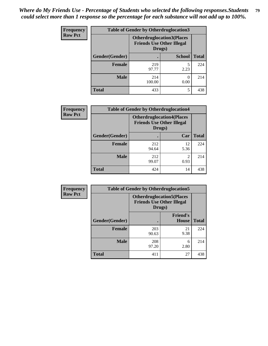| Frequency      | <b>Table of Gender by Otherdruglocation3</b> |                                                                                |               |              |
|----------------|----------------------------------------------|--------------------------------------------------------------------------------|---------------|--------------|
| <b>Row Pct</b> |                                              | <b>Otherdruglocation3(Places</b><br><b>Friends Use Other Illegal</b><br>Drugs) |               |              |
|                | Gender(Gender)                               |                                                                                | <b>School</b> | <b>Total</b> |
|                | <b>Female</b>                                | 219<br>97.77                                                                   | 5<br>2.23     | 224          |
|                | <b>Male</b>                                  | 214<br>100.00                                                                  | 0.00          | 214          |
|                | <b>Total</b>                                 | 433                                                                            | 5             | 438          |

| <b>Frequency</b><br><b>Row Pct</b> | <b>Table of Gender by Otherdruglocation4</b> |              |                                                                      |              |
|------------------------------------|----------------------------------------------|--------------|----------------------------------------------------------------------|--------------|
|                                    |                                              | Drugs)       | <b>Otherdruglocation4(Places</b><br><b>Friends Use Other Illegal</b> |              |
|                                    | Gender(Gender)                               |              | Car                                                                  | <b>Total</b> |
|                                    | Female                                       | 212<br>94.64 | 12<br>5.36                                                           | 224          |
|                                    | <b>Male</b>                                  | 212<br>99.07 | $\mathcal{D}$<br>0.93                                                | 214          |
|                                    | <b>Total</b>                                 | 424          | 14                                                                   | 438          |

| Frequency      | <b>Table of Gender by Otherdruglocation5</b> |                                                                                |                                 |              |
|----------------|----------------------------------------------|--------------------------------------------------------------------------------|---------------------------------|--------------|
| <b>Row Pct</b> |                                              | <b>Otherdruglocation5(Places</b><br><b>Friends Use Other Illegal</b><br>Drugs) |                                 |              |
|                | Gender(Gender)                               |                                                                                | <b>Friend's</b><br><b>House</b> | <b>Total</b> |
|                | <b>Female</b>                                | 203<br>90.63                                                                   | 21<br>9.38                      | 224          |
|                | <b>Male</b>                                  | 208<br>97.20                                                                   | 6<br>2.80                       | 214          |
|                | <b>Total</b>                                 | 411                                                                            | 27                              | 438          |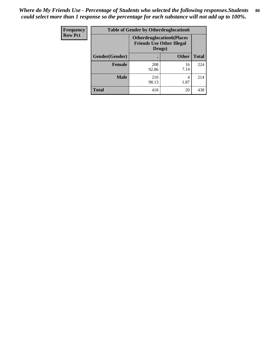| <b>Frequency</b> | <b>Table of Gender by Otherdruglocation6</b> |                                            |                                  |              |
|------------------|----------------------------------------------|--------------------------------------------|----------------------------------|--------------|
| <b>Row Pct</b>   |                                              | <b>Friends Use Other Illegal</b><br>Drugs) | <b>Otherdruglocation6(Places</b> |              |
|                  | Gender(Gender)                               |                                            | <b>Other</b>                     | <b>Total</b> |
|                  | <b>Female</b>                                | 208<br>92.86                               | 16<br>7.14                       | 224          |
|                  | <b>Male</b>                                  | 210<br>98.13                               | 4<br>1.87                        | 214          |
|                  | <b>Total</b>                                 | 418                                        | 20                               | 438          |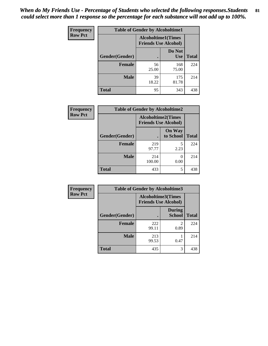| Frequency      | <b>Table of Gender by Alcoholtime1</b> |                                                          |                      |              |
|----------------|----------------------------------------|----------------------------------------------------------|----------------------|--------------|
| <b>Row Pct</b> |                                        | <b>Alcoholtime1(Times</b><br><b>Friends Use Alcohol)</b> |                      |              |
|                | Gender(Gender)                         | $\bullet$                                                | Do Not<br><b>Use</b> | <b>Total</b> |
|                | <b>Female</b>                          | 56<br>25.00                                              | 168<br>75.00         | 224          |
|                | <b>Male</b>                            | 39<br>18.22                                              | 175<br>81.78         | 214          |
|                | <b>Total</b>                           | 95                                                       | 343                  | 438          |

| <b>Frequency</b> | <b>Table of Gender by Alcoholtime2</b> |                                                          |                            |              |
|------------------|----------------------------------------|----------------------------------------------------------|----------------------------|--------------|
| <b>Row Pct</b>   |                                        | <b>Alcoholtime2(Times</b><br><b>Friends Use Alcohol)</b> |                            |              |
|                  | Gender(Gender)                         |                                                          | <b>On Way</b><br>to School | <b>Total</b> |
|                  | <b>Female</b>                          | 219<br>97.77                                             | 5<br>2.23                  | 224          |
|                  | <b>Male</b>                            | 214<br>100.00                                            | $\theta$<br>0.00           | 214          |
|                  | <b>Total</b>                           | 433                                                      | 5                          | 438          |

| Frequency      | <b>Table of Gender by Alcoholtime3</b> |                                                          |                                |              |
|----------------|----------------------------------------|----------------------------------------------------------|--------------------------------|--------------|
| <b>Row Pct</b> |                                        | <b>Alcoholtime3(Times</b><br><b>Friends Use Alcohol)</b> |                                |              |
|                | Gender(Gender)                         |                                                          | <b>During</b><br><b>School</b> | <b>Total</b> |
|                | <b>Female</b>                          | 222<br>99.11                                             | 2<br>0.89                      | 224          |
|                | <b>Male</b>                            | 213<br>99.53                                             | 0.47                           | 214          |
|                | <b>Total</b>                           | 435                                                      | 3                              | 438          |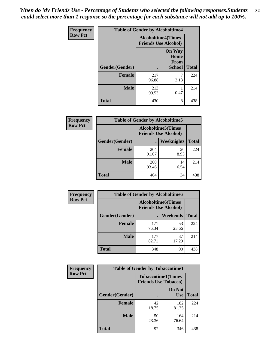*When do My Friends Use - Percentage of Students who selected the following responses.Students could select more than 1 response so the percentage for each substance will not add up to 100%.* **82**

| <b>Frequency</b> | <b>Table of Gender by Alcoholtime4</b> |                                                          |                                                |              |
|------------------|----------------------------------------|----------------------------------------------------------|------------------------------------------------|--------------|
| <b>Row Pct</b>   |                                        | <b>Alcoholtime4(Times</b><br><b>Friends Use Alcohol)</b> |                                                |              |
|                  | Gender(Gender)                         |                                                          | <b>On Way</b><br>Home<br>From<br><b>School</b> | <b>Total</b> |
|                  | <b>Female</b>                          | 217<br>96.88                                             | 7<br>3.13                                      | 224          |
|                  | <b>Male</b>                            | 213<br>99.53                                             | 0.47                                           | 214          |
|                  | <b>Total</b>                           | 430                                                      | 8                                              | 438          |

| <b>Frequency</b> | <b>Table of Gender by Alcoholtime5</b> |                                                           |            |              |
|------------------|----------------------------------------|-----------------------------------------------------------|------------|--------------|
| <b>Row Pct</b>   |                                        | <b>Alcoholtime5</b> (Times<br><b>Friends Use Alcohol)</b> |            |              |
|                  | Gender(Gender)                         |                                                           | Weeknights | <b>Total</b> |
|                  | <b>Female</b>                          | 204<br>91.07                                              | 20<br>8.93 | 224          |
|                  | <b>Male</b>                            | <b>200</b><br>93.46                                       | 14<br>6.54 | 214          |
|                  | <b>Total</b>                           | 404                                                       | 34         | 438          |

| <b>Frequency</b> | <b>Table of Gender by Alcoholtime6</b> |                                                          |             |              |  |
|------------------|----------------------------------------|----------------------------------------------------------|-------------|--------------|--|
| <b>Row Pct</b>   |                                        | <b>Alcoholtime6(Times</b><br><b>Friends Use Alcohol)</b> |             |              |  |
|                  | Gender(Gender)                         |                                                          | Weekends    | <b>Total</b> |  |
|                  | Female                                 | 171<br>76.34                                             | 53<br>23.66 | 224          |  |
|                  | <b>Male</b>                            | 177<br>82.71                                             | 37<br>17.29 | 214          |  |
|                  | <b>Total</b>                           | 348                                                      | 90          | 438          |  |

| Frequency      | <b>Table of Gender by Tobaccotime1</b> |                                                          |                      |              |
|----------------|----------------------------------------|----------------------------------------------------------|----------------------|--------------|
| <b>Row Pct</b> |                                        | <b>Tobaccotime1(Times</b><br><b>Friends Use Tobacco)</b> |                      |              |
|                | Gender(Gender)                         |                                                          | Do Not<br><b>Use</b> | <b>Total</b> |
|                | Female                                 | 42<br>18.75                                              | 182<br>81.25         | 224          |
|                | <b>Male</b>                            | 50<br>23.36                                              | 164<br>76.64         | 214          |
|                | <b>Total</b>                           | 92                                                       | 346                  | 438          |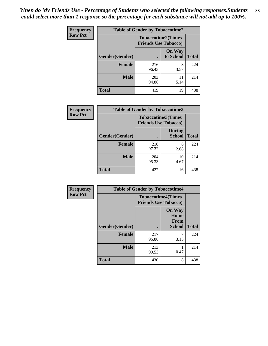| <b>Frequency</b> | <b>Table of Gender by Tobaccotime2</b> |                                                          |                            |              |
|------------------|----------------------------------------|----------------------------------------------------------|----------------------------|--------------|
| <b>Row Pct</b>   |                                        | <b>Tobaccotime2(Times</b><br><b>Friends Use Tobacco)</b> |                            |              |
|                  | Gender(Gender)                         | $\bullet$                                                | <b>On Way</b><br>to School | <b>Total</b> |
|                  | Female                                 | 216<br>96.43                                             | 8<br>3.57                  | 224          |
|                  | <b>Male</b>                            | 203<br>94.86                                             | 11<br>5.14                 | 214          |
|                  | <b>Total</b>                           | 419                                                      | 19                         | 438          |

| <b>Frequency</b> | <b>Table of Gender by Tobaccotime3</b> |                             |                                |              |
|------------------|----------------------------------------|-----------------------------|--------------------------------|--------------|
| <b>Row Pct</b>   |                                        | <b>Friends Use Tobacco)</b> | <b>Tobaccotime3(Times</b>      |              |
|                  | Gender(Gender)                         |                             | <b>During</b><br><b>School</b> | <b>Total</b> |
|                  | <b>Female</b>                          | 218<br>97.32                | 6<br>2.68                      | 224          |
|                  | <b>Male</b>                            | 204<br>95.33                | 10<br>4.67                     | 214          |
|                  | <b>Total</b>                           | 422                         | 16                             | 438          |

| <b>Frequency</b> | <b>Table of Gender by Tobaccotime4</b> |                                                          |                                                |              |
|------------------|----------------------------------------|----------------------------------------------------------|------------------------------------------------|--------------|
| <b>Row Pct</b>   |                                        | <b>Tobaccotime4(Times</b><br><b>Friends Use Tobacco)</b> |                                                |              |
|                  | Gender(Gender)                         |                                                          | <b>On Way</b><br>Home<br>From<br><b>School</b> | <b>Total</b> |
|                  | <b>Female</b>                          | 217<br>96.88                                             | 3.13                                           | 224          |
|                  | <b>Male</b>                            | 213<br>99.53                                             | 0.47                                           | 214          |
|                  | <b>Total</b>                           | 430                                                      | 8                                              | 438          |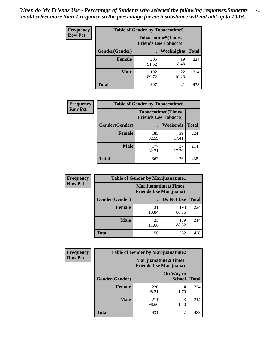| <b>Frequency</b> | <b>Table of Gender by Tobaccotime5</b> |                                                          |                   |              |  |
|------------------|----------------------------------------|----------------------------------------------------------|-------------------|--------------|--|
| <b>Row Pct</b>   |                                        | <b>Tobaccotime5(Times</b><br><b>Friends Use Tobacco)</b> |                   |              |  |
|                  | <b>Gender</b> (Gender)                 |                                                          | <b>Weeknights</b> | <b>Total</b> |  |
|                  | <b>Female</b>                          | 205<br>91.52                                             | 19<br>8.48        | 224          |  |
|                  | <b>Male</b>                            | 192<br>89.72                                             | 22<br>10.28       | 214          |  |
|                  | Total                                  | 397                                                      | 41                | 438          |  |

| <b>Frequency</b> | <b>Table of Gender by Tobaccotime6</b> |                                                          |             |              |
|------------------|----------------------------------------|----------------------------------------------------------|-------------|--------------|
| <b>Row Pct</b>   |                                        | <b>Tobaccotime6(Times</b><br><b>Friends Use Tobacco)</b> |             |              |
|                  | Gender(Gender)                         |                                                          | Weekends    | <b>Total</b> |
|                  | Female                                 | 185<br>82.59                                             | 39<br>17.41 | 224          |
|                  | <b>Male</b>                            | 177<br>82.71                                             | 37<br>17.29 | 214          |
|                  | <b>Total</b>                           | 362                                                      | 76          | 438          |

| Frequency      | <b>Table of Gender by Marijuanatime1</b> |                                |                             |              |
|----------------|------------------------------------------|--------------------------------|-----------------------------|--------------|
| <b>Row Pct</b> |                                          | <b>Friends Use Marijuana</b> ) | <b>Marijuanatime1(Times</b> |              |
|                | Gender(Gender)                           |                                | Do Not Use                  | <b>Total</b> |
|                | Female                                   | 31<br>13.84                    | 193<br>86.16                | 224          |
|                | <b>Male</b>                              | 25<br>11.68                    | 189<br>88.32                | 214          |
|                | <b>Total</b>                             | 56                             | 382                         | 438          |

| Frequency      | <b>Table of Gender by Marijuanatime2</b> |                                |                            |              |
|----------------|------------------------------------------|--------------------------------|----------------------------|--------------|
| <b>Row Pct</b> |                                          | <b>Friends Use Marijuana</b> ) | Marijuanatime2(Times       |              |
|                | Gender(Gender)                           |                                | On Way to<br><b>School</b> | <b>Total</b> |
|                | <b>Female</b>                            | 220<br>98.21                   | 4<br>1.79                  | 224          |
|                | <b>Male</b>                              | 211<br>98.60                   | 3<br>1.40                  | 214          |
|                | <b>Total</b>                             | 431                            | 7                          | 438          |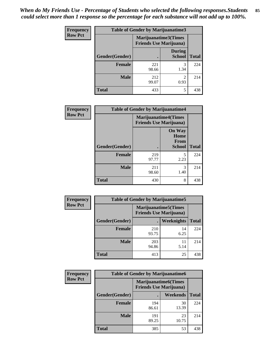*When do My Friends Use - Percentage of Students who selected the following responses.Students could select more than 1 response so the percentage for each substance will not add up to 100%.* **85**

| <b>Frequency</b> | <b>Table of Gender by Marijuanatime3</b> |              |                                                        |              |
|------------------|------------------------------------------|--------------|--------------------------------------------------------|--------------|
| <b>Row Pct</b>   |                                          |              | Marijuanatime3(Times<br><b>Friends Use Marijuana</b> ) |              |
|                  | Gender(Gender)                           |              | <b>During</b><br><b>School</b>                         | <b>Total</b> |
|                  | Female                                   | 221<br>98.66 | 1.34                                                   | 224          |
|                  | <b>Male</b>                              | 212<br>99.07 | $\mathfrak{D}$<br>0.93                                 | 214          |
|                  | <b>Total</b>                             | 433          | 5                                                      | 438          |

| Frequency      | <b>Table of Gender by Marijuanatime4</b> |                             |                                                       |              |
|----------------|------------------------------------------|-----------------------------|-------------------------------------------------------|--------------|
| <b>Row Pct</b> |                                          | <b>Marijuanatime4(Times</b> | <b>Friends Use Marijuana</b> )                        |              |
|                | Gender(Gender)                           |                             | <b>On Way</b><br>Home<br><b>From</b><br><b>School</b> | <b>Total</b> |
|                | <b>Female</b>                            | 219<br>97.77                | 5<br>2.23                                             | 224          |
|                | <b>Male</b>                              | 211<br>98.60                | 3<br>1.40                                             | 214          |
|                | <b>Total</b>                             | 430                         | 8                                                     | 438          |

| <b>Frequency</b> | <b>Table of Gender by Marijuanatime5</b> |              |                                                                |              |
|------------------|------------------------------------------|--------------|----------------------------------------------------------------|--------------|
| <b>Row Pct</b>   |                                          |              | <b>Marijuanatime5</b> (Times<br><b>Friends Use Marijuana</b> ) |              |
|                  | Gender(Gender)                           | ٠            | <b>Weeknights</b>                                              | <b>Total</b> |
|                  | <b>Female</b>                            | 210<br>93.75 | 14<br>6.25                                                     | 224          |
|                  | <b>Male</b>                              | 203<br>94.86 | 11<br>5.14                                                     | 214          |
|                  | <b>Total</b>                             | 413          | 25                                                             | 438          |

| <b>Frequency</b> | <b>Table of Gender by Marijuanatime6</b> |                                                               |             |              |  |
|------------------|------------------------------------------|---------------------------------------------------------------|-------------|--------------|--|
| <b>Row Pct</b>   |                                          | <b>Marijuanatime6(Times</b><br><b>Friends Use Marijuana</b> ) |             |              |  |
|                  | Gender(Gender)                           |                                                               | Weekends    | <b>Total</b> |  |
|                  | <b>Female</b>                            | 194<br>86.61                                                  | 30<br>13.39 | 224          |  |
|                  | <b>Male</b>                              | 191<br>89.25                                                  | 23<br>10.75 | 214          |  |
|                  | <b>Total</b>                             | 385                                                           | 53          | 438          |  |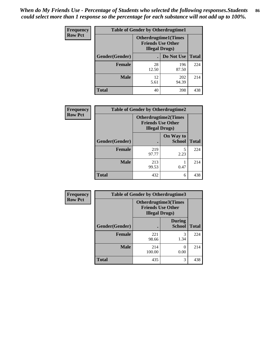| <b>Frequency</b> | <b>Table of Gender by Otherdrugtime1</b> |                                                                                   |              |              |  |
|------------------|------------------------------------------|-----------------------------------------------------------------------------------|--------------|--------------|--|
| <b>Row Pct</b>   |                                          | <b>Otherdrugtime1(Times</b><br><b>Friends Use Other</b><br><b>Illegal Drugs</b> ) |              |              |  |
|                  | Gender(Gender)                           |                                                                                   | Do Not Use   | <b>Total</b> |  |
|                  | <b>Female</b>                            | 28<br>12.50                                                                       | 196<br>87.50 | 224          |  |
|                  | Male                                     | 12<br>5.61                                                                        | 202<br>94.39 | 214          |  |
|                  | <b>Total</b>                             | 40                                                                                | 398          | 438          |  |

| <b>Frequency</b> | <b>Table of Gender by Otherdrugtime2</b> |                                                                                   |                            |              |
|------------------|------------------------------------------|-----------------------------------------------------------------------------------|----------------------------|--------------|
| <b>Row Pct</b>   |                                          | <b>Otherdrugtime2(Times</b><br><b>Friends Use Other</b><br><b>Illegal Drugs</b> ) |                            |              |
|                  | Gender(Gender)                           |                                                                                   | On Way to<br><b>School</b> | <b>Total</b> |
|                  | <b>Female</b>                            | 219<br>97.77                                                                      | 5<br>2.23                  | 224          |
|                  | <b>Male</b>                              | 213<br>99.53                                                                      | 0.47                       | 214          |
|                  | <b>Total</b>                             | 432                                                                               | 6                          | 438          |

| <b>Frequency</b> | Table of Gender by Otherdrugtime3 |                                                                            |                                |              |
|------------------|-----------------------------------|----------------------------------------------------------------------------|--------------------------------|--------------|
| <b>Row Pct</b>   |                                   | Otherdrugtime3(Times<br><b>Friends Use Other</b><br><b>Illegal Drugs</b> ) |                                |              |
|                  | Gender(Gender)                    |                                                                            | <b>During</b><br><b>School</b> | <b>Total</b> |
|                  | <b>Female</b>                     | 221<br>98.66                                                               | 3<br>1.34                      | 224          |
|                  | <b>Male</b>                       | 214<br>100.00                                                              | $\left($<br>0.00               | 214          |
|                  | <b>Total</b>                      | 435                                                                        | 3                              | 438          |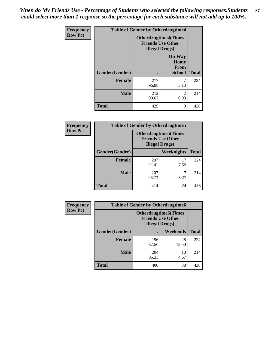*When do My Friends Use - Percentage of Students who selected the following responses.Students could select more than 1 response so the percentage for each substance will not add up to 100%.* **87**

| <b>Frequency</b> |                | <b>Table of Gender by Otherdrugtime4</b> |                                                         |              |  |
|------------------|----------------|------------------------------------------|---------------------------------------------------------|--------------|--|
| <b>Row Pct</b>   |                | <b>Illegal Drugs</b> )                   | <b>Otherdrugtime4(Times</b><br><b>Friends Use Other</b> |              |  |
|                  | Gender(Gender) |                                          | <b>On Way</b><br>Home<br><b>From</b><br><b>School</b>   | <b>Total</b> |  |
|                  | <b>Female</b>  | 217<br>96.88                             | 3.13                                                    | 224          |  |
|                  | <b>Male</b>    | 212<br>99.07                             | $\mathfrak{D}$<br>0.93                                  | 214          |  |
|                  | <b>Total</b>   | 429                                      | 9                                                       | 438          |  |

| <b>Frequency</b> | <b>Table of Gender by Otherdrugtime5</b> |                                                                                    |            |              |
|------------------|------------------------------------------|------------------------------------------------------------------------------------|------------|--------------|
| <b>Row Pct</b>   |                                          | <b>Otherdrugtime5</b> (Times<br><b>Friends Use Other</b><br><b>Illegal Drugs</b> ) |            |              |
|                  | Gender(Gender)                           |                                                                                    | Weeknights | <b>Total</b> |
|                  | <b>Female</b>                            | 207<br>92.41                                                                       | 17<br>7.59 | 224          |
|                  | <b>Male</b>                              | 207<br>96.73                                                                       | 3.27       | 214          |
|                  | <b>Total</b>                             | 414                                                                                | 24         | 438          |

| <b>Frequency</b> | <b>Table of Gender by Otherdrugtime6</b> |                                                                                   |             |              |  |
|------------------|------------------------------------------|-----------------------------------------------------------------------------------|-------------|--------------|--|
| <b>Row Pct</b>   |                                          | <b>Otherdrugtime6(Times</b><br><b>Friends Use Other</b><br><b>Illegal Drugs</b> ) |             |              |  |
|                  | Gender(Gender)                           |                                                                                   | Weekends    | <b>Total</b> |  |
|                  | Female                                   | 196<br>87.50                                                                      | 28<br>12.50 | 224          |  |
|                  | <b>Male</b>                              | 204<br>95.33                                                                      | 10<br>4.67  | 214          |  |
|                  | <b>Total</b>                             | 400                                                                               | 38          | 438          |  |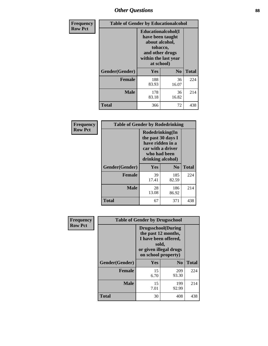## *Other Questions* **88**

| <b>Frequency</b> | <b>Table of Gender by Educationalcohol</b> |                                                                                                                               |                |              |
|------------------|--------------------------------------------|-------------------------------------------------------------------------------------------------------------------------------|----------------|--------------|
| <b>Row Pct</b>   |                                            | Educationalcohol(I<br>have been taught<br>about alcohol,<br>tobacco,<br>and other drugs<br>within the last year<br>at school) |                |              |
|                  | Gender(Gender)                             | <b>Yes</b>                                                                                                                    | N <sub>0</sub> | <b>Total</b> |
|                  | <b>Female</b>                              | 188<br>83.93                                                                                                                  | 36<br>16.07    | 224          |
|                  | <b>Male</b>                                | 178<br>83.18                                                                                                                  | 36<br>16.82    | 214          |
|                  | <b>Total</b>                               | 366                                                                                                                           | 72             | 438          |

| Frequency      | <b>Table of Gender by Rodedrinking</b> |                                                                                                                     |              |              |
|----------------|----------------------------------------|---------------------------------------------------------------------------------------------------------------------|--------------|--------------|
| <b>Row Pct</b> |                                        | Rodedrinking(In<br>the past 30 days I<br>have ridden in a<br>car with a driver<br>who had been<br>drinking alcohol) |              |              |
|                | Gender(Gender)                         | Yes                                                                                                                 | $\bf N_0$    | <b>Total</b> |
|                | <b>Female</b>                          | 39<br>17.41                                                                                                         | 185<br>82.59 | 224          |
|                | <b>Male</b>                            | 28<br>13.08                                                                                                         | 186<br>86.92 | 214          |
|                | <b>Total</b>                           | 67                                                                                                                  | 371          | 438          |

| Frequency      | <b>Table of Gender by Drugsschool</b> |                                                                                                                                     |                |              |
|----------------|---------------------------------------|-------------------------------------------------------------------------------------------------------------------------------------|----------------|--------------|
| <b>Row Pct</b> |                                       | <b>Drugsschool</b> (During<br>the past 12 months,<br>I have been offered,<br>sold,<br>or given illegal drugs<br>on school property) |                |              |
|                | Gender(Gender)                        | Yes                                                                                                                                 | N <sub>0</sub> | <b>Total</b> |
|                | <b>Female</b>                         | 15<br>6.70                                                                                                                          | 209<br>93.30   | 224          |
|                | <b>Male</b>                           | 15<br>7.01                                                                                                                          | 199<br>92.99   | 214          |
|                | <b>Total</b>                          | 30                                                                                                                                  | 408            | 438          |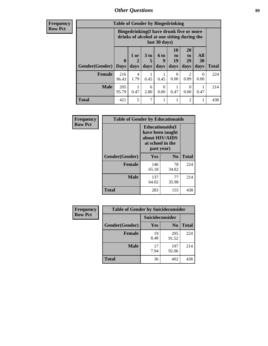## *Other Questions* **89**

**Frequency Row Pct**

| <b>Table of Gender by Bingedrinking</b> |              |                                                                                                         |           |                  |                      |                       |                  |              |
|-----------------------------------------|--------------|---------------------------------------------------------------------------------------------------------|-----------|------------------|----------------------|-----------------------|------------------|--------------|
|                                         |              | Bingedrinking(I have drunk five or more<br>drinks of alcohol at one sitting during the<br>last 30 days) |           |                  |                      |                       |                  |              |
|                                         | $\bf{0}$     | 1 or                                                                                                    | 3 to<br>5 | <b>6 to</b><br>9 | 10<br>to<br>19       | <b>20</b><br>to<br>29 | All<br>30        |              |
| <b>Gender</b> (Gender)                  | <b>Days</b>  | days                                                                                                    | days      | days             | days                 | days                  | days             | <b>Total</b> |
| <b>Female</b>                           | 216<br>96.43 | 4<br>1.79                                                                                               | 0.45      | 0.45             | $\mathbf{0}$<br>0.00 | 2<br>0.89             | $\Omega$<br>0.00 | 224          |
| <b>Male</b>                             | 205<br>95.79 | 0.47                                                                                                    | 6<br>2.80 | 0<br>0.00        | 0.47                 | $\Omega$<br>0.00      | 0.47             | 214          |

| Frequency      | <b>Table of Gender by Educationaids</b> |                                                                                                 |             |              |
|----------------|-----------------------------------------|-------------------------------------------------------------------------------------------------|-------------|--------------|
| <b>Row Pct</b> |                                         | <b>Educationaids</b> (I<br>have been taught<br>about HIV/AIDS<br>at school in the<br>past year) |             |              |
|                | Gender(Gender)                          | Yes                                                                                             | $\bf N_0$   | <b>Total</b> |
|                | <b>Female</b>                           | 146<br>65.18                                                                                    | 78<br>34.82 | 224          |
|                | <b>Male</b>                             | 137<br>64.02                                                                                    | 77<br>35.98 | 214          |
|                | <b>Total</b>                            | 283                                                                                             | 155         | 438          |

| <b>Frequency</b> | <b>Table of Gender by Suicideconsider</b> |                 |                |              |  |
|------------------|-------------------------------------------|-----------------|----------------|--------------|--|
| <b>Row Pct</b>   |                                           | Suicideconsider |                |              |  |
|                  | Gender(Gender)                            | Yes             | N <sub>0</sub> | <b>Total</b> |  |
|                  | <b>Female</b>                             | 19<br>8.48      | 205<br>91.52   | 224          |  |
|                  | <b>Male</b>                               | 17<br>7.94      | 197<br>92.06   | 214          |  |
|                  | Total                                     | 36              | 402            | 438          |  |